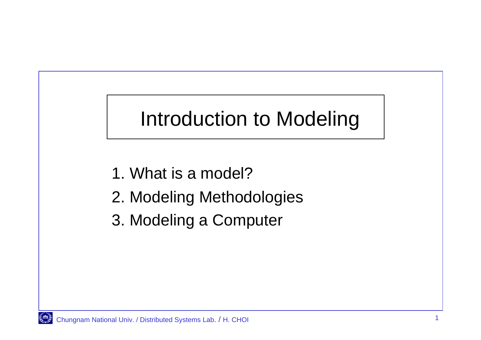# Introduction to Modeling

- 1. What is a model?
- 2. Modeling Methodologies
- 3. Modeling a Computer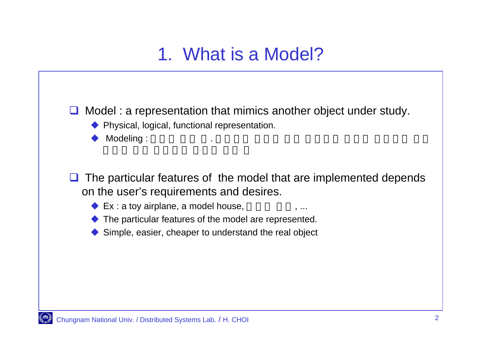## 1. What is a Model?

#### $\Box$ Model : a representation that mimics another object under study.

- ♦ Physical, logical, functional representation.
- ♦ Modeling :

 $\Box$  The particular features of the model that are implemented depends on the user's requirements and desires.

- $\blacklozenge$  Ex : a toy airplane, a model house,  $\ldots$ ,  $\ldots$
- ◆ The particular features of the model are represented.
- ♦ Simple, easier, cheaper to understand the real object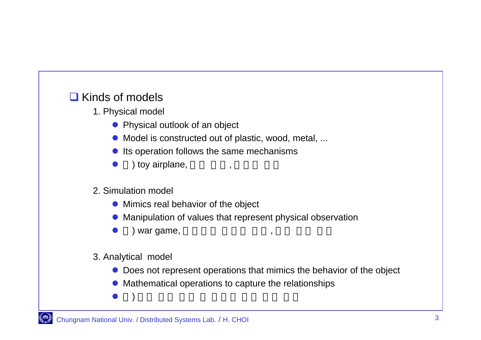#### **■** Kinds of models

- 1. Physical model
	- Physical outlook of an object
	- Model is constructed out of plastic, wood, metal, ...
	- O Its operation follows the same mechanisms
	- O ) toy airplane,  $\qquad \qquad$ ,
- 2. Simulation model
	- $\bullet$  Mimics real behavior of the object
	- O Manipulation of values that represent physical observation
	- $\bullet$ ) war game, war stelling was generally been asset of  $\alpha$ ,  $\beta$
- 3. Analytical model
	- Does not represent operations that mimics the behavior of the object
	- Mathematical operations to capture the relationships
	- O  $\bullet$  )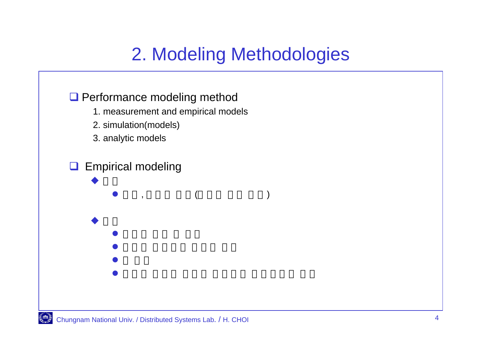### 2. Modeling Methodologies

#### **Q** Performance modeling method

1. measurement and empirical models

, ( )

- 2. simulation(models)
- 3. analytic models

#### ⊔ Empirical modeling

O

 $\bullet$ 

O

O

 $\bullet$ 

♦

♦

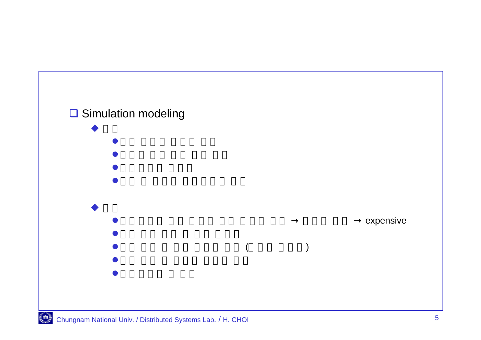

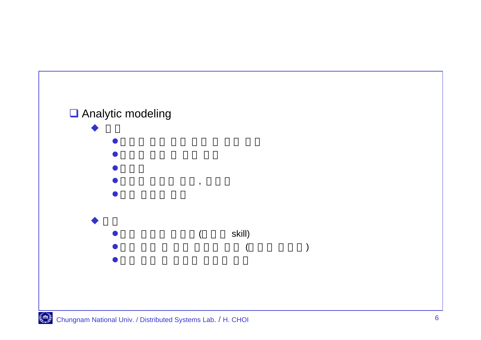

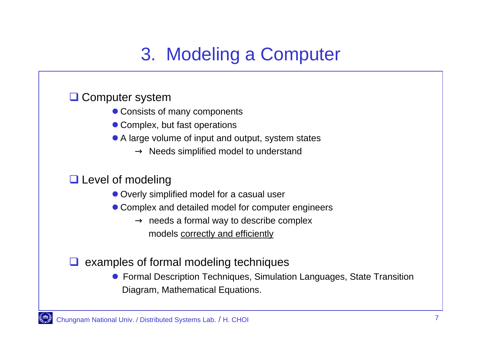## 3. Modeling a Computer

#### **Q** Computer system

- Consists of many components
- Complex, but fast operations
- A large volume of input and output, system states
	- $\rightarrow$  Needs simplified model to understand
- **Q** Level of modeling
	- Overly simplified model for a casual user
	- Complex and detailed model for computer engineers
		- $\rightarrow \;$  needs a formal way to describe complex models correctly and efficiently
- $\Box$  examples of formal modeling techniques
	- Formal Description Techniques, Simulation Languages, State Transition Diagram, Mathematical Equations.

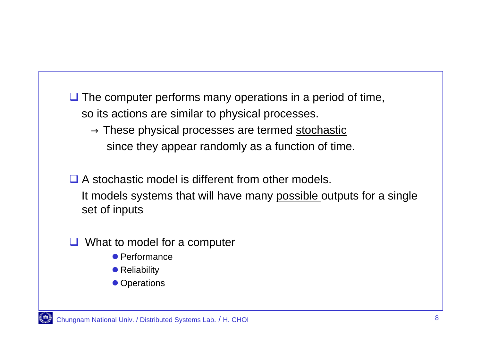$\Box$  The computer performs many operations in a period of time, so its actions are similar to physical processes.

- $\rightarrow$  These physical processes are termed <u>stochastic</u> since they appear randomly as a function of time.
- **■** A stochastic model is different from other models. It models systems that will have many possible outputs for a single set of inputs
- $\Box$  What to model for a computer
	- Performance
	- Reliability
	- Operations

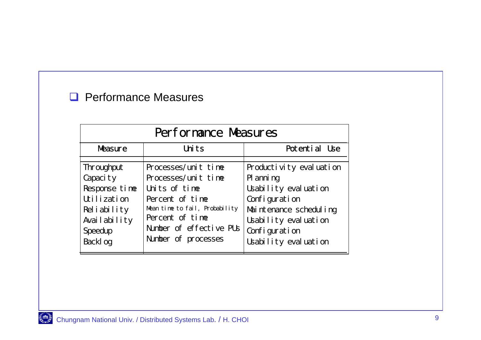#### **Q** Performance Measures

| Performance Measures                                                                                           |                                                                                                                                                                                       |                                                                                                                                                                              |  |  |
|----------------------------------------------------------------------------------------------------------------|---------------------------------------------------------------------------------------------------------------------------------------------------------------------------------------|------------------------------------------------------------------------------------------------------------------------------------------------------------------------------|--|--|
| <b>Masure</b>                                                                                                  | Uni ts                                                                                                                                                                                | Potential Use                                                                                                                                                                |  |  |
| Thr oughput<br>Capaci ty<br>Response time<br>Utilization<br>Reliability<br>Availability<br>Speedup<br>Backl og | Processes/unit time<br>Processes/unit time<br>Units of time<br>Percent of time<br>Mean time to fail, Probability<br>Percent of time<br>Number of effective PUs<br>Number of processes | Productivity evaluation<br>Pl anni ng<br>Usability evaluation<br>Configuration<br>Mai ntenance schedul i ng<br>Usability evaluation<br>Configuration<br>Usability evaluation |  |  |

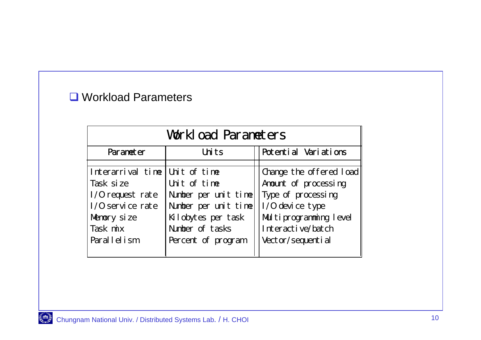#### **□ Workload Parameters**

| <b>Vorkload Parameters</b>     |                      |                         |  |
|--------------------------------|----------------------|-------------------------|--|
| Parameter                      | Units                | Potential Variations    |  |
|                                |                      |                         |  |
| Interarrival time Unit of time |                      | Change the offered load |  |
| Task si ze                     | Unit of time         | Anount of processing    |  |
| I/O request rate               | Number per unit time | Type of processing      |  |
| I/O service rate               | Number per unit time | I / O devi ce type      |  |
| Memory size                    | Kilobytes per task   | Multiprogramming level  |  |
| Task m x                       | Number of tasks      | Interactive/batch       |  |
| Parallelism                    | Percent of program   | Vector/sequenti al      |  |
|                                |                      |                         |  |

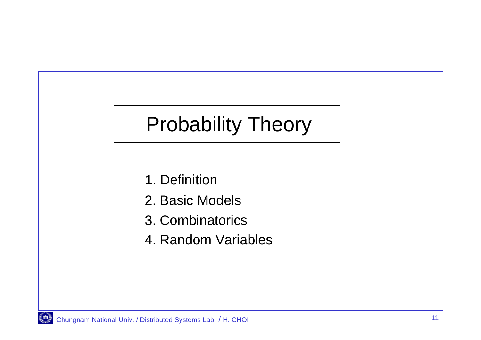# Probability Theory

- 1. Definition
- 2. Basic Models
- 3. Combinatorics
- 4. Random Variables

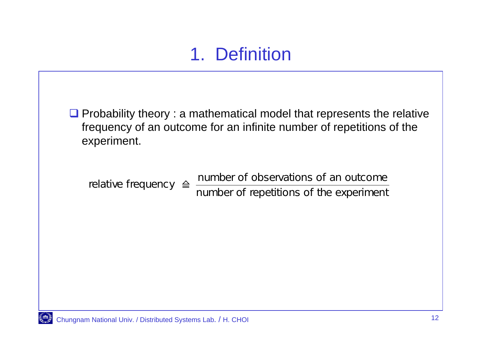### 1. Definition

 $\Box$  Probability theory : a mathematical model that represents the relative frequency of an outcome for an infinite number of repetitions of the experiment.

relative frequency  $\triangleq \frac{\text{number of observations of an outcome}}{\text{number of repetitions of the experiment}}$ 

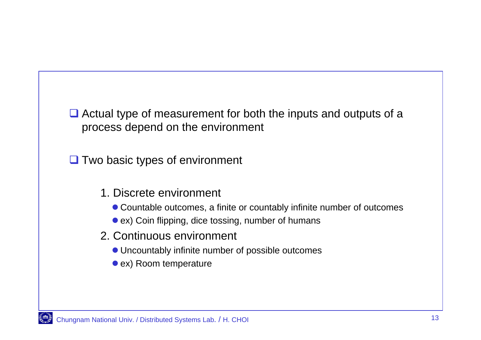■ Actual type of measurement for both the inputs and outputs of a process depend on the environment

**T** Two basic types of environment

- 1. Discrete environment
	- Countable outcomes, a finite or countably infinite number of outcomes
	- ex) Coin flipping, dice tossing, number of humans
- 2. Continuous environment
	- Uncountably infinite number of possible outcomes
	- ex) Room temperature

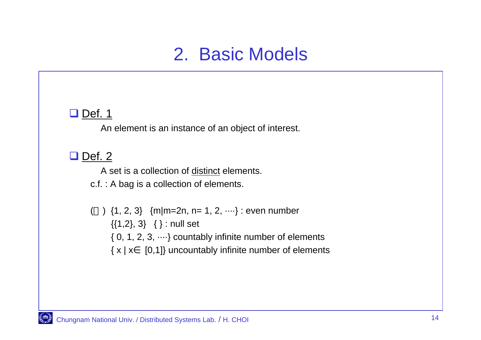### 2. Basic Models

#### $\Box$  Def. 1

An element is an instance of an object of interest.

#### $\Box$  Def. 2

A set is a collection of distinct elements. c.f. : A bag is a collection of elements.

 $( )$  {1, 2, 3} {m|m=2n, n= 1, 2,  $\cdots$ } : even number {{1,2}, 3} { } : null set { 0, 1, 2, 3, ····} countably infinite number of elements  $\{ x | x \in [0,1] \}$  uncountably infinite number of elements

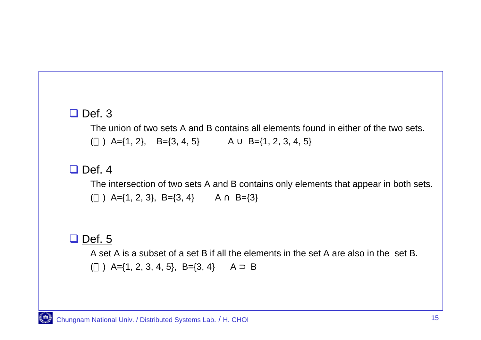#### $\Box$  Def. 3

The union of two sets A and B contains all elements found in either of the two sets.( )  $A = \{1, 2\}$ ,  $B = \{3, 4, 5\}$   $A = \{1, 2, 3, 4, 5\}$ 

#### $\Box$  Def. 4

The intersection of two sets A and B contains only elements that appear in both sets. ( )  $A = \{1, 2, 3\}$ ,  $B = \{3, 4\}$  A  $B = \{3\}$ 

#### $\Box$  Def. 5

A set A is a subset of a set B if all the elements in the set A are also in the set B.

( )  $A = \{1, 2, 3, 4, 5\}$ ,  $B = \{3, 4\}$  A B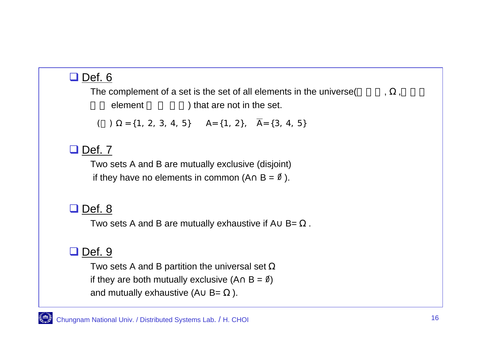#### $\Box$  Def. 6

The complement of a set is the set of all elements in the universe  $($ , ,

element ) that are not in the set.

( ) = {1, 2, 3, 4, 5} A= {1, 2},  $\overline{A}$  = {3, 4, 5}

### $\Box$  Def. 7

Two sets A and B are mutually exclusive (disjoint) if they have no elements in common  $(A \ B = \emptyset)$ .

#### $\Box$  Def. 8

Two sets A and B are mutually exhaustive if  $A$   $B=$ 

#### $\Box$  Def. 9

Two sets A and B partition the universal set if they are both mutually exclusive  $(A \ B = \emptyset)$ and mutually exhaustive  $(A \ B = )$ .

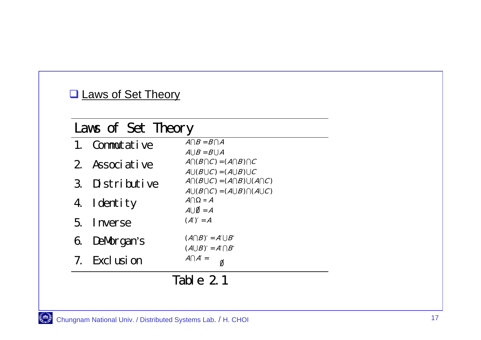#### **Q** Laws of Set Theory

### Laws of Set Theory

| Tabl e 21     |               |                                                                                                                                                                                                                                                          |  |  |
|---------------|---------------|----------------------------------------------------------------------------------------------------------------------------------------------------------------------------------------------------------------------------------------------------------|--|--|
|               | 7. Exclusion  | $A\cap A' =$<br>Ø                                                                                                                                                                                                                                        |  |  |
| 6.            | Dendergan's   | $(A \cap B)' = A' \cup B'$<br>$(A \cup B)' = A' \cap B'$                                                                                                                                                                                                 |  |  |
|               | 5. Inverse    | $(A')' = A$                                                                                                                                                                                                                                              |  |  |
|               | 4. I dentity  | $A \cap (B \cap C) = (A \cap B) \cap C$<br>$A\bigcup(B\bigcup C) = (A\bigcup B)\bigcup C$<br>$A \cap (B \cup C) = (A \cap B) \cup (A \cap C)$<br>$A\bigcup(B\bigcap C)=(A\bigcup B)\bigcap(A\bigcup C)$<br>$A \cap \Omega = A$<br>$A \cup \emptyset = A$ |  |  |
| $\mathcal{S}$ | Distributive  |                                                                                                                                                                                                                                                          |  |  |
|               | 2 Associative |                                                                                                                                                                                                                                                          |  |  |
|               | Commutative   | $A \cap B = B \cap A$<br>$A \cup B = B \cup A$                                                                                                                                                                                                           |  |  |

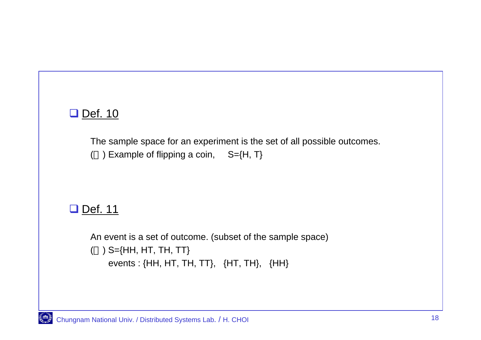#### **□** Def. 10

The sample space for an experiment is the set of all possible outcomes.

) Example of flipping a coin,  $S = {H, T}$ 

#### **□** Def. 11

An event is a set of outcome. (subset of the sample space)

 $( )$  S={HH, HT, TH, TT}

events :  $\{HH, HT, TH, TT\}$ ,  $\{HT, TH\}$ ,  $\{HH\}$ 

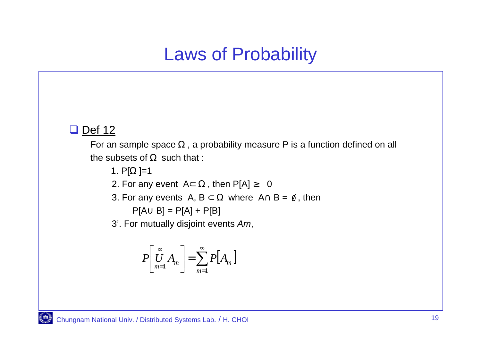### Laws of Probability

#### $\Box$  Def 12

For an sample space , a probability measure P is a function defined on all the subsets of such that:

1.  $PI$   $]=1$ 2. For any event A , then P[A] 0 3. For any events A, B where A  $B = \emptyset$ , then  $P[A \ B] = P[A] + P[B]$ 3'. For mutually disjoint events *Am*,

$$
P\left[\bigcup_{m=1}^{\infty} A_m\right] = \sum_{m=1}^{\infty} P[A_m]
$$

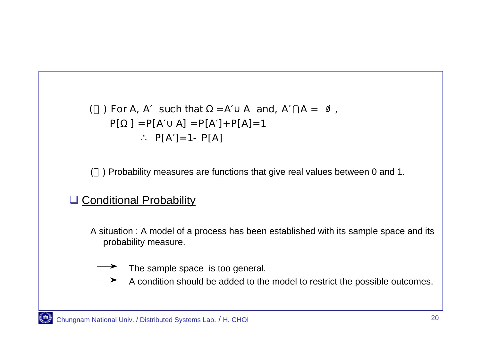( ) For A, A' such that 
$$
= A'
$$
 A and,  $A' \cap A = \emptyset$ ,  
\nP[ ] = P[A' A] = P[A'] + P[A] = 1  
\n $\therefore$  P[A'] = 1 - P[A]

( ) Probability measures are functions that give real values between 0 and 1.

#### **Q** Conditional Probability

A situation : A model of a process has been established with its sample space and its probability measure.

- The sample space is too general.
- A condition should be added to the model to restrict the possible outcomes.

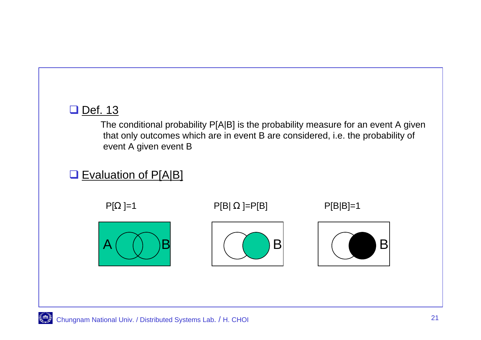### $\Box$  Def. 13

The conditional probability P[A|B] is the probability measure for an event A given that only outcomes which are in event B are considered, i.e. the probability of event A given event B

### **Evaluation of P[A|B]**





Chungnam National Univ. / Distributed Systems Lab. / H. CHOI <sup>21</sup>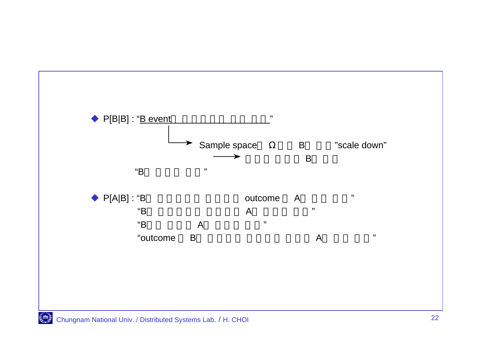

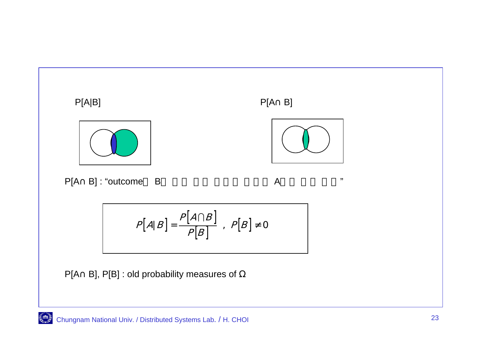

$$
P[A|B] = \frac{P[A \cap B]}{P[B]}, \quad P[B] \neq 0
$$

P[A B], P[B] : old probability measures of

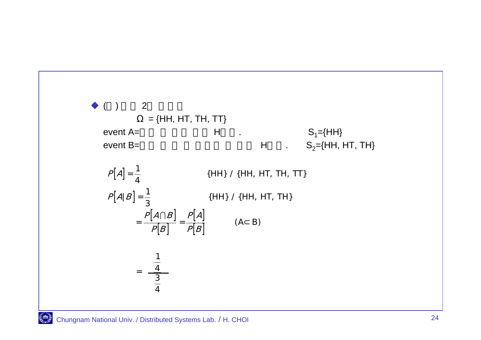$$
\begin{array}{ll}\n\bullet & \text{( ) } & 2 \\
\bullet & = \{\text{HH, HT, TH, TT}\} \\
\text{event A=} & \text{H} & \text{S}_1 = \{\text{HH, HT, TH}\} \\
\bullet & \text{H} & \text{S}_2 = \{\text{HH, HT, TH}\}\n\end{array}
$$

$$
P[A] = \frac{1}{4}
$$
 {HH} / {HH, HT, TH, TT}  
\n
$$
P[A|B] = \frac{1}{3}
$$
 {HH} / {HH, HT, TH}  
\n
$$
= \frac{P[A \cap B]}{P[B]} = \frac{P[A]}{P[B]}
$$
 (A B)  
\n
$$
= \frac{\frac{1}{4}}{\frac{3}{4}}
$$



Chungnam National Univ. / Distributed Systems Lab. / H. CHOI 24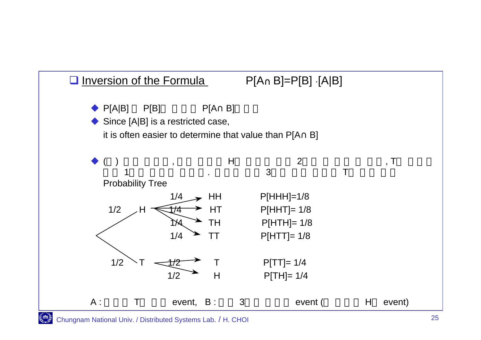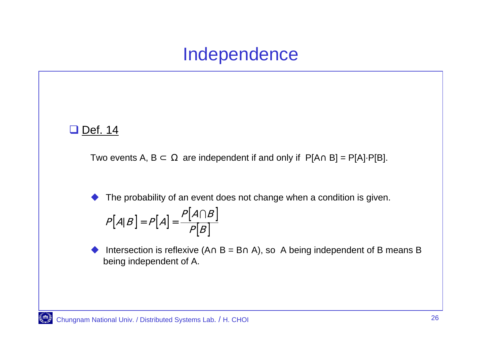### Independence



Two events A, B are independent if and only if  $P[A \ B] = P[A] \cdot P[B]$ .

♦ The probability of an event does not change when a condition is given.

$$
P[A|B] = P[A] = \frac{P[A \cap B]}{P[B]}
$$

♦ Intersection is reflexive  $(A \ B = B \ A)$ , so A being independent of B means B being independent of A.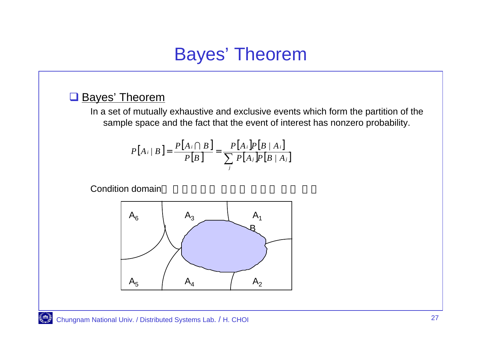### Bayes' Theorem

#### **Q** Bayes' Theorem

In a set of mutually exhaustive and exclusive events which form the partition of the sample space and the fact that the event of interest has nonzero probability.

$$
P[A_i | B] = \frac{P[A_i \cap B]}{P[B]} = \frac{P[A_i]P[B | A_i]}{\sum_j P[A_j]P[B | A_j]}
$$

Condition domain



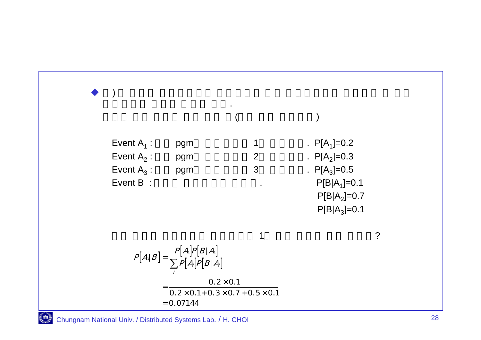



Chungnam National Univ. / Distributed Systems Lab. / H. CHOI <sup>28</sup>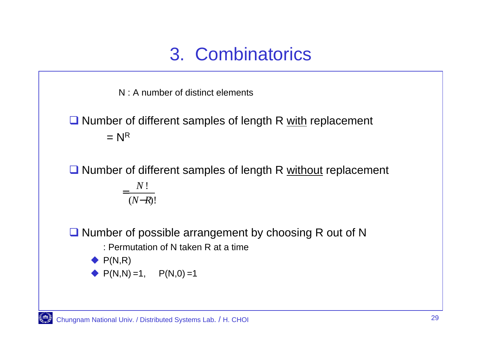### 3. Combinatorics

N : A number of distinct elements

**Q** Number of different samples of length R with replacement  $= N<sup>R</sup>$ 

**Q Number of different samples of length R without replacement**  $(N - R)!$ ! *N R N* − =

**Q** Number of possible arrangement by choosing R out of N

- : Permutation of N taken R at a time
- $\blacktriangleright$  P(N,R)
- $P(N,N) = 1$ ,  $P(N,0) = 1$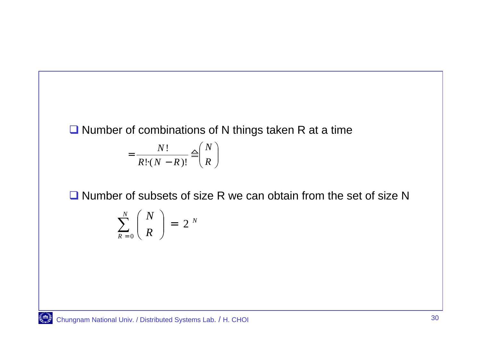$$
\Box
$$
 Number of combinations of N things taken R at a time

$$
= \frac{N!}{R!(N-R)!} \triangleq \binom{N}{R}
$$

■ Number of subsets of size R we can obtain from the set of size N

$$
\sum_{R=0}^{N} \left( \begin{array}{c} N \\ R \end{array} \right) = 2^N
$$

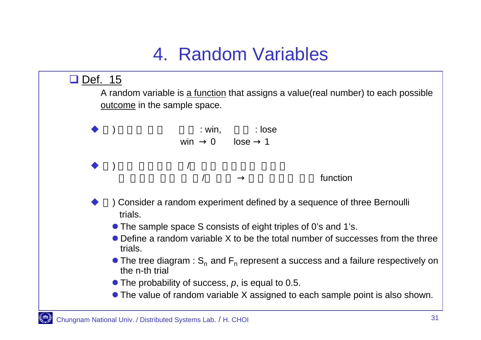### 4. Random Variables

#### **□** Def. 15

♦

A random variable is <u>a function</u> that assigns a value(real number) to each possible <u>outcome</u> in the sample space.



- ) Consider a random experiment defined by a sequence of three Bernoulli trials.
	- The sample space S consists of eight triples of 0's and 1's.
	- $\bullet$  Define a random variable X to be the total number of successes from the three trials.
	- $\bullet$  The tree diagram : S<sub>n</sub> and F<sub>n</sub> represent a success and a failure respectively on the n-th trial
	- The probability of success, p, is equal to 0.5.
	- The value of random variable X assigned to each sample point is also shown.

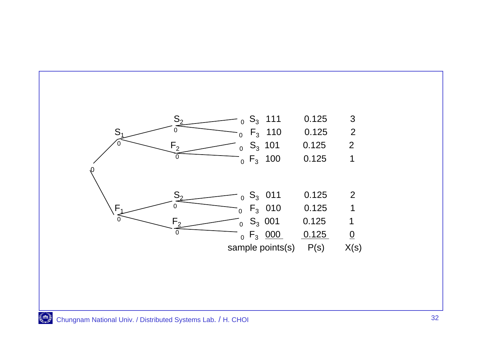

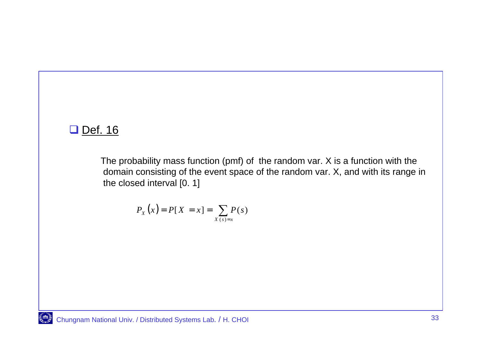#### **□** Def. 16

The probability mass function (pmf) of the random var. X is a function with the domain consisting of the event space of the random var. X, and with its range in the closed interval [0. 1]

$$
P_X(x) = P[X = x] = \sum_{X(s) = x} P(s)
$$

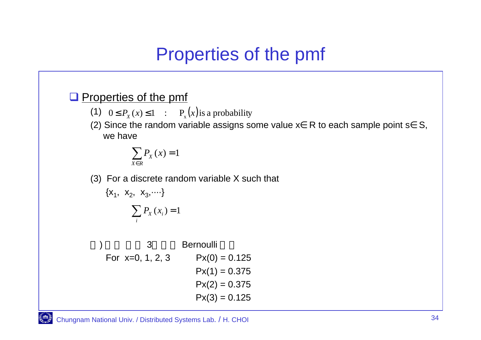### Properties of the pmf

#### **Q** Properties of the pmf

- (1)  $0 \le P_X(x) \le 1$  :  $P_X(x)$  *is a probability*
- (2) Since the random variable assigns some value  $x$  R to each sample point s S, we have

$$
\sum_{X \in R} P_X(x) = 1
$$

(3) For a discrete random variable X such that

$$
\{x_1, x_2, x_3, \cdots\}
$$

$$
\sum_{i} P_{X}(x_{i}) = 1
$$

$$
3
$$
 Bernoulli  
For x=0, 1, 2, 3  
 
$$
Px(0) = 0.125
$$
  
 
$$
Px(1) = 0.375
$$
  
 
$$
Px(2) = 0.375
$$
  
 
$$
Px(3) = 0.125
$$



Chungnam National Univ. / Distributed Systems Lab. / H. CHOI <sup>34</sup>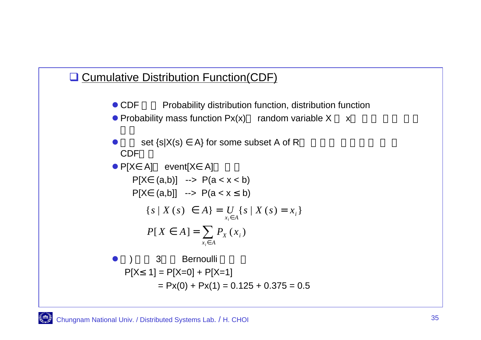#### **Q** Cumulative Distribution Function(CDF)

- $\bullet$  CDF Probability distribution function, distribution function
- Probability mass function  $Px(x)$  random variable  $X$  x

• set 
$$
\{s|X(s) \mid A\}
$$
 for some subset A of R CDF

\n- $$
P[X \ A]
$$
 *event[X \ A] P[X (a,b)] -> P(a < x < b)*
\n- $P[X (a,b]] \ -> P(a < x \ b)$  *{s | X(s) \in A} = U {s | X(s) = x<sub>i}</sub>}*
\n- $P[X \in A] = \sum_{x_i \in A} P_X(x_i)$
\n- *3 Bernoulli*  $P[X \ 1] = P[X=0] + P[X=1]$
\n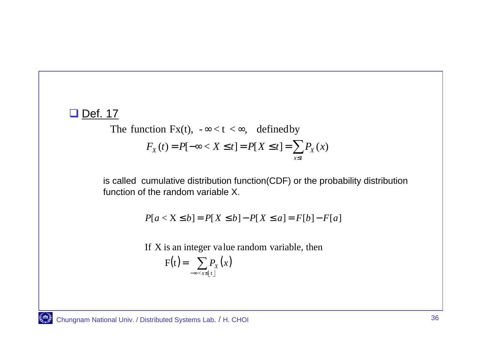#### **□** Def. 17

∑ ≤ $= P[-\infty < X \leq t] = P[X \leq t] =$ The function  $Fx(t), -\infty < t < \infty$ , defined by *x t*  $F_X(t) = P[-\infty < X \le t] = P[X \le t] = \sum P_X(x)$ 

is called cumulative distribution function(CDF) or the probability distribution function of the random variable X.

$$
P[a < X \le b] = P[X \le b] - P[X \le a] = F[b] - F[a]
$$

If X is an integer value random variable, then

$$
F(t) = \sum_{-\infty < x \leq \lfloor t \rfloor} P_X(x)
$$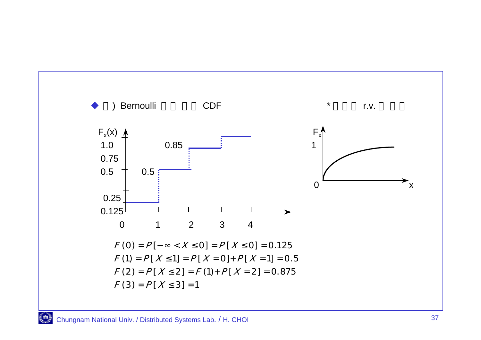

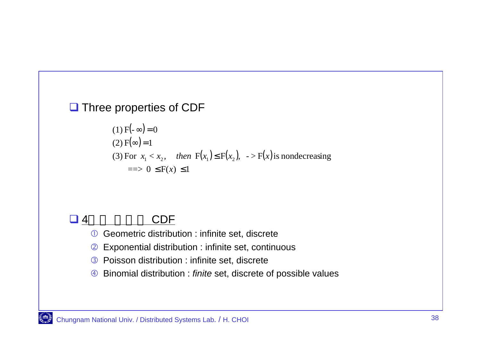### **Three properties of CDF**  $(1) F(-\infty) = 0$  $(2) F(\infty) = 1$ (3) For  $x_1 < x_2$ , then  $F(x_1) \le F(x_2)$ ,  $\rightarrow F(x)$  is nondecreasing  $\Rightarrow$  0  $\leq$  F(x)  $\leq$  1

#### $\Box$  4 4 CDF

- $\odot$  Geometric distribution : infinite set, discrete
- $\circled{2}$ Exponential distribution : infinite set, continuous
- $\circled{3}$ Poisson distribution : infinite set, discrete
- $\bigcirc$ Binomial distribution : *finite* set, discrete of possible values

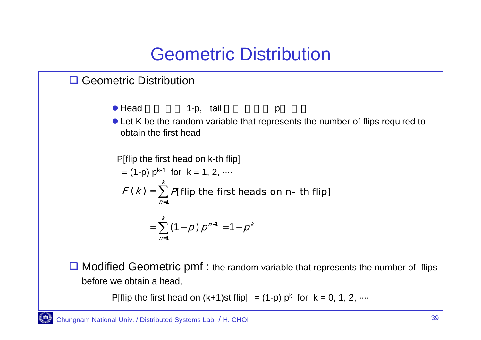### Geometric Distribution

#### **□ Geometric Distribution**

• Head 1-p, tail p • Let K be the random variable that represents the number of flips required to obtain the first head

P[flip the first head on k-th flip]  $=$  (1-p)  $p^{k-1}$  for  $k = 1, 2, ...$  $F(k) = \sum P$  $p) p^{n-1} = 1-p$ n(*k* ) =  $\sum\limits_{}^k P$ [flip the first heads on n- th flip] n $=\sum_{k=1}^{k}(1-p)p^{n-1}=1-p^{k}$  $\sum (1-\rho) \, \rho^{n-1}$ 111 - p )  $p^{n-1} = 1$ 

■ Modified Geometric pmf: the random variable that represents the number of flips before we obtain a head,

P[flip the first head on  $(k+1)$ st flip] =  $(1-p)$  p<sup>k</sup> for  $k = 0, 1, 2, ...$ 

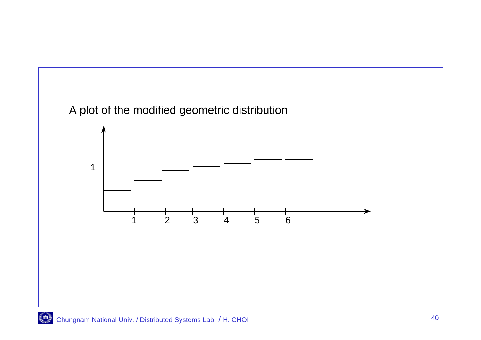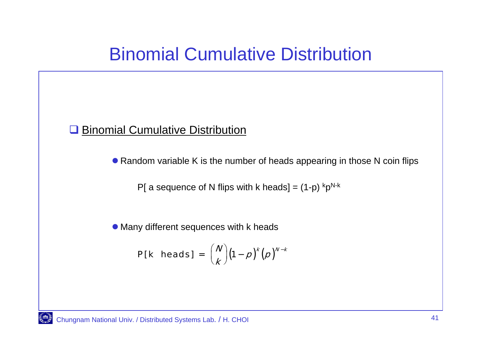### Binomial Cumulative Distribution

#### **■ Binomial Cumulative Distribution**

 $\bullet$  Random variable K is the number of heads appearing in those N coin flips

P[ a sequence of N flips with k heads] =  $(1-p)^{k}p^{N-k}$ 

• Many different sequences with k heads

P[k heads] = 
$$
\binom{N}{k} (1-p)^k (p)^{N-k}
$$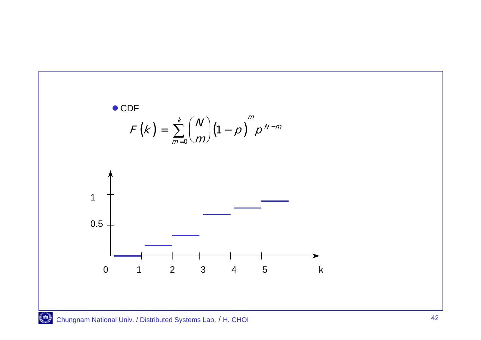

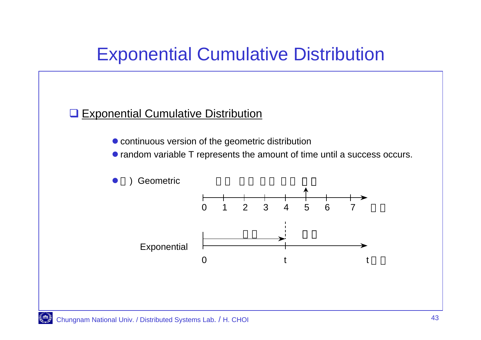### Exponential Cumulative Distribution

#### **Exponential Cumulative Distribution**

 $\bullet$  continuous version of the geometric distribution

• random variable T represents the amount of time until a success occurs.





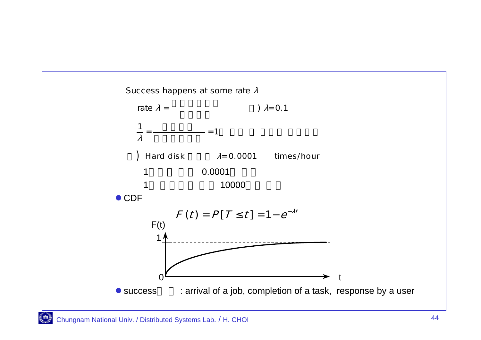

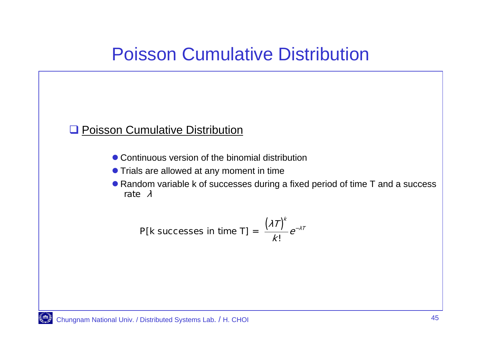### Poisson Cumulative Distribution

#### **Q** Poisson Cumulative Distribution

- Continuous version of the binomial distribution
- Trials are allowed at any moment in time
- Random variable k of successes during a fixed period of time T and a success rate λ

P[k successes in time T] = 
$$
\frac{(\lambda T)^{k}}{k!}e^{-\lambda T}
$$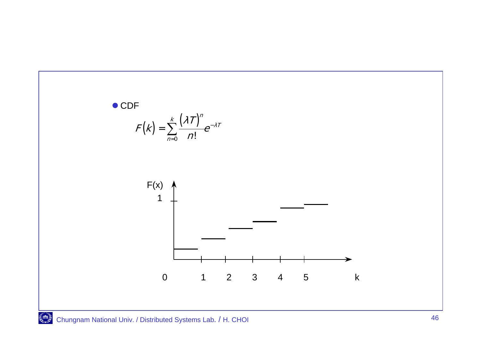

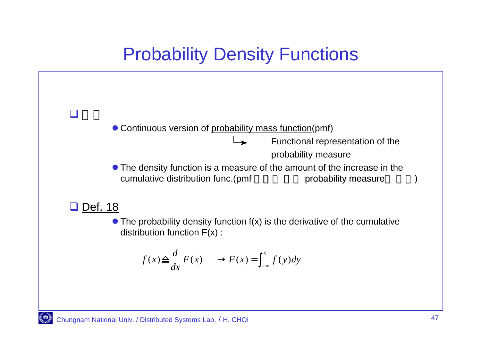### Probability Density Functions



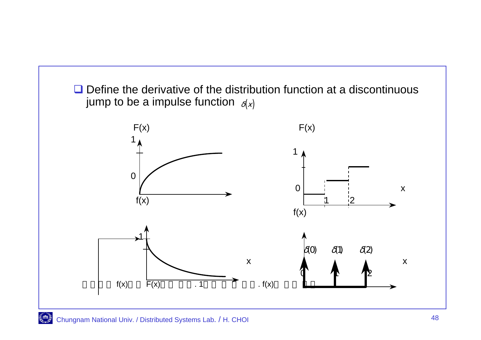$\Box$  Define the derivative of the distribution function at a discontinuous jump to be a impulse function  $|_{\delta(x)}$ 



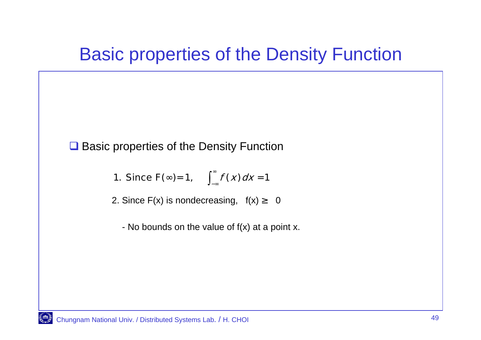### Basic properties of the Density Function

#### **■ Basic properties of the Density Function**

1. Since 
$$
F(\infty) = 1
$$
,  $\int_{-\infty}^{\infty} f(x) dx = 1$ 

2. Since  $F(x)$  is nondecreasing,  $f(x) = 0$ 

- No bounds on the value of f(x) at a point x.

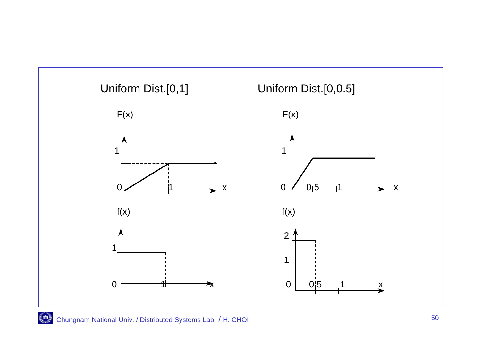

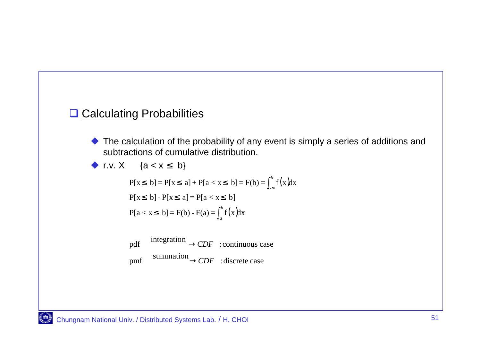#### **Q** Calculating Probabilities

- ◆ The calculation of the probability of any event is simply a series of additions and subtractions of cumulative distribution.
- r.v.  $X$  {a < x b}

$$
P[x \quad b] = P[x \quad a] + P[a < x \quad b] = F(b) = \int_{-\infty}^{b} f(x) \, dx
$$
\n
$$
P[x \quad b] - P[x \quad a] = P[a < x \quad b]
$$

$$
P[a < x \quad b] = F(b) - F(a) = \int_a^b f(x) dx
$$

pdf 
$$
\xrightarrow{\text{integration}}
$$
  $\longrightarrow$  *CDF* :continuous case  
pmf  $\xrightarrow{\text{summation}}$   $\longrightarrow$  *CDF* :discrete case

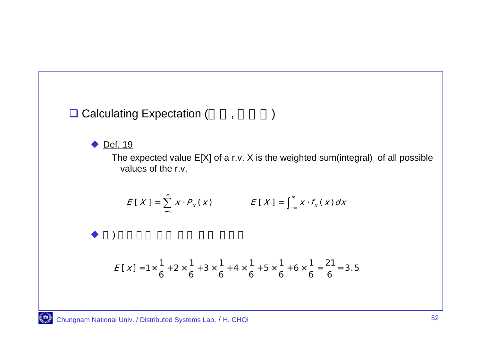#### □ Calculating Expectation ( , )

♦ Def. 19

♦

The expected value E[X] of a r.v. X is the weighted sum(integral) of all possible values of the r.v.

$$
E[X] = \sum_{-\infty}^{\infty} x \cdot P_x(x)
$$
  
\n
$$
E[X] = \int_{-\infty}^{\infty} x \cdot f_x(x) dx
$$
  
\n
$$
E[X] = 1 \times \frac{1}{6} + 2 \times \frac{1}{6} + 3 \times \frac{1}{6} + 4 \times \frac{1}{6} + 5 \times \frac{1}{6} + 6 \times \frac{1}{6} = \frac{21}{6} = 3.5
$$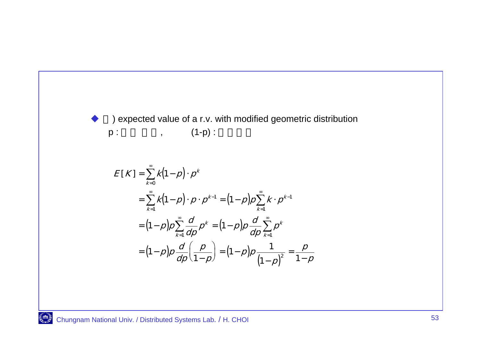♦ ) expected value of a r.v. with modified geometric distribution p : , (1-p) :

$$
E[K] = \sum_{k=0}^{\infty} k(1-p) \cdot p^{k}
$$
  
=  $\sum_{k=1}^{\infty} k(1-p) \cdot p \cdot p^{k-1} = (1-p)p \sum_{k=1}^{\infty} k \cdot p^{k-1}$   
=  $(1-p)p \sum_{k=1}^{\infty} \frac{d}{dp} p^{k} = (1-p)p \frac{d}{dp} \sum_{k=1}^{\infty} p^{k}$   
=  $(1-p)p \frac{d}{dp} \left(\frac{p}{1-p}\right) = (1-p)p \frac{1}{(1-p)^{2}} = \frac{p}{1-p}$ 

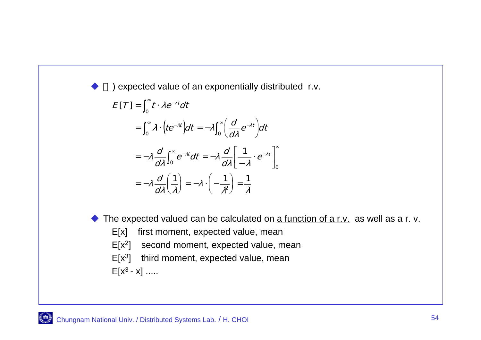) expected value of an exponentially distributed r.v.

$$
E[T] = \int_0^{\infty} t \cdot \lambda e^{-\lambda t} dt
$$
  
\n
$$
= \int_0^{\infty} \lambda \cdot \left( t e^{-\lambda t} \right) dt = -\lambda \int_0^{\infty} \left( \frac{d}{d\lambda} e^{-\lambda t} \right) dt
$$
  
\n
$$
= -\lambda \frac{d}{d\lambda} \int_0^{\infty} e^{-\lambda t} dt = -\lambda \frac{d}{d\lambda} \left[ \frac{1}{-\lambda} \cdot e^{-\lambda t} \right]_0^{\infty}
$$
  
\n
$$
= -\lambda \frac{d}{d\lambda} \left( \frac{1}{\lambda} \right) = -\lambda \cdot \left( -\frac{1}{\lambda^2} \right) = \frac{1}{\lambda}
$$

♦ The expected valued can be calculated on a function of a r.v. as well as a r.v.

- E[x] first moment, expected value, mean
- $E[x^2]$  second moment, expected value, mean
- $E[x^3]$  third moment, expected value, mean

 $E[x^3 - x]$  .....

♦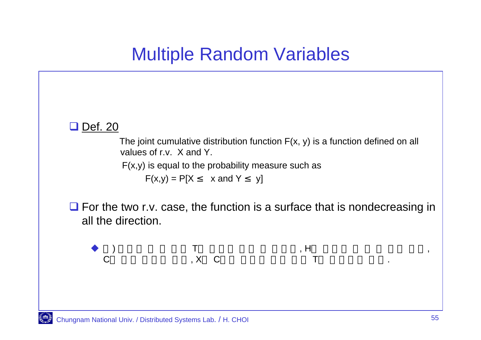### Multiple Random Variables



 ) T , H , C, X C T .

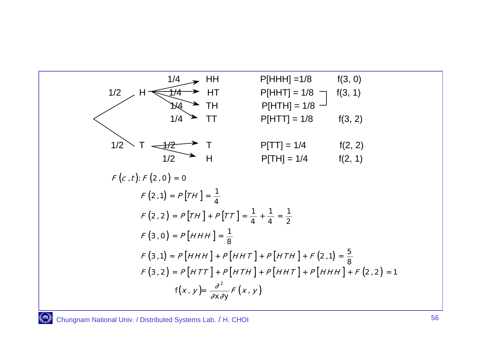1/4 HH P[HHH] =1/8 f(3, 0) 1/2 H 1/4 HT P[HHT] = 1/8 f(3, 1) 1/4 TH P[HTH] = 1/8 1/4 TT P[HTT] = 1/8 f(3, 2) 1/2 T 1/2 T P[TT] = 1/4 f(2, 2) 1/2 H P[TH] = 1/4 f(2, 1) ( )( ) ( ) [ ] ( ) [] [] ( ) [ ] ( ) [ ][ ][ ] ( ) ( ) [ ][ ][ ][ ] ( ) ( ) ( ) F <sup>c</sup> t F F P T H F P T H P TT F P HHHF P HHH P H H T P H T H F F P H TT P H T H P H H T P HHH F <sup>x</sup> y F <sup>x</sup> y , : , 0 , 2 , 0 , , , 2 , 2 , , 2 0 <sup>2</sup> <sup>1</sup> <sup>1</sup> 42 <sup>1</sup> 414123 <sup>1</sup> 8<sup>31</sup> <sup>21</sup> <sup>5</sup> 83 21 == <sup>=</sup>= + =+== <sup>=</sup>= + + +== + + + += f <sup>=</sup><sup>x</sup> y 2 ∂∂ ∂



Chungnam National Univ. / Distributed Systems Lab. / H. CHOI 56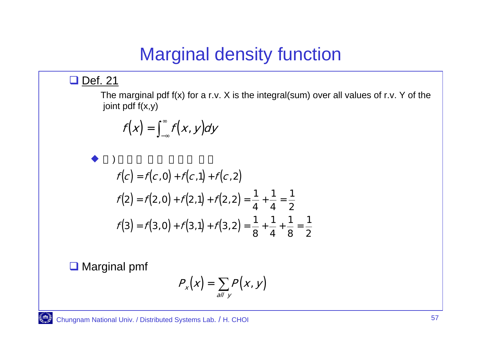### Marginal density function

#### **□** Def. 21

The marginal pdf  $f(x)$  for a r.v. X is the integral(sum) over all values of r.v. Y of the joint pdf f(x,y)

$$
f(x) = \int_{-\infty}^{\infty} f(x, y) dy
$$
  
\n
$$
f(c) = f(c, 0) + f(c, 1) + f(c, 2)
$$
  
\n
$$
f(2) = f(2, 0) + f(2, 1) + f(2, 2) = \frac{1}{4} + \frac{1}{4} = \frac{1}{2}
$$
  
\n
$$
f(3) = f(3, 0) + f(3, 1) + f(3, 2) = \frac{1}{8} + \frac{1}{4} + \frac{1}{8} = \frac{1}{2}
$$

**□** Marginal pmf

$$
P_{X}(X) = \sum_{\text{all } y} P(x, y)
$$

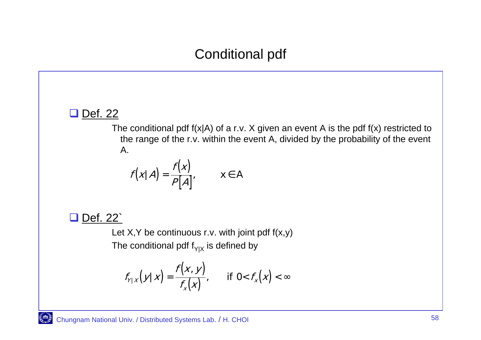#### **□** Def. 22

The conditional pdf  $f(x|A)$  of a r.v. X given an event A is the pdf  $f(x)$  restricted to the range of the r.v. within the event A, divided by the probability of the event A.

$$
f(x|A) = \frac{f(x)}{P[A]}, \qquad x \in A
$$

#### **□** Def. 22`

Let  $X, Y$  be continuous r.v. with joint pdf  $f(x,y)$ The conditional pdf  $f_{Y|X}$  is defined by

$$
f_{Y|X}(y|x) = \frac{f(x,y)}{f_x(x)}, \quad \text{if } 0 < f_x(x) < \infty
$$



Chungnam National Univ. / Distributed Systems Lab. / H. CHOI 58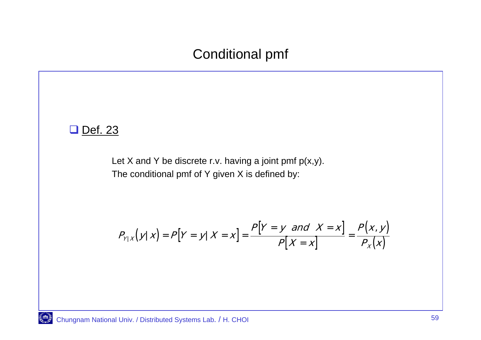### Conditional pmf

#### **□** Def. 23

Let X and Y be discrete r.v. having a joint pmf  $p(x,y)$ . The conditional pmf of Y given X is defined by:

$$
P_{Y|X}(y|x) = P[Y = y | X = x] = \frac{P[Y = y \text{ and } X = x]}{P[X = x]} = \frac{P(X, y)}{P(X)}
$$

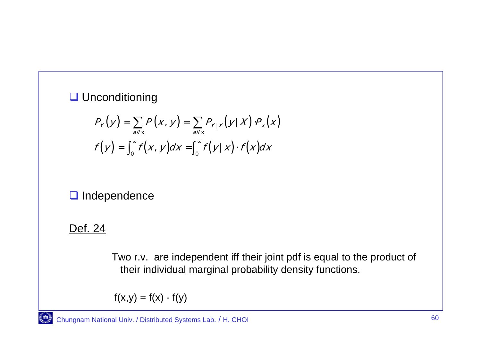#### **Q** Unconditioning

$$
P_Y(y) = \sum_{\text{all } x} P(x, y) = \sum_{\text{all } x} P_{Y|X}(y|X) \cdot P_X(x)
$$

$$
f(y) = \int_0^\infty f(x, y) \, dx = \int_0^\infty f(y|x) \cdot f(x) \, dx
$$

#### **Q** Independence

#### Def. 24

Two r.v. are independent iff their joint pdf is equal to the product of their individual marginal probability density functions.

 $f(x,y) = f(x) \cdot f(y)$ 

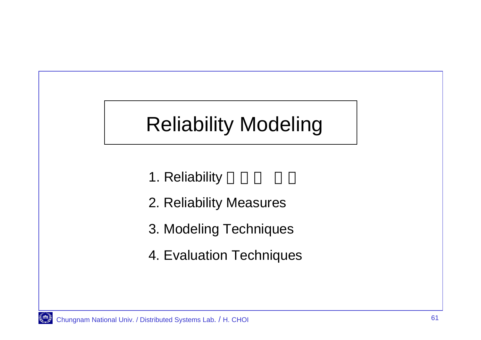# Reliability Modeling

- 1. Reliability
- 2. Reliability Measures
- 3. Modeling Techniques
- 4. Evaluation Techniques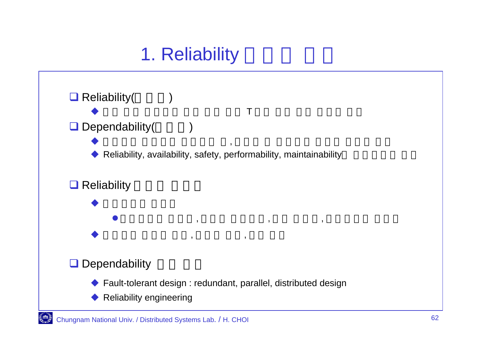## 1. Reliability

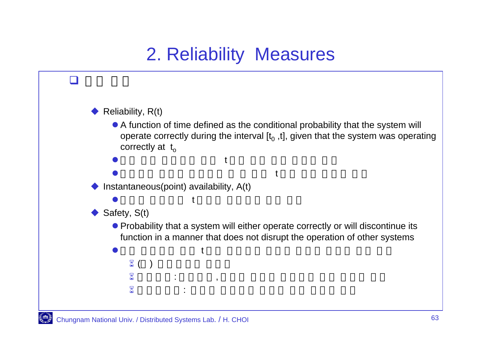### 2. Reliability Measures



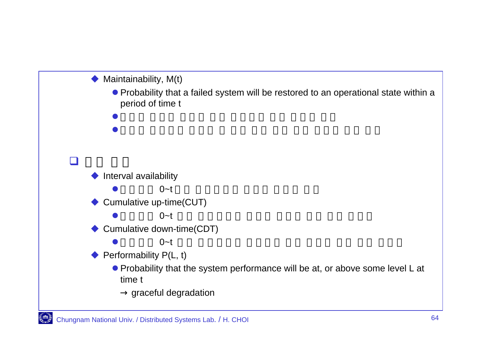

O

O

O

O

O

 $\Box$ 

• Probability that a failed system will be restored to an operational state within a period of time t

♦ Interval availability

 $0 - t$ 

- ♦ Cumulative up-time(CUT)
	- $0 t$
- ♦ Cumulative down-time(CDT)

 $0-t$ 

- ♦ Performability P(L, t)
	- Probability that the system performance will be at, or above some level L at time t
		- $\rightarrow$  graceful degradation

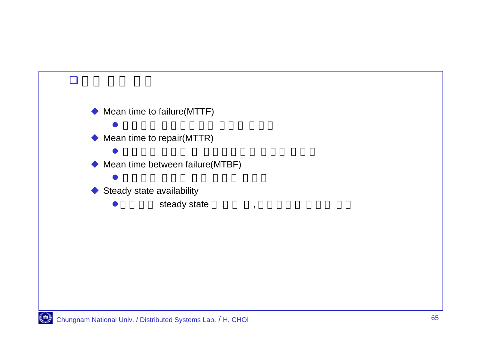

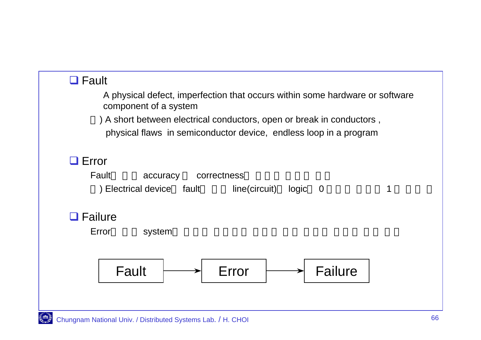#### **□ Fault**

A physical defect, imperfection that occurs within some hardware or software component of a system

) A short between electrical conductors, open or break in conductors , physical flaws in semiconductor device, endless loop in a program

#### **□** Error



#### **□ Failure**

Errorsystem



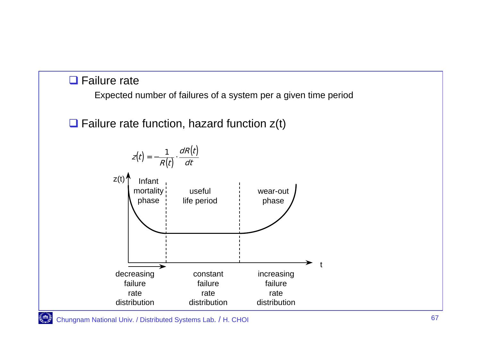#### **Q** Failure rate

Expected number of failures of a system per a given time period

 $\Box$  Failure rate function, hazard function  $z(t)$ 





Chungnam National Univ. / Distributed Systems Lab. / H. CHOI <sup>67</sup>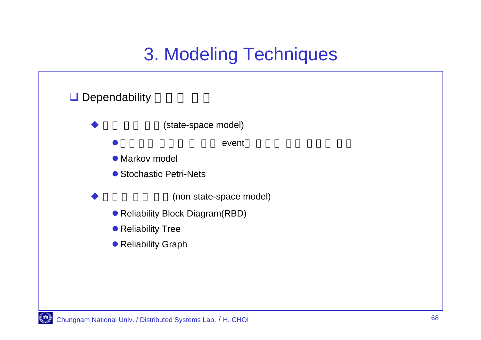### 3. Modeling Techniques



O

♦

♦

- (state-space model)
	- event
- Markov model
- Stochastic Petri-Nets
	- (non state-space model)
- Reliability Block Diagram(RBD)
- Reliability Tree
- Reliability Graph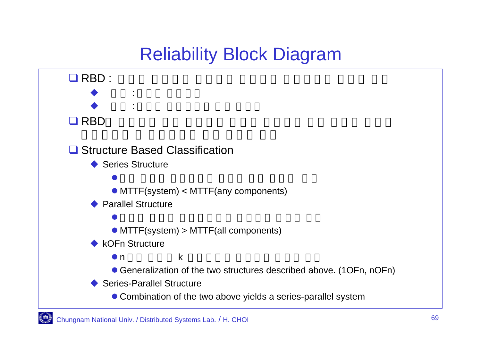### Reliability Block Diagram



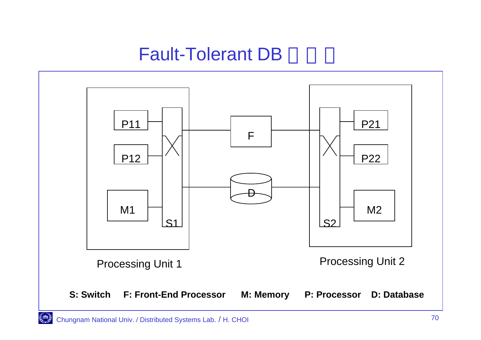### Fault-Tolerant DB

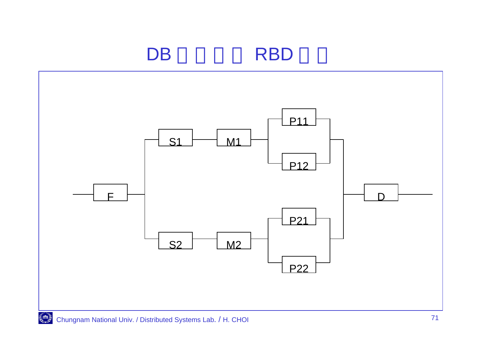DB RBD



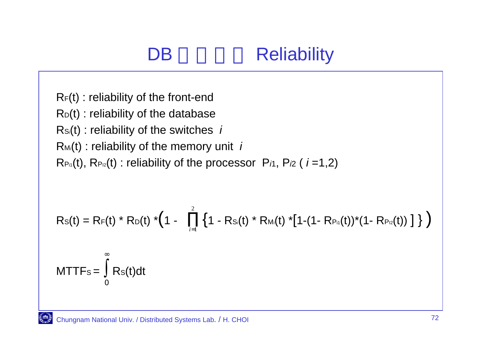

- $R_F(t)$ : reliability of the front-end
- $R_D(t)$ : reliability of the database
- RSi(t) : reliability of the switches *i*
- RMi(t) : reliability of the memory unit *i*

 $R_{P_{11}}(t)$ ,  $R_{P_{12}}(t)$ : reliability of the processor  $P_{11}$ ,  $P_{12}$  ( $i=1,2$ )

$$
Rs(t) = R_F(t) * R_D(t) * \left(1 - \prod_{i=1}^{2} \{1 - Rs_i(t) * R_{M_i}(t) * [1-(1 - R_{P_{i1}}(t)) * (1 - R_{P_{12}}(t)) ]\}\right)
$$

$$
MTTF_s = \int\limits_0^\infty \mathsf{Rs}(t) dt
$$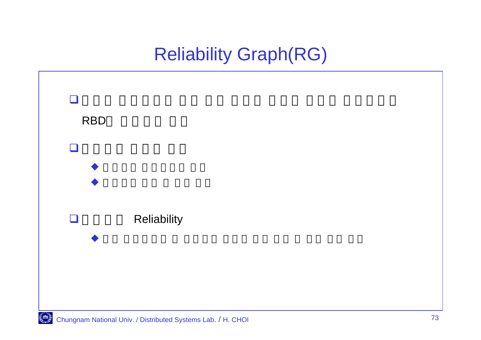## Reliability Graph(RG)



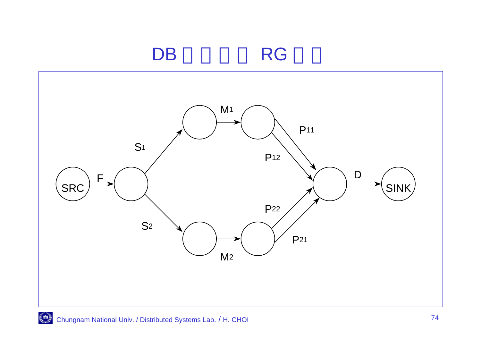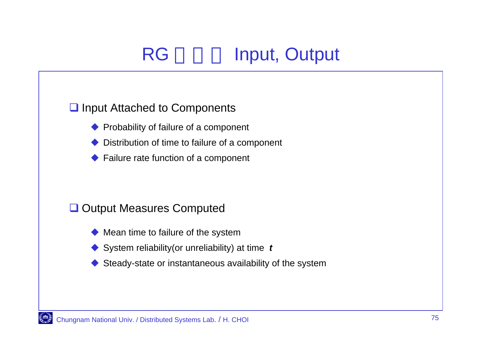# RG Input, Output

#### **Q** Input Attached to Components

- ♦ Probability of failure of a component
- ♦ Distribution of time to failure of a component
- ◆ Failure rate function of a component

#### **Q** Output Measures Computed

- ♦ Mean time to failure of the system
- ◆ System reliability (or unreliability) at time *t*
- ♦ Steady-state or instantaneous availability of the system

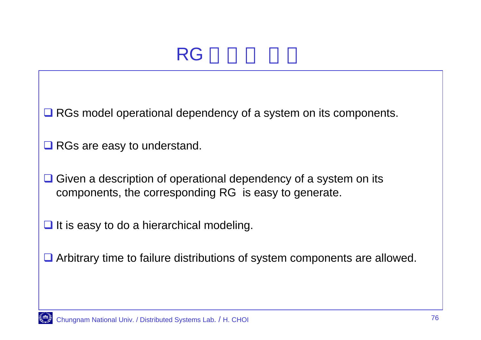**□ RGs model operational dependency of a system on its components.** 

**■ RGs are easy to understand.** 

**□** Given a description of operational dependency of a system on its components, the corresponding RG is easy to generate.

 $\Box$  It is easy to do a hierarchical modeling.

**Q** Arbitrary time to failure distributions of system components are allowed.

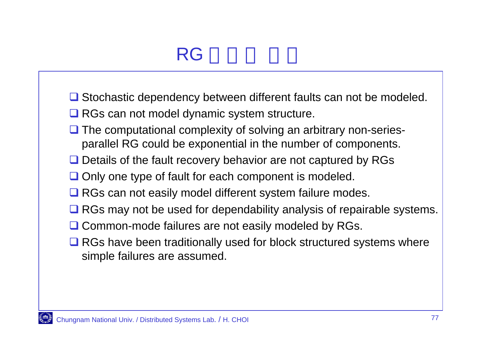- **□** Stochastic dependency between different faults can not be modeled.
- **RGs can not model dynamic system structure.**
- **The computational complexity of solving an arbitrary non-series**parallel RG could be exponential in the number of components.
- **Q** Details of the fault recovery behavior are not captured by RGs
- Only one type of fault for each component is modeled.
- **RGs can not easily model different system failure modes.**
- **□ RGs may not be used for dependability analysis of repairable systems.**
- **Q** Common-mode failures are not easily modeled by RGs.
- **RGs have been traditionally used for block structured systems where** simple failures are assumed.

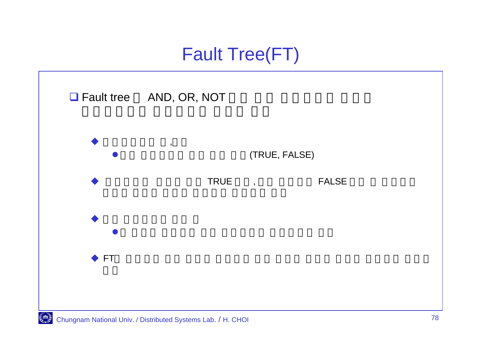

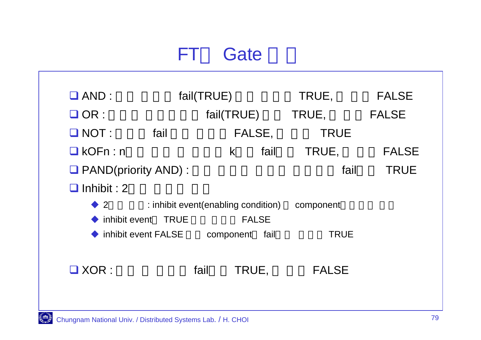#### FT**Gate**

 $\Box$  AND : fail(TRUE) TRUE, FALSE  $\Box$  OR : fail(TRUE) TRUE, FALSE  $\blacksquare$  NOT : fail **FALSE, TRUE** ■kOFn : n k fail TRUE, FALSE **Q** PAND(priority AND) : example and the fail of TRUE  $\Box$  Inhibit : 2  $\bullet$  2 2 : inhibit event(enabling condition) component ◆ inhibit event TRUE FALSE ◆ inhibit event FALSE component fail TRUE ■ XOR : TRUE, TRUE, TALSE

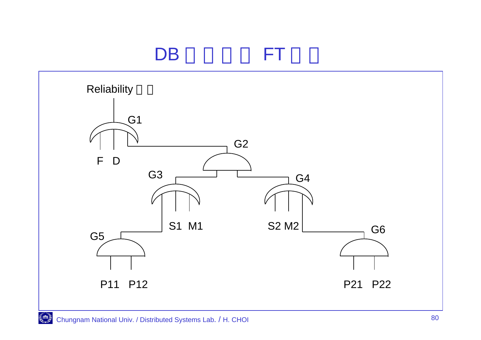

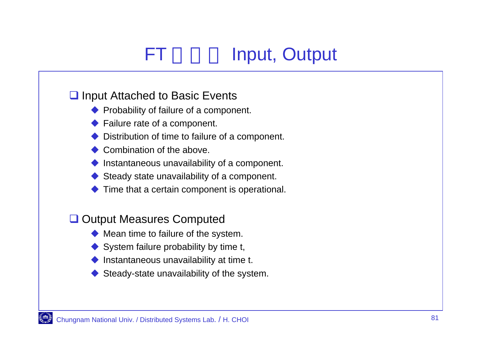# FT Input, Output

#### **Q Input Attached to Basic Events**

- ♦ Probability of failure of a component.
- ♦ Failure rate of a component.
- ♦ Distribution of time to failure of a component.
- ♦ Combination of the above.
- ♦ Instantaneous unavailability of a component.
- ♦ Steady state unavailability of a component.
- ♦ Time that a certain component is operational.

#### **Q** Output Measures Computed

- ◆ Mean time to failure of the system.
- ♦ System failure probability by time t,
- ♦ Instantaneous unavailability at time t.
- ♦ Steady-state unavailability of the system.

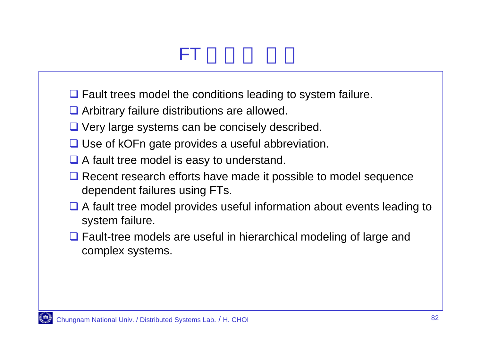### FT

- **Q** Fault trees model the conditions leading to system failure.
- **Q** Arbitrary failure distributions are allowed.
- **Q** Very large systems can be concisely described.
- **□ Use of kOFn gate provides a useful abbreviation.**
- **■** A fault tree model is easy to understand.
- **□** Recent research efforts have made it possible to model sequence dependent failures using FTs.
- A fault tree model provides useful information about events leading to system failure.
- **■** Fault-tree models are useful in hierarchical modeling of large and complex systems.

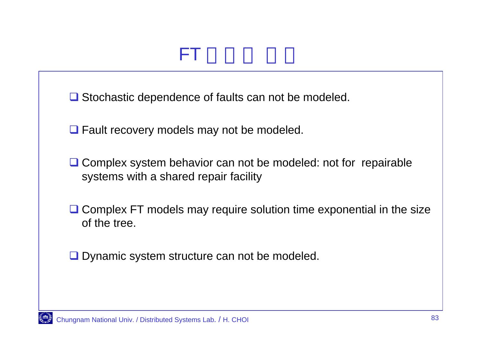**□** Stochastic dependence of faults can not be modeled.

**Q** Fault recovery models may not be modeled.

**□ Complex system behavior can not be modeled: not for repairable** systems with a shared repair facility

**□ Complex FT models may require solution time exponential in the size** of the tree.

**Q** Dynamic system structure can not be modeled.

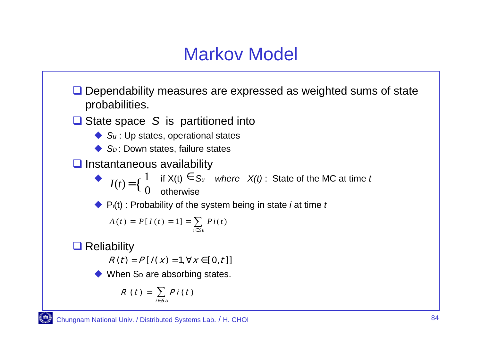### Markov Model

**Q** Dependability measures are expressed as weighted sums of state probabilities.

- **□** State space S is partitioned into
	- ◆ *Su* : Up states, operational states
	- ◆ *S<sub>D</sub>*: Down states, failure states
- $\Box$  Instantaneous availability

$$
I(t) = \begin{cases} 1 & \text{if } X(t) \in S_u \\ 0 & \text{otherwise} \end{cases} \text{ where } X(t): \text{ State of the MC at time } t
$$

♦ Pi(t) : Probability of the system being in state *i* at time *t*

$$
A(t) = P[I(t) = 1] = \sum_{i \in S_u} P(i(t))
$$

#### **Q** Reliability

$$
R(t) = P[f(x) = 1, \forall x \in [0, t]]
$$

♦ When  $S<sub>D</sub>$  are absorbing states.

$$
R(t) = \sum_{i \in S_u} P(i(t))
$$

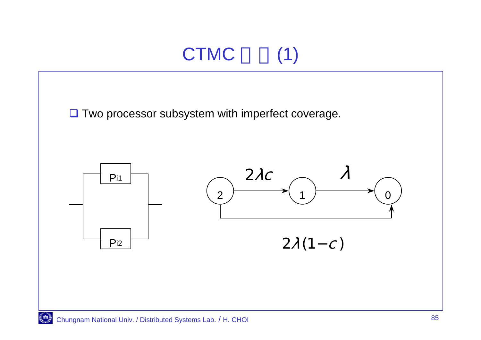

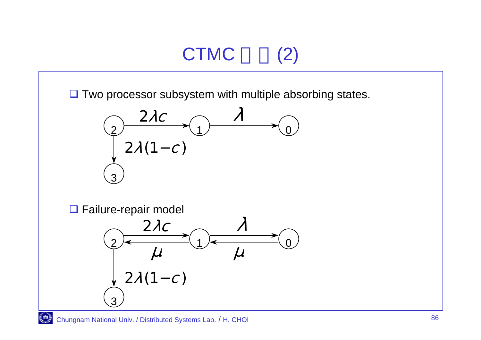### CTMC (2) **T** Two processor subsystem with multiple absorbing states. **Q** Failure-repair model 231 $1/$   $\sqrt{0}$ 2311  $\rightarrow$  0 2λc  $2\lambda (1-c)$  $\lambda$ 2λc  $2\lambda (1 - c)$ λ $\mu$   $\mu$

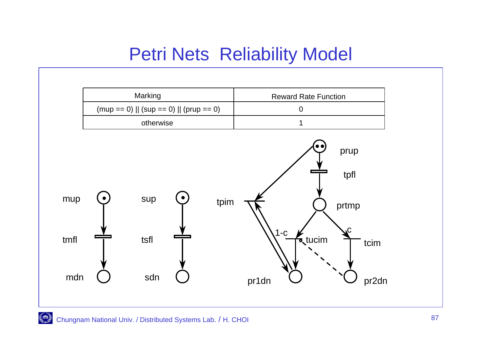## Petri Nets Reliability Model



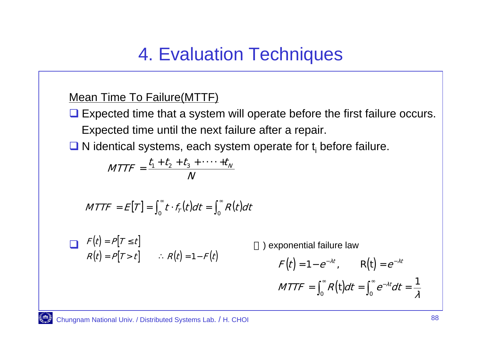## 4. Evaluation Techniques

### Mean Time To Failure(MTTF)

- **■** Expected time that a system will operate before the first failure occurs. Expected time until the next failure after a repair.
- $\Box$  N identical systems, each system operate for  $t_i$  before failure.

$$
MTTF = \frac{t_1 + t_2 + t_3 + \cdots + t_N}{N}
$$

$$
MTTF = E[T] = \int_0^\infty t \cdot f_T(t) dt = \int_0^\infty R(t) dt
$$

$$
\begin{aligned}\nF(t) &= P[T \le t] \\
R(t) &= P[T > t] \\
\therefore R(t) &= 1 - F(t)\n\end{aligned}
$$

) exponential failure law

$$
\therefore R(t) = 1 - F(t)
$$
\n
$$
F(t) = 1 - e^{-\lambda t}, \qquad R(t) = e^{-\lambda t}
$$
\n
$$
MTTF = \int_0^\infty R(t)dt = \int_0^\infty e^{-\lambda t}dt = \frac{1}{\lambda}
$$

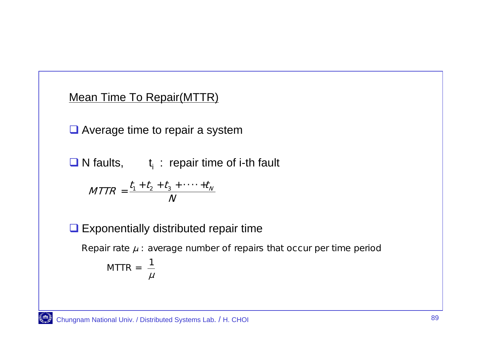### Mean Time To Repair(MTTR)

**Q** Average time to repair a system

 $\Box$  N faults,  $t_i$ : repair time of i-th fault

$$
MTTR = \frac{t_1 + t_2 + t_3 + \cdots + t_N}{N}
$$

#### **Exponentially distributed repair time**

Repair rate  $\mu$  : average number of repairs that occur per time period MTTR =  $\frac{1}{2}$  $\mu$ 

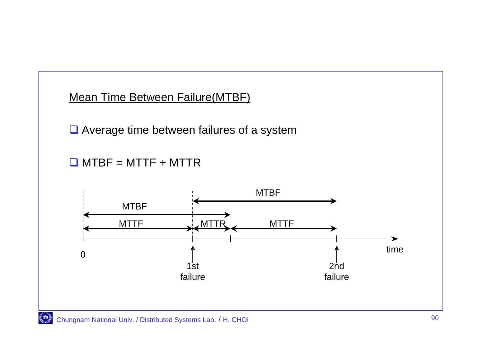

**Q** Average time between failures of a system

 $\Box$  MTBF = MTTF + MTTR



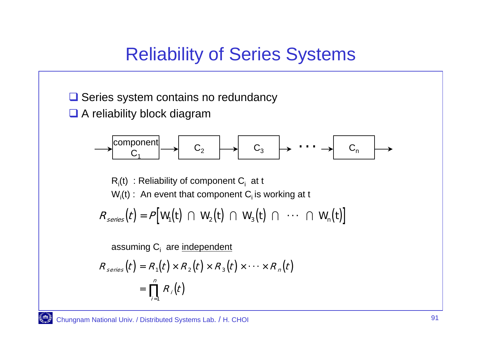## Reliability of Series Systems

**□ Series system contains no redundancy** 

**■ A reliability block diagram** 



 $\mathsf{R}_{\mathsf{i}}\mathsf{(t)}\,$  : Reliability of component  $\mathsf{C}_{\mathsf{i}}\,$  at t  $\mathsf{W}_{\mathsf{i}}(\mathsf{t})$  :  $\,$  An event that component  $\mathsf{C}_{\mathsf{i}}$  is working at t

$$
R_{series}(t) = P[W_1(t) \cap W_2(t) \cap W_3(t) \cap \cdots \cap W_n(t)]
$$

assuming C<sub>i</sub>are <u>independent</u>

$$
R_{series}(t) = R_1(t) \times R_2(t) \times R_3(t) \times \cdots \times R_n(t)
$$
  
= 
$$
\prod_{i=1}^n R_i(t)
$$

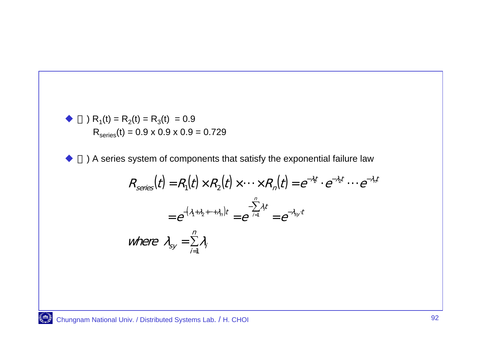• 
$$
R_1(t) = R_2(t) = R_3(t) = 0.9
$$

$$
R_{series}(t) = 0.9 \times 0.9 \times 0.9 = 0.729
$$

♦ ) A series system of components that satisfy the exponential failure law

$$
R_{series}(t) = R_1(t) \times R_2(t) \times \dots \times R_n(t) = e^{-\lambda_1 t} \cdot e^{-\lambda_2 t} \cdots e^{-\lambda_n t}
$$

$$
= e^{-(\lambda_1 + \lambda_2 + \dots + \lambda_n)t} = e^{-\sum_{i=1}^n \lambda_i t} = e^{-\lambda_{s} t}
$$
  
where  $\lambda_{s} = \sum_{i=1}^n \lambda_i$ 

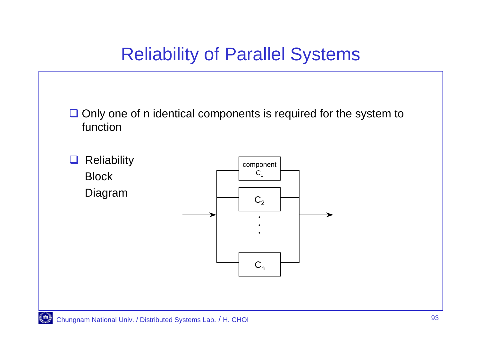

**□** Only one of n identical components is required for the system to function



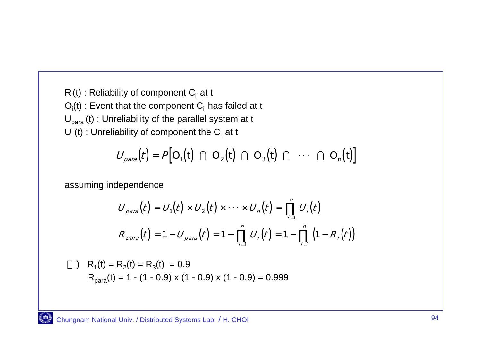$R_i(t)$ : Reliability of component C<sub>i</sub> at t  $O_i(t)$  : Event that the component  $C_i$  has failed at t  $U_{\text{para}}(t)$  : Unreliability of the parallel system at t  ${\sf U}_{\sf i}$  (t) : Unreliability of component the  ${\sf C}_{\sf i}$  at t

$$
U_{\text{para}}(t) = P\big[O_1(t) \cap O_2(t) \cap O_3(t) \cap \cdots \cap O_n(t)\big]
$$

assuming independence

$$
U_{\text{para}}(t) = U_1(t) \times U_2(t) \times \cdots \times U_n(t) = \prod_{i=1}^n U_i(t)
$$
  

$$
R_{\text{para}}(t) = 1 - U_{\text{para}}(t) = 1 - \prod_{i=1}^n U_i(t) = 1 - \prod_{i=1}^n (1 - R_i(t))
$$

$$
R_1(t) = R_2(t) = R_3(t) = 0.9
$$
  
\n
$$
R_{para}(t) = 1 - (1 - 0.9) \times (1 - 0.9) \times (1 - 0.9) = 0.999
$$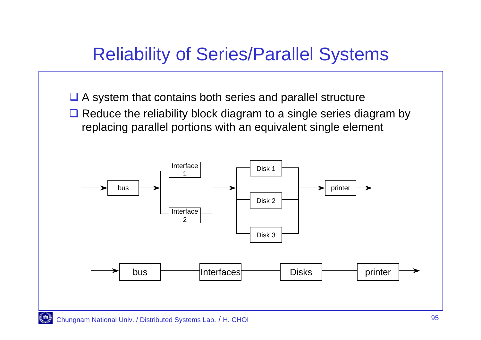### Reliability of Series/Parallel Systems

**■ A system that contains both series and parallel structure** 

**■** Reduce the reliability block diagram to a single series diagram by replacing parallel portions with an equivalent single element



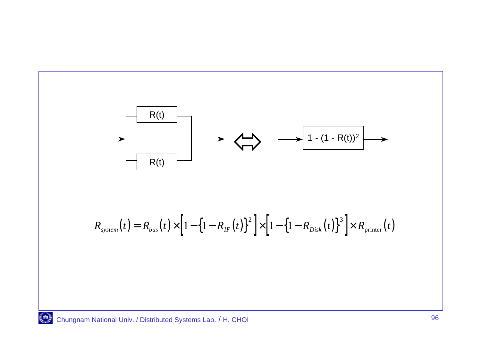

$$
R_{system}(t) = R_{bus}(t) \times [1 - \{1 - R_{IF}(t)\}]^{2} \Big] \times [1 - \{1 - R_{Disk}(t)\}]^{3} \Big] \times R_{printer}(t)
$$

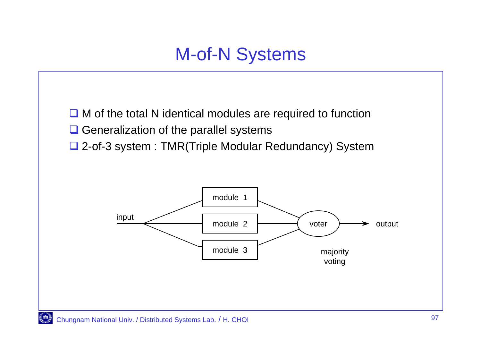

**O** M of the total N identical modules are required to function

- **□** Generalization of the parallel systems
- 2-of-3 system : TMR(Triple Modular Redundancy) System

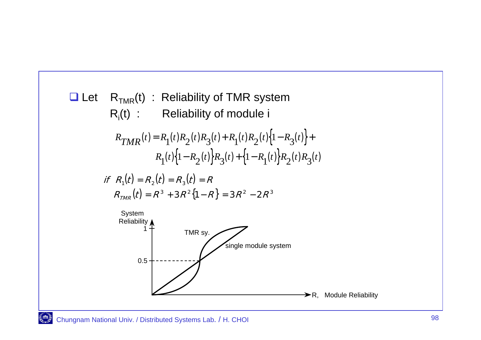$R_{TMR}(t) = R_1(t)R_2(t)R_3(t) + R_1(t)R_2(t)\left\{1 - R_3(t)\right\} +$  $R_1(t)\left\{1 - R_2(t)\right\}R_3(t) + \left\{1 - R_1(t)\right\}R_2(t)R_3(t)$ if  $R_1(t) = R_2(t) = R_3(t) = R$  $R_{\rm TMR}(t) = R^3 + 3R^2 \{1-R\} = 3R^2 - 2R^3$  $\Box$  Let  $R_{TMR}(t)$ : Reliability of TMR system  $R_i(t)$ : Reliability of module i



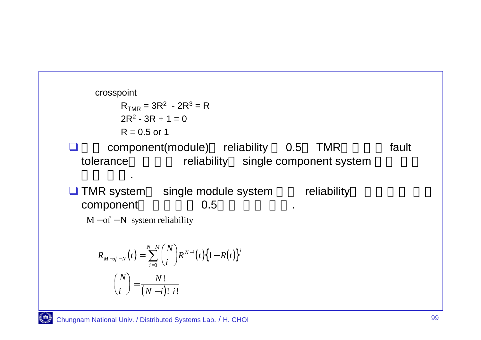\n
$$
\text{crosspoint}
$$
\n
$$
R_{\text{TMR}} = 3R^2 - 2R^3 = R
$$
\n
$$
2R^2 - 3R + 1 = 0
$$
\n
$$
R = 0.5 \text{ or } 1
$$
\n
$$
\text{component (module)} \quad \text{reliability} \quad 0.5 \quad \text{TMR} \quad \text{fault}
$$
\n
$$
\text{tolerance} \quad \text{reliability} \quad \text{single component system}
$$
\n

\n\n
$$
\text{L} \quad \text{TMR system} \quad \text{single module system} \quad \text{reliability}
$$
\n
$$
\text{component} \quad 0.5
$$
\n
$$
M - of - N \quad \text{system reliability}
$$
\n
$$
R_{M - of - N} \quad \text{system reliability}
$$
\n
$$
\left(\frac{N}{i}\right) = \frac{N!}{(N - i)! \quad i!}
$$
\n



Chungnam National Univ. / Distributed Systems Lab. / H. CHOI 99

 $\big(N - i\big)$ 

*N*-*i*)! *i* 

! i!

*i*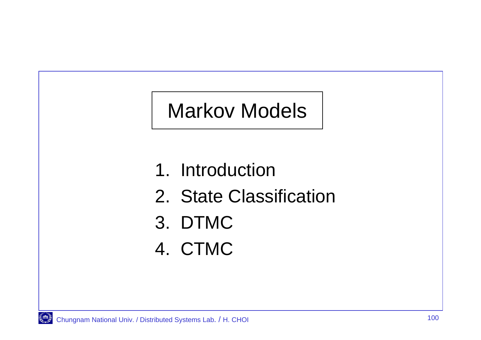# Markov Models

- 1. Introduction
- 2. State Classification
- 3. DTMC
- 4. CTMC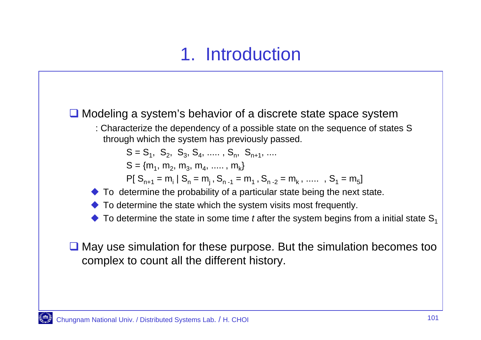## 1. Introduction

**□ Modeling a system's behavior of a discrete state space system** 

: Characterize the dependency of a possible state on the sequence of states S through which the system has previously passed.

$$
S = S_1, S_2, S_3, S_4, \dots, S_n, S_{n+1}, \dots
$$

 $S = \{m_1, m_2, m_3, m_4, \ldots, m_k\}$ 

 $P[ S_{n+1} = m_i | S_n = m_j, S_{n-1} = m_1, S_{n-2} = m_k, ..... , S_1 = m_5]$ 

- ◆ To determine the probability of a particular state being the next state.
- $\blacklozenge$  To determine the state which the system visits most frequently.
- ♦ To determine the state in some time *t* after the system begins from a initial state S<sub>1</sub>
- **May use simulation for these purpose. But the simulation becomes too** complex to count all the different history.

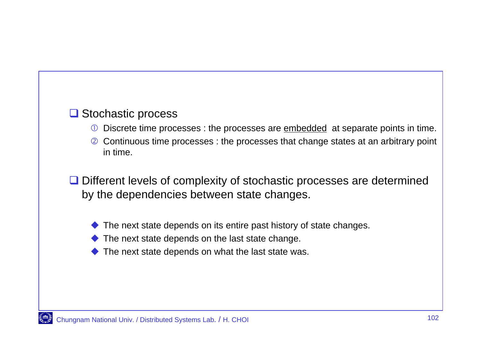#### **□** Stochastic process

- $\circ$ Discrete time processes : the processes are embedded at separate points in time.
- $\circled{2}$  Continuous time processes : the processes that change states at an arbitrary point in time.
- **□** Different levels of complexity of stochastic processes are determined by the dependencies between state changes.
	- ♦ The next state depends on its entire past history of state changes.
	- ♦ The next state depends on the last state change.
	- ♦ The next state depends on what the last state was.

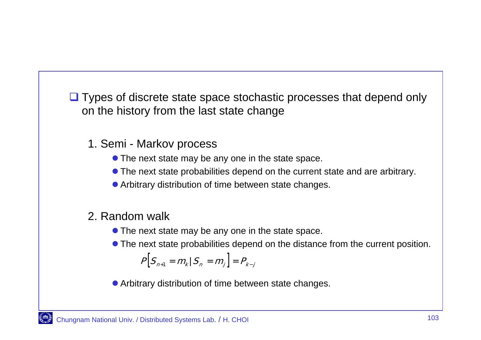**□** Types of discrete state space stochastic processes that depend only on the history from the last state change

- 1. Semi Markov process
	- The next state may be any one in the state space.
	- The next state probabilities depend on the current state and are arbitrary.
	- Arbitrary distribution of time between state changes.

### 2. Random walk

- $\bullet$  The next state may be any one in the state space.
- The next state probabilities depend on the distance from the current position.

$$
P[S_{n+1} = m_k | S_n = m_j] = P_{k-j}
$$

• Arbitrary distribution of time between state changes.

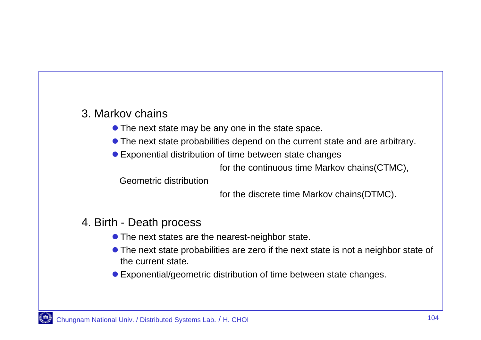### 3. Markov chains

- $\bullet$  The next state may be any one in the state space.
- The next state probabilities depend on the current state and are arbitrary.
- Exponential distribution of time between state changes

for the continuous time Markov chains(CTMC),

Geometric distribution

for the discrete time Markov chains(DTMC).

### 4. Birth - Death process

- The next states are the nearest-neighbor state.
- The next state probabilities are zero if the next state is not a neighbor state of the current state.
- Exponential/geometric distribution of time between state changes.

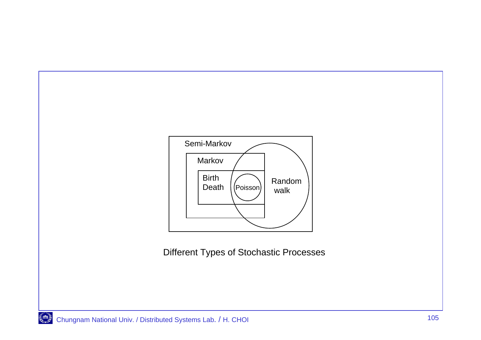

Different Types of Stochastic Processes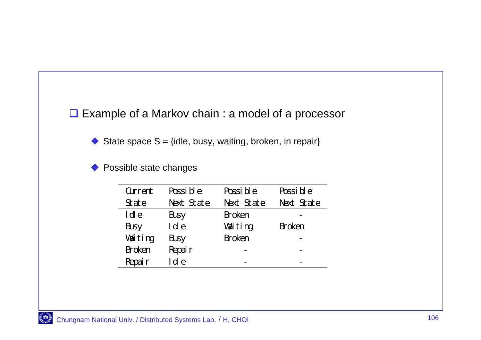**■ Example of a Markov chain : a model of a processor** 

♦ State space  $S = \{$ idle, busy, waiting, broken, in repair $\}$ 

♦ Possible state changes

| Current       | Possi ble   | Possi ble     | Possi ble     |  |
|---------------|-------------|---------------|---------------|--|
| <b>State</b>  | Next State  | Next State    | Next State    |  |
| $Id$ e        | <b>Busy</b> | <b>Broken</b> |               |  |
| <b>Busy</b>   | $Id$ e      | Valiting      | <b>Broken</b> |  |
| Valiting      | <b>Busy</b> | <b>Broken</b> |               |  |
| <b>Broken</b> | Repair      |               |               |  |
| Repair        | $Id$ e      |               |               |  |

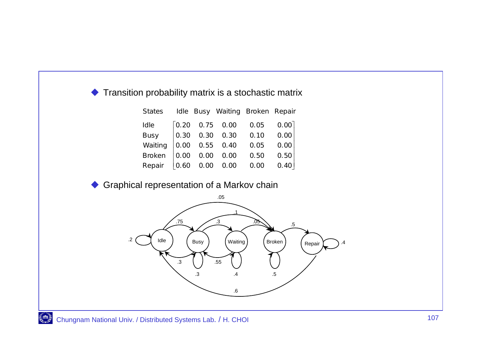Transition probability matrix is a stochastic matrix

| States Idle Busy Waiting Broken Repair                                                                                                |  |  |  |
|---------------------------------------------------------------------------------------------------------------------------------------|--|--|--|
| 1dle 0.20 0.75 0.00 0.05 0.00<br>Busy 0.30 0.30 0.30 0.10 0.00<br>Waiting 0.00 0.55 0.40 0.05 0.00<br>Broken 0.00 0.00 0.00 0.50 0.50 |  |  |  |
|                                                                                                                                       |  |  |  |
|                                                                                                                                       |  |  |  |
|                                                                                                                                       |  |  |  |
| Repair 0.60 0.00 0.00 0.00 0.40                                                                                                       |  |  |  |

♦ Graphical representation of a Markov chain



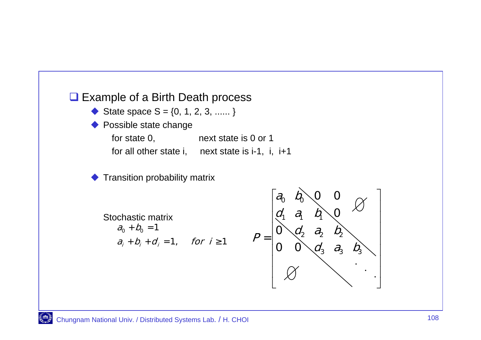





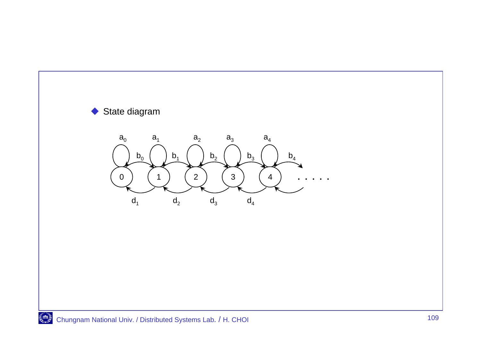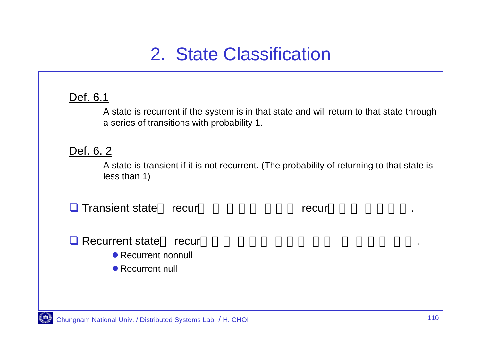# 2. State Classification

#### Def. 6.1

A state is recurrent if the system is in that state and will return to that state through a series of transitions with probability 1.

#### Def. 6. 2

A state is transient if it is not recurrent. (The probability of returning to that state is less than 1)

**O** Transient state recur recur recur .

**Q** Recurrent state recur ... • Recurrent nonnull • Recurrent null

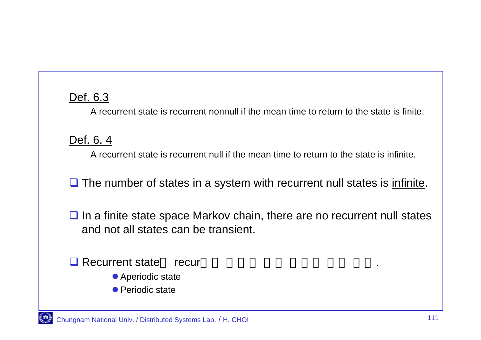A recurrent state is recurrent nonnull if the mean time to return to the state is finite.

#### Def. 6. 4

A recurrent state is recurrent null if the mean time to return to the state is infinite.

**The number of states in a system with recurrent null states is infinite.** 

 $\Box$  In a finite state space Markov chain, there are no recurrent null states and not all states can be transient.

#### **Q** Recurrent state recur **CONSISTENT** .

- Aperiodic state
- Periodic state

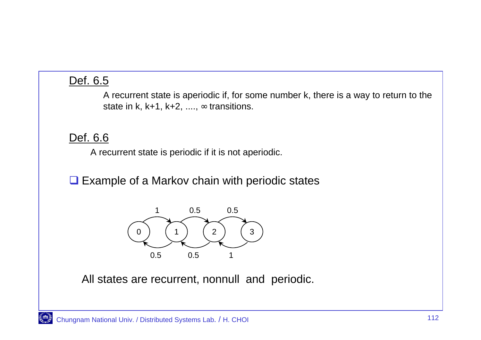A recurrent state is aperiodic if, for some number k, there is a way to return to the state in k, k+1, k+2,  $\dots$ ,  $\infty$  transitions.

#### Def. 6.6

A recurrent state is periodic if it is not aperiodic.

**■ Example of a Markov chain with periodic states** 



All states are recurrent, nonnull and periodic.

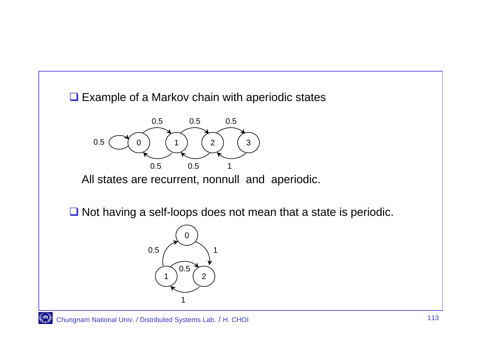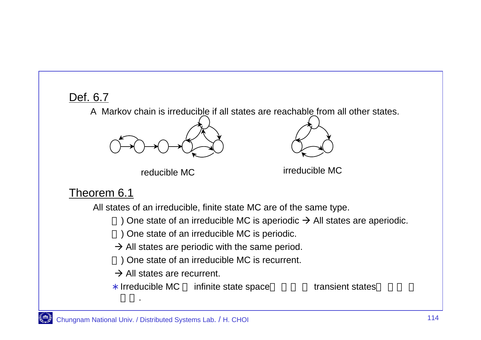A Markov chain is irreducible if all states are reachable from all other states.



reducible MC

irreducible MC

#### Theorem 6.1

All states of an irreducible, finite state MC are of the same type.

) One state of an irreducible MC is aperiodic  $\rightarrow$  All states are aperiodic.

) One state of an irreducible MC is periodic.

 $\rightarrow$  All states are periodic with the same period.

) One state of an irreducible MC is recurrent.

 $\rightarrow$  All states are recurrent.

**∗** Irreducible MC infinite state space transient states



.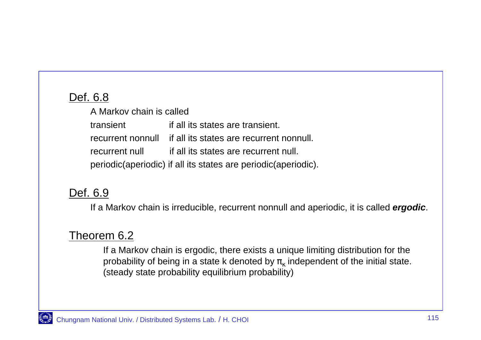A Markov chain is calledtransient if all its states are transient. recurrent nonnull if all its states are recurrent nonnull. recurrent null if all its states are recurrent null. periodic(aperiodic) if all its states are periodic(aperiodic).

#### Def. 6.9

If a Markov chain is irreducible, recurrent nonnull and aperiodic, it is called *ergodic*.

#### Theorem 6.2

If a Markov chain is ergodic, there exists a unique limiting distribution for the probability of being in a state k denoted by  $\pi_{\kappa}$  independent of the initial state. (steady state probability equilibrium probability)

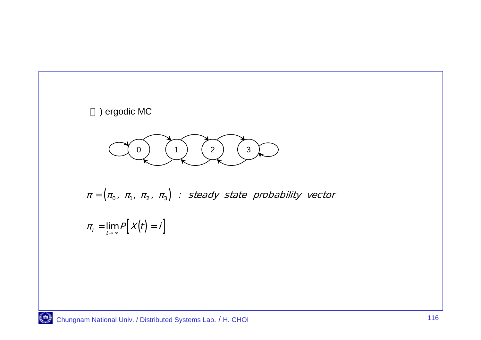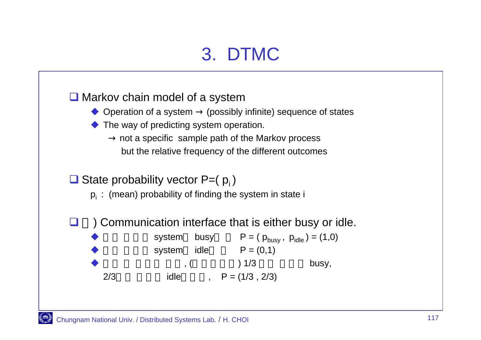### 3. DTMC



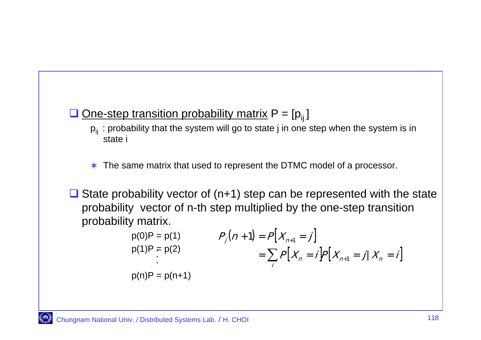### **O** One-step transition probability matrix  $P = [p_{ij}]$

- $p_{ii}$ : probability that the system will go to state j in one step when the system is in state i
- ∗The same matrix that used to represent the DTMC model of a processor.
- $\Box$  State probability vector of (n+1) step can be represented with the state probability vector of n-th step multiplied by the one-step transition probability matrix.

p(0)P = p(1) 
$$
P_j(n+1) = P[X_{n+1} = j]
$$
  
p(1)P = p(2) 
$$
= \sum_j P[X_{n+1} = j | X_{n+1} = j | X_n = i]
$$
  
p(n)P = p(n+1)

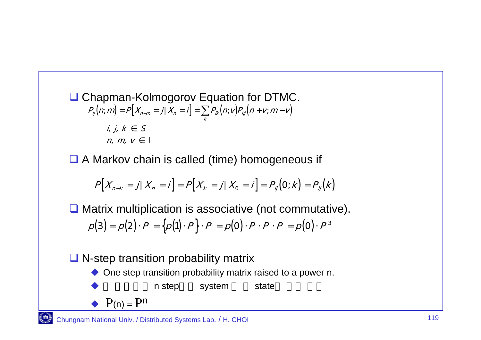\n- □ Chapman-Kolmogorov Equation for DTMC.
\n- $$
P_{ij}(n; m) = P[X_{n+m} = j | X_n = i] = \sum_k P_{ik}(n; v) P_{kj}(n + v; m - v)
$$
\n- *i, j, k ∈ S*
\n- *n, m, v ∈ I*
\n

#### **■ A Markov chain is called (time) homogeneous if**

$$
P[X_{n+k} = j | X_n = i] = P[X_k = j | X_0 = i] = P_{ij}(0; k) = P_{ij}(k)
$$

**Q** Matrix multiplication is associative (not commutative).  $p(3) = p(2) \cdot P = \{p(1) \cdot P\} \cdot P = p(0) \cdot P \cdot P \cdot P = p(0) \cdot P^{3}$ 

**O** N-step transition probability matrix



n step system state

 $\blacktriangleright$  P(n) = P<sup>n</sup>

♦



Chungnam National Univ. / Distributed Systems Lab. / H. CHOI 119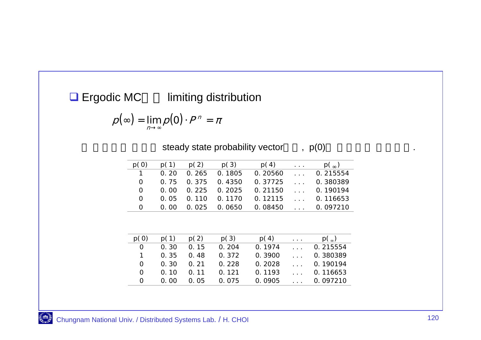#### **Q** Ergodic MC Iimiting distribution

$$
\rho(\infty) = \lim_{n \to \infty} \rho(0) \cdot P^n = \pi
$$

steady state probability vector  $p(0)$ 

|          | p(1)  | p(2)               | p(3)                | p(4)     | $\mathcal{L}^{\mathcal{A}}$ and $\mathcal{L}^{\mathcal{A}}$ | $p_{\alpha}$ ) |
|----------|-------|--------------------|---------------------|----------|-------------------------------------------------------------|----------------|
| 1        | O 20  |                    | $0.265$ $0.1805$    | 0. 20560 | $\mathcal{L}^{\mathcal{A}}$ and $\mathcal{L}^{\mathcal{A}}$ | 0. 215554      |
| $\Omega$ |       |                    | $0.75$ 0.375 0.4350 | 0.37725  | $\mathcal{L}^{\mathcal{L}}$ and $\mathcal{L}^{\mathcal{L}}$ | 0.380389       |
| ∩        | 0. QQ |                    | 0. 225 0. 2025      | 0. 21150 |                                                             | 0.190194       |
| ∩        |       | $0.05 \quad 0.110$ | 0.1170              | 0.12115  |                                                             | 0.116653       |
| O        | 0. QQ | 0.025              | 0.0650              | 0.08450  |                                                             | 0.097210       |

| p(0)           | p(1)        | p(2) | p(3)  | p(4)   | $\sim$ 100 $\sim$ 100 $\sim$ |           |
|----------------|-------------|------|-------|--------|------------------------------|-----------|
| $\Omega$       | 0.30        | 0.15 | 0.204 | 0.1974 |                              | 0. 215554 |
| $\overline{1}$ | 0.35        | 0.48 | 0.372 | 0.3900 |                              | 0.380389  |
| ∩              | 0.30        | 0.21 | 0.228 | 0.2028 |                              | 0.190194  |
| $\Omega$       | 0.10        | 0.11 | 0.121 | 0.1193 |                              | 0.116653  |
| $\Omega$       | $()$ $()()$ | O 05 | 0.075 | 0.0905 |                              | 0.097210  |

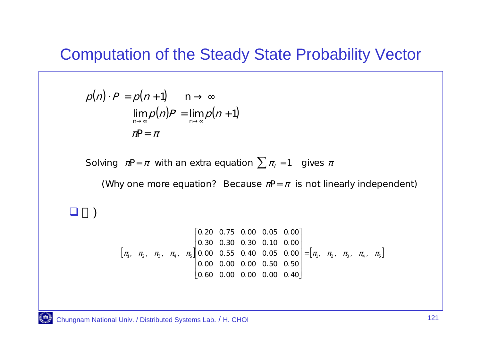### Computation of the Steady State Probability Vector

$$
p(n) \cdot P = p(n+1) \qquad n \to \infty
$$
  

$$
\lim_{n \to \infty} p(n)P = \lim_{n \to \infty} p(n+1)
$$
  

$$
\pi P = \pi
$$

Solving  $\pi$ P= $\pi$  with an extra equation  $\sum$  $\pi P$ =  $\pi$  with an extra equation  $\sum \pi_i = 1$  gives  $\pi$ 

(Why one more equation? Because  $\pi$ P=  $\pi$  is not linearly independent)

$$
\begin{bmatrix}\n0.20 & 0.75 & 0.00 & 0.05 & 0.00 \\
0.30 & 0.30 & 0.30 & 0.10 & 0.00 \\
0.00 & 0.55 & 0.40 & 0.05 & 0.00 \\
0.00 & 0.00 & 0.00 & 0.50 & 0.50 \\
0.60 & 0.00 & 0.00 & 0.00 & 0.40\n\end{bmatrix} = \begin{bmatrix}\n\pi_1 & \pi_2 & \pi_3 & \pi_4 & \pi_5\n\end{bmatrix}
$$



 $\Box$ )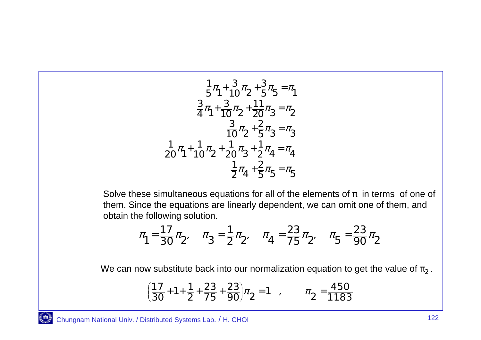$$
\frac{1}{5}\pi_1 + \frac{3}{10}\pi_2 + \frac{3}{5}\pi_5 = \pi_1
$$
  

$$
\frac{3}{4}\pi_1 + \frac{3}{10}\pi_2 + \frac{11}{20}\pi_3 = \pi_2
$$
  

$$
\frac{3}{10}\pi_2 + \frac{2}{5}\pi_3 = \pi_3
$$
  

$$
\frac{1}{20}\pi_1 + \frac{1}{10}\pi_2 + \frac{1}{20}\pi_3 + \frac{1}{2}\pi_4 = \pi_4
$$
  

$$
\frac{1}{2}\pi_4 + \frac{2}{5}\pi_5 = \pi_5
$$

Solve these simultaneous equations for all of the elements of  $\pi$  in terms of one of them. Since the equations are linearly dependent, we can omit one of them, and obtain the following solution.

$$
\pi_1 = \frac{17}{30}\pi_2
$$
,  $\pi_3 = \frac{1}{2}\pi_2$ ,  $\pi_4 = \frac{23}{75}\pi_2$ ,  $\pi_5 = \frac{23}{90}\pi_2$ 

We can now substitute back into our normalization equation to get the value of  $\pi_2$  .

$$
\left(\frac{17}{30} + 1 + \frac{1}{2} + \frac{23}{75} + \frac{23}{90}\right)\pi_2 = 1 \quad , \qquad \pi_2 = \frac{450}{1183}
$$

Chungnam National Univ. / Distributed Systems Lab. / H. CHOI 122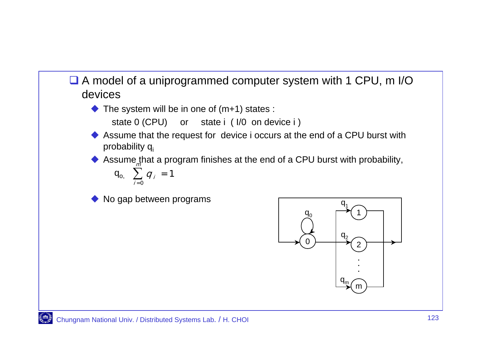#### A model of a uniprogrammed computer system with 1 CPU, m I/O devices

♦ The system will be in one of (m+1) states :

state 0 (CPU) or state i (I/0 on device i)

- ♦ Assume that the request for device i occurs at the end of a CPU burst with probability  $q_i$
- ♦ ◆ Assume that a program finishes at the end of a CPU burst with probability,

$$
q_{o,} \sum_{i=0} q_{i} = 1
$$

♦ No gap between programs



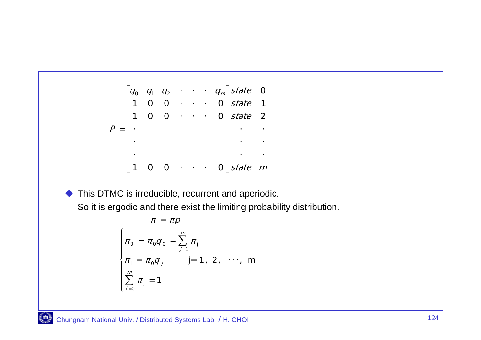$$
P = \begin{bmatrix} q_0 & q_1 & q_2 & \cdots & q_m \\ 1 & 0 & 0 & \cdots & 0 \\ 1 & 0 & 0 & \cdots & 0 \\ \vdots & & & & \\ 1 & 0 & 0 & \cdots & 0 \end{bmatrix} \text{state} \begin{bmatrix} state & 0 \\ state & 1 \\ state & 2 \\ \vdots \\ state & m \end{bmatrix}
$$

 $\blacklozenge$ This DTMC is irreducible, recurrent and aperiodic.

So it is ergodic and there exist the limiting probability distribution.

$$
\pi = \pi p
$$
\n
$$
\begin{cases}\n\pi_0 = \pi_0 q_0 + \sum_{j=1}^m \pi_j \\
\pi_j = \pi_0 q_j \quad j = 1, 2, \dots, m \\
\sum_{j=0}^m \pi_j = 1\n\end{cases}
$$



Chungnam National Univ. / Distributed Systems Lab. / H. CHOI 124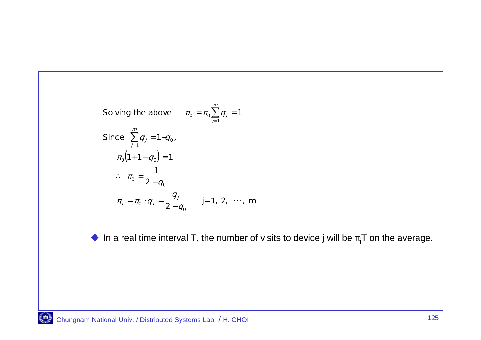#### $\pi_{0}(1+1-q_{0})=1$ Solving the above  $\qquad \pi_{_0} = \pi_{_0} \displaystyle{\sum_{_{_{_{_{_{_{_{_{_{_{_{}}}}}}}}}}}}$ Since  $\sum_{j=1}$  $\pi_j = \pi_0 \cdot q_j = \frac{q_j}{2 - q_0}$  j= 1, 2, ..., m  $\pi_{0} = \frac{1}{2 - q_{0}}$  $\sum q_j = 1 - q_0$  $=\pi_{\overline 0} \sum q_{_f} = 1$ 1 2  $\therefore \ \pi_0 = \frac{1}{2-q}$  $=\pi_0 \cdot q_j = \frac{1}{2-1}$  $q_i = \frac{1}{2}$  =  $\frac{1}{2}$  = 1, 2, ... q  $q_j - n_0 q_j - q_0$ j= m j= m  $j$   $j = 1, 2, \cdots$ ,

♦ In a real time interval T, the number of visits to device j will be  $\pi_i$ T on the average.

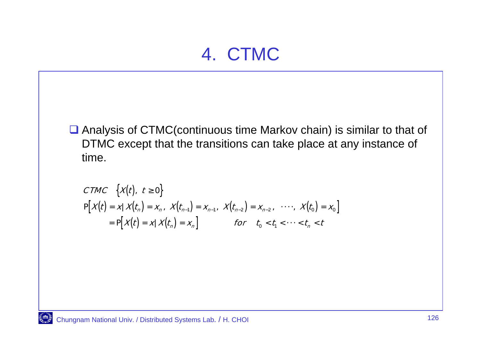# 4. CTMC

■ Analysis of CTMC(continuous time Markov chain) is similar to that of DTMC except that the transitions can take place at any instance of time.

$$
CTMC \quad \{X(t), \ t \ge 0\}
$$
\n
$$
P[X(t) = x | X(t_n) = x_n, \ X(t_{n-1}) = x_{n-1}, \ X(t_{n-2}) = x_{n-2}, \ \cdots, \ X(t_0) = x_0\}
$$
\n
$$
= P[X(t) = x | X(t_n) = x_n] \qquad \text{for} \quad t_0 < t_1 < \cdots < t_n < t
$$

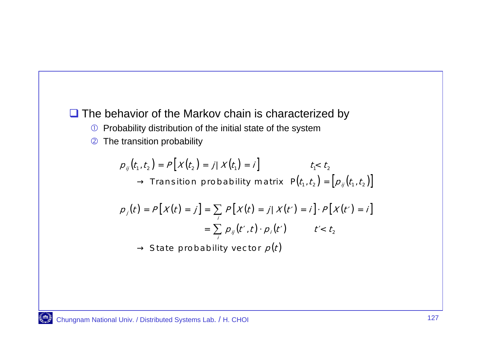### $\Box$  The behavior of the Markov chain is characterized by

- $\Phi$  Probability distribution of the initial state of the system
- $\circled{2}$ The transition probability

$$
\rho_{ij}(t_1, t_2) = P[X(t_2) = j | X(t_1) = i]
$$
\n
$$
\rightarrow \text{ Transition probability } \text{matrix } P(t_1, t_2) = [p_{ij}(t_1, t_2)]
$$
\n
$$
\rho_j(t) = P[X(t) = j] = \sum_{i} P[X(t) = j | X(t') = i] \cdot P[X(t') = i]
$$
\n
$$
= \sum_{i} p_{ij}(t', t) \cdot p_i(t')
$$
\n
$$
t' < t_2
$$
\n
$$
\rightarrow \text{State probability } \text{vector } p(t)
$$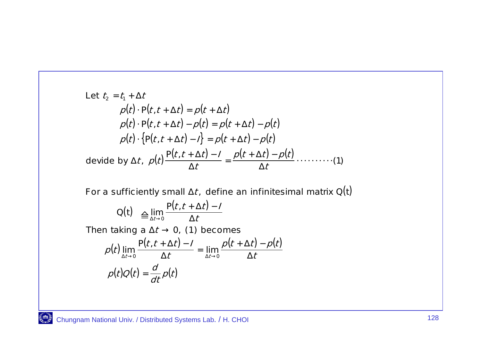Let 
$$
t_2 = t_1 + \Delta t
$$
  
\n
$$
\rho(t) \cdot P(t, t + \Delta t) = \rho(t + \Delta t)
$$
\n
$$
\rho(t) \cdot P(t, t + \Delta t) - \rho(t) = \rho(t + \Delta t) - \rho(t)
$$
\n
$$
\rho(t) \cdot \{P(t, t + \Delta t) - l\} = \rho(t + \Delta t) - \rho(t)
$$
\ndevide by  $\Delta t$ ,  $\rho(t) \frac{P(t, t + \Delta t) - l}{\Delta t} = \frac{\rho(t + \Delta t) - \rho(t)}{\Delta t}$ ........(1)

For a sufficiently small 
$$
\Delta t
$$
, define an infinitesimal matrix  $Q(t)$   
\n
$$
Q(t) \triangleq \lim_{\Delta t \to 0} \frac{P(t, t + \Delta t) - I}{\Delta t}
$$
\nThen taking a  $\Delta t \to 0$ , (1) becomes  
\n
$$
p(t) \lim_{\Delta t \to 0} \frac{P(t, t + \Delta t) - I}{\Delta t} = \lim_{\Delta t \to 0} \frac{p(t + \Delta t) - p(t)}{\Delta t}
$$
\n
$$
p(t)Q(t) = \frac{d}{dt}p(t)
$$



Chungnam National Univ. / Distributed Systems Lab. / H. CHOI 128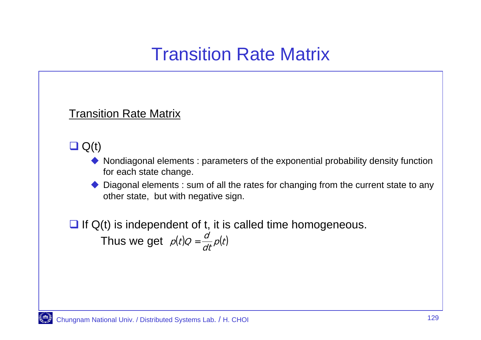# Transition Rate Matrix

#### Transition Rate Matrix

 $\Box$  Q(t)

 Nondiagonal elements : parameters of the exponential probability density function for each state change.

♦ Diagonal elements : sum of all the rates for changing from the current state to any other state, but with negative sign.

 $\Box$  If Q(t) is independent of t, it is called time homogeneous. Thus we get  $\rho(t)Q = \frac{d}{dt} \rho(t)$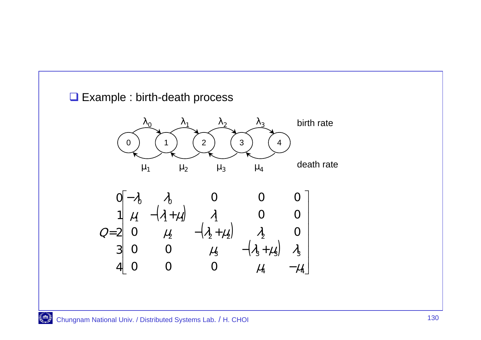

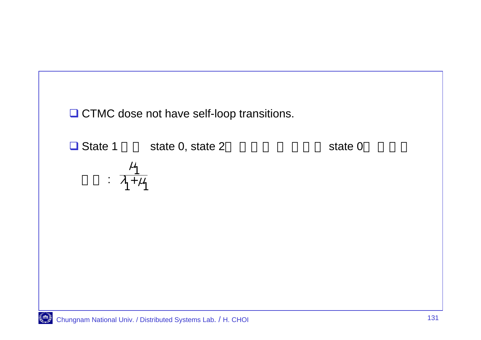**Q CTMC** dose not have self-loop transitions.

 $\Box$  State 1 state 0, state 2 state 0

$$
\div \frac{\mu_1}{\lambda_1 + \mu_1}
$$

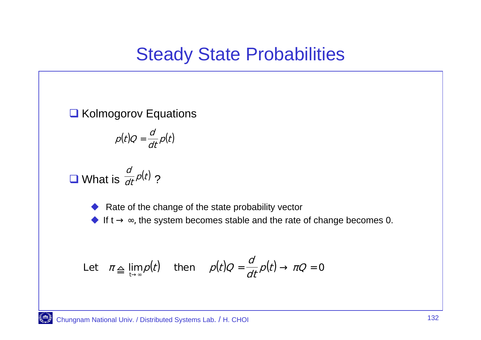### Steady State Probabilities

#### **□ Kolmogorov Equations**

$$
\rho(t)Q=\frac{d}{dt}\rho(t)
$$

**Q** What is  $\frac{d}{dt}p(t)$ ?

- ♦ Rate of the change of the state probability vector
- $\bullet$ If  $t \rightarrow \infty$ , the system becomes stable and the rate of change becomes 0.

Let 
$$
\pi \triangleq \lim_{t \to \infty} p(t)
$$
 then  $p(t)Q = \frac{d}{dt}p(t) \to \pi Q = 0$ 

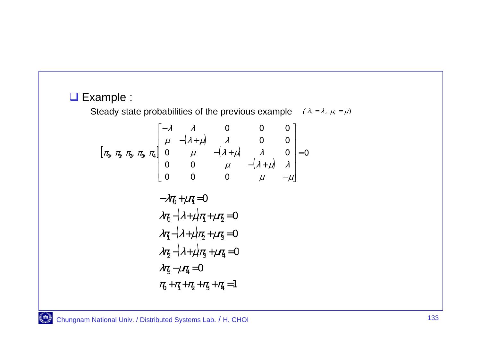#### **Q** Example :

Steady state probabilities of the previous example  $(\lambda_i = \lambda, \mu_i = \mu)$ 

$$
\begin{bmatrix}\n-\lambda & \lambda & 0 & 0 & 0 \\
\mu & -(\lambda + \mu) & \lambda & 0 & 0 \\
0 & \mu & -(\lambda + \mu) & \lambda & 0 \\
0 & 0 & \mu & -(\lambda + \mu) & \lambda \\
0 & 0 & 0 & \mu & -\mu\n\end{bmatrix} = 0
$$

$$
-\lambda \tau_0 + \mu \tau = 0
$$
  
\n
$$
\lambda \tau_0 - (\lambda + \mu) \tau_1 + \mu \tau_2 = 0
$$
  
\n
$$
\lambda \tau_1 - (\lambda + \mu) \tau_2 + \mu \tau_3 = 0
$$
  
\n
$$
\lambda \tau_2 - (\lambda + \mu) \tau_3 + \mu \tau_4 = 0
$$
  
\n
$$
\lambda \tau_3 - \mu \tau_4 = 0
$$
  
\n
$$
\tau_0 + \tau_1 + \tau_2 + \tau_3 + \tau_4 = 1
$$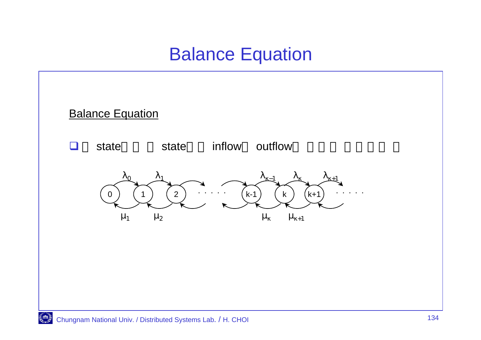### Balance Equation

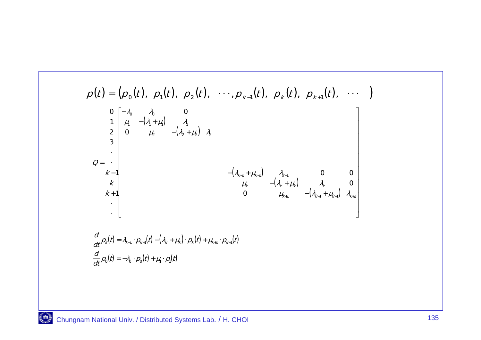$$
\rho(t) = (\rho_0(t), \rho_1(t), \rho_2(t), \cdots, \rho_{k-1}(t), \rho_k(t), \rho_{k+1}(t), \cdots)
$$
\n
$$
\begin{array}{c}\n0 \begin{bmatrix} -\lambda_0 & \lambda_0 & 0 \\ \mu_1 & -(\lambda_1 + \mu_1) & \lambda_1 \\ 2 & 0 & \mu_2 \end{bmatrix} & \\
0 \end{array}
$$
\n
$$
\begin{array}{c}\n0 \begin{bmatrix} -\lambda_0 & \lambda_0 & 0 \\ \mu_1 & -(\lambda_1 + \mu_1) & \lambda_1 \\ 3 & -(\lambda_2 + \mu_2) & \lambda_2 \end{bmatrix} & \\
0 \end{array}
$$
\n
$$
\begin{array}{c}\n\lambda_{k-1} & 0 & 0 \\ \mu_k & -(\lambda_k + \mu_k) & \lambda_k & 0 \\ 0 & \mu_{k+1} & -(\lambda_{k+1} + \mu_{k+1}) & \lambda_{k+1} \\
\vdots & \vdots & \ddots & \vdots \\
0 \end{array}
$$

$$
\frac{d}{dt}\rho_k(t) = \lambda_{k-1} \cdot \rho_{k-1}(t) - \left(\lambda_k + \mu_k\right) \cdot \rho_k(t) + \mu_{k+1} \cdot \rho_{k+1}(t)
$$

$$
\frac{d}{dt}\rho_0(t) = -\lambda_0 \cdot \rho_0(t) + \mu_1 \cdot \rho_1(t)
$$

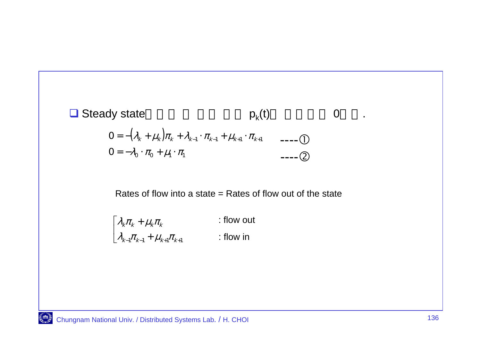### $\Box$  Steady state  $p_k(t)$  0 .  $O = -(\lambda_k + \mu_k)\pi_k + \lambda_{k-1} \cdot \pi_{k-1} + \mu_{k+1} \cdot \pi_{k+1}$  ---- 1  $\mathrm{O} \,{=}\, {-}\lambda_{\!\mathrm{O}}^{\vphantom{\dag}} \cdot \pi_{\!\mathrm{O}}^{\vphantom{\dag}} + \mu_{\!\mathrm{I}}^{\vphantom{\dag}} \cdot \pi_{\!\mathrm{O}}^{\vphantom{\dag}}$  $---(2)$

Rates of flow into a state = Rates of flow out of the state

$$
\begin{bmatrix}\n\lambda_k \pi_k + \mu_k \pi_k & \text{iflow out} \\
\lambda_{k-1} \pi_{k-1} + \mu_{k+1} \pi_{k+1} & \text{iflow in}\n\end{bmatrix}
$$

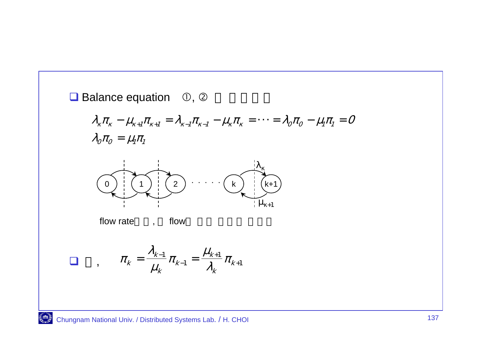**Q** Balance equation  $\circled{0}$ ,  $\circled{0}$ 

$$
\lambda_{\kappa} \pi_{\kappa} - \mu_{\kappa+1} \pi_{\kappa+1} = \lambda_{\kappa-1} \pi_{\kappa-1} - \mu_{\kappa} \pi_{\kappa} = \cdots = \lambda_{0} \pi_{0} - \mu_{1} \pi_{1} = 0
$$
  

$$
\lambda_{0} \pi_{0} = \mu_{1} \pi_{1}
$$



flow rate, flow

 $\Box$ 

,

$$
\pi_{_k}=\frac{\lambda_{_{k-1}}}{\mu_{_k}}\pi_{_{k-1}}=\frac{\mu_{_{k+1}}}{\lambda_{_k}}\pi_{_{k+1}}
$$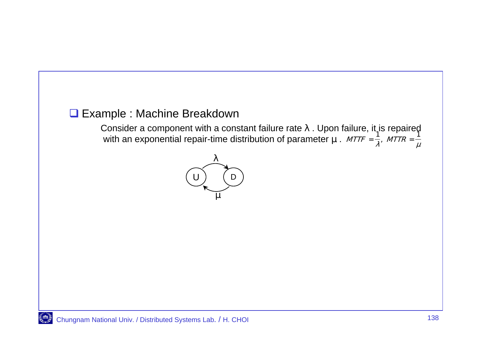#### **□ Example : Machine Breakdown**

Consider a component with a constant failure rate  $\lambda$  . Upon failure, it is repaired with an exponential repair-time distribution of parameter  $\mu$ . MTTF =  $\frac{1}{\lambda}$ , MTTR =  $\frac{1}{\mu}$ 



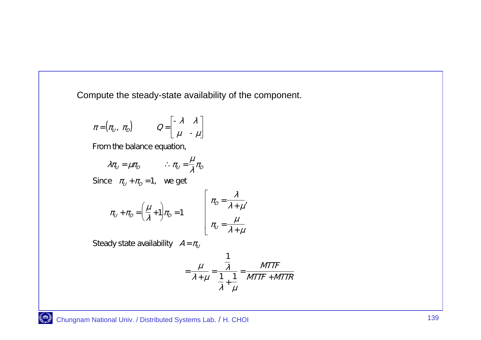Compute the steady-state availability of the component.

$$
\pi = (\pi_{U}, \ \pi_{D}) \qquad \qquad Q = \begin{bmatrix} -\lambda & \lambda \\ \mu & -\mu \end{bmatrix}
$$

From the balance equation,

$$
\lambda \pi_{\!\scriptscriptstyle U} = \mu \pi_{\!\scriptscriptstyle D} \qquad \qquad \therefore \pi_{\!\scriptscriptstyle U} = \frac{\mu}{\lambda} \pi_{\!\scriptscriptstyle D}
$$

Since  $\pi_{\scriptscriptstyle U}^{} + \pi_{\scriptscriptstyle\!\! D}^{} = 1$ , we get

$$
\pi_{U} + \pi_{D} = \left(\frac{\mu}{\lambda} + 1\right)\pi_{D} = 1
$$
\n
$$
\pi_{U} = \frac{\lambda}{\lambda + \mu'}
$$
\n
$$
\pi_{U} = \frac{\mu}{\lambda + \mu'}
$$

Steady state availability  $\;\; A = \pi_{\!\scriptscriptstyle U}$ 

$$
= \frac{\mu}{\lambda + \mu} = \frac{\frac{1}{\lambda}}{\frac{1}{\lambda} + \frac{1}{\mu}} = \frac{MTTF}{MTTF + MTTR}
$$

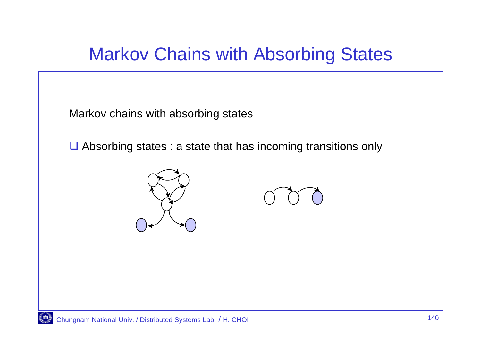### Markov Chains with Absorbing States

Markov chains with absorbing states

**■** Absorbing states : a state that has incoming transitions only





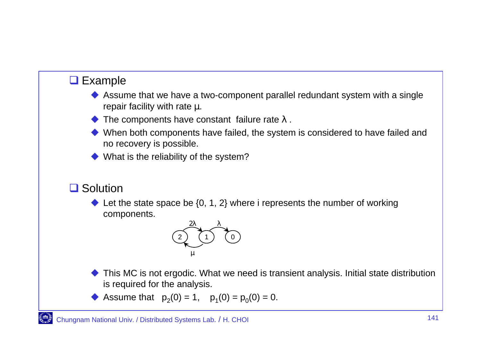#### **Q** Example

- Assume that we have a two-component parallel redundant system with a single repair facility with rate  $\mu$ .
- $\blacklozenge$  The components have constant failure rate  $\lambda$ .
- ♦ When both components have failed, the system is considered to have failed and no recovery is possible.
- ♦ What is the reliability of the system?

#### **□ Solution**

Let the state space be  $\{0, 1, 2\}$  where i represents the number of working components.



- This MC is not ergodic. What we need is transient analysis. Initial state distribution is required for the analysis.
- ♦ Assume that  $p_2(0) = 1$ ,  $p_1(0) = p_0(0) = 0$ .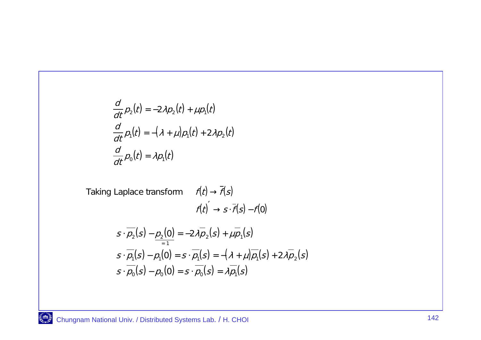$$
\frac{d}{dt}p_2(t) = -2\lambda p_2(t) + \mu p_1(t)
$$
  

$$
\frac{d}{dt}p_1(t) = -(\lambda + \mu)p_1(t) + 2\lambda p_2(t)
$$
  

$$
\frac{d}{dt}p_0(t) = \lambda p_1(t)
$$

Taking Laplace transform 
$$
f(t) \rightarrow \overline{f}(s)
$$
  
 $f(t) \rightarrow s \cdot \overline{f}(s) - f(0)$ 

$$
s \cdot \overline{\rho_2}(s) - \underline{\rho_2}(0) = -2\lambda \overline{\rho_2}(s) + \mu \overline{\rho_1}(s)
$$
  
\n
$$
s \cdot \overline{\rho_1}(s) - \rho_1(0) = s \cdot \overline{\rho_1}(s) = -(\lambda + \mu) \overline{\rho_1}(s) + 2\lambda \overline{\rho_2}(s)
$$
  
\n
$$
s \cdot \overline{\rho_0}(s) - \rho_0(0) = s \cdot \overline{\rho_0}(s) = \lambda \overline{\rho_1}(s)
$$



Chungnam National Univ. / Distributed Systems Lab. / H. CHOI 142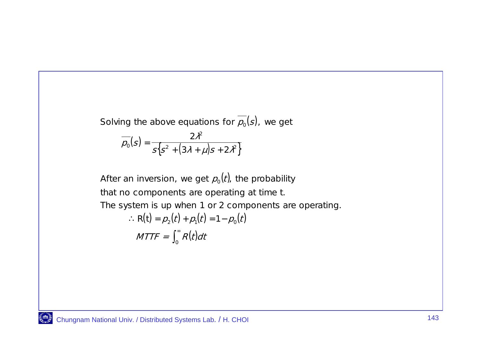Solving the above equations for  $\rho_{\text{o}}(\mathcal{s})$ , we get

$$
\overline{\rho_{0}}(s) = \frac{2\lambda^{2}}{s\left\{s^{2} + (3\lambda + \mu)s + 2\lambda^{2}\right\}}
$$

After an inversion, we get  $\rho_{\text{o}}(t)$ , the probability that no components are operating at time t. The system is up when 1 or 2 components are operating.

$$
\therefore R(t) = \rho_2(t) + \rho_1(t) = 1 - \rho_0(t)
$$
  
MTTF = 
$$
\int_0^\infty R(t)dt
$$

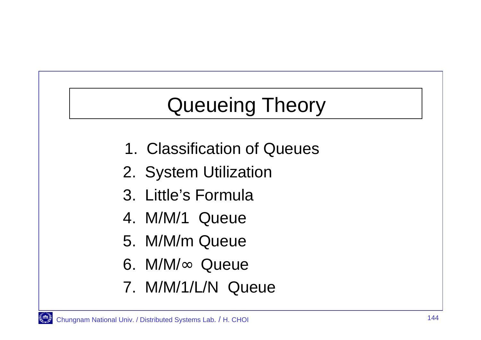# Queueing Theory

- 1. Classification of Queues
- 2. System Utilization
- 3. Little's Formula
- 4. M/M/1 Queue
- 5. M/M/m Queue
- 6. M/M/∞ Queue
- 7. M/M/1/L/N Queue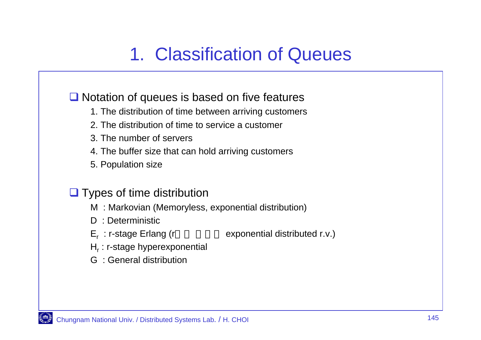## 1. Classification of Queues

### **■** Notation of queues is based on five features

- 1. The distribution of time between arriving customers
- 2. The distribution of time to service a customer
- 3. The number of servers
- 4. The buffer size that can hold arriving customers
- 5. Population size

### **T** Types of time distribution

- M : Markovian (Memoryless, exponential distribution)
- D : Deterministic
- $E_r$ : r-stage Erlang (r exponential distributed r.v.)
- H<sub>r</sub> : r-stage hyperexponential
- G : General distribution

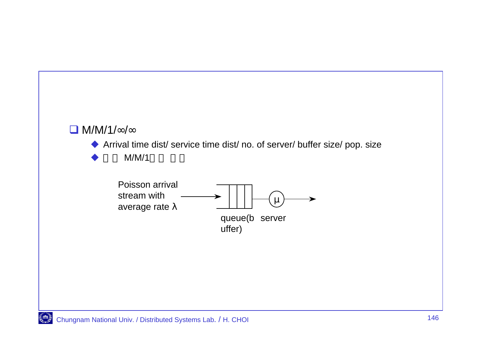### M/M/1/∞/<sup>∞</sup> Arrival time dist/ service time dist/ no. of server/ buffer size/ pop. size ♦ M/M/1  $\mathbf{u}$ Poisson arrival stream with average rate λ queue(b serveruffer)

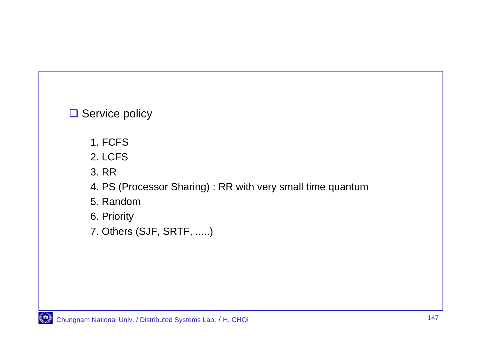### **□** Service policy

- 1. FCFS
- 2. LCFS
- 3. RR

4. PS (Processor Sharing) : RR with very small time quantum

- 5. Random
- 6. Priority
- 7. Others (SJF, SRTF, .....)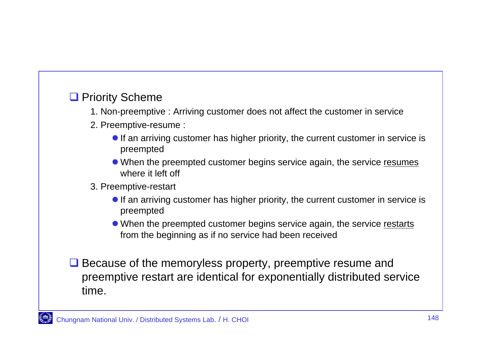### **Q** Priority Scheme

- 1. Non-preemptive : Arriving customer does not affect the customer in service
- 2. Preemptive-resume :
	- $\bullet$  If an arriving customer has higher priority, the current customer in service is preempted
	- When the preempted customer begins service again, the service resumes where it left off
- 3. Preemptive-restart
	- $\bullet$  If an arriving customer has higher priority, the current customer in service is preempted
	- When the preempted customer begins service again, the service restarts from the beginning as if no service had been received

**■** Because of the memoryless property, preemptive resume and preemptive restart are identical for exponentially distributed service time.

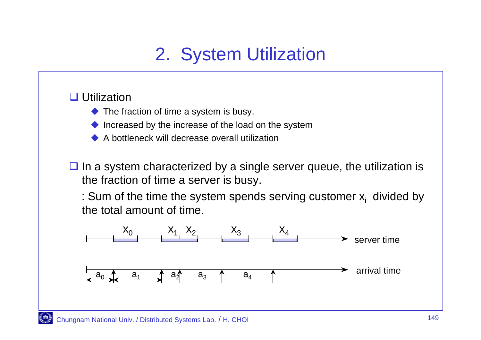## 2. System Utilization

#### **Q** Utilization

- ◆ The fraction of time a system is busy.
- ♦ Increased by the increase of the load on the system
- ♦ A bottleneck will decrease overall utilization

 $\Box$  In a system characterized by a single server queue, the utilization is the fraction of time a server is busy.

: Sum of the time the system spends serving customer  $\mathsf{x}_\mathsf{i}\,$  divided by the total amount of time.



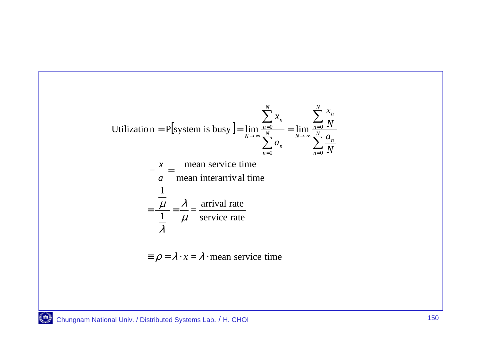Utilization = P[system is busy] = 
$$
\lim_{N \to \infty} \frac{\sum_{n=0}^{N} x_n}{\sum_{n=0}^{N} a_n} = \lim_{N \to \infty} \frac{\sum_{n=0}^{N} \frac{x_n}{N}}{\sum_{n=0}^{N} \frac{a_n}{N}}
$$
  
=  $\frac{\overline{x}}{\overline{a}} = \frac{\text{mean service time}}{\text{mean interarrival time}}$   
=  $\frac{\frac{1}{\mu}}{\frac{1}{\lambda}} = \frac{\lambda}{\mu} = \frac{\text{arrival rate}}{\text{service rate}}$ 

 $\equiv \rho = \lambda \cdot \overline{x} = \lambda \cdot \text{mean service time}$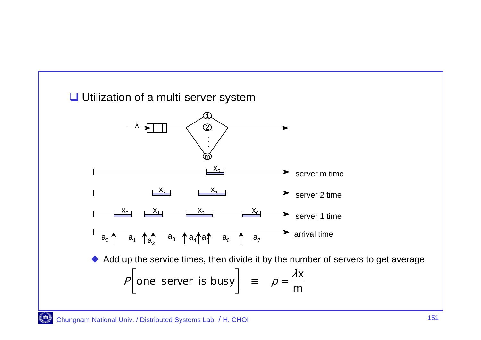

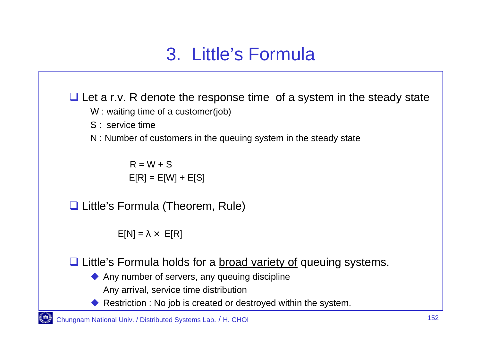## 3. Little's Formula



**Little's Formula holds for a broad variety of queuing systems.** 

- Any number of servers, any queuing discipline Any arrival, service time distribution
- Restriction : No job is created or destroyed within the system.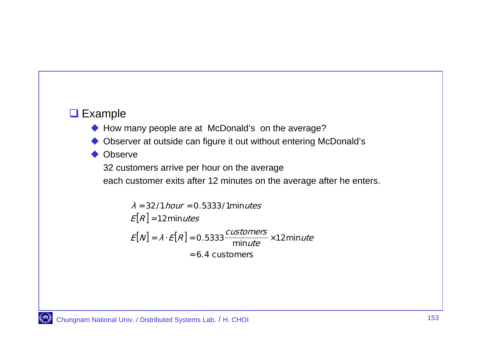### **Q** Example

- ◆ How many people are at McDonald's on the average?
- ♦ Observer at outside can figure it out without entering McDonald's
- ♦ **Observe**

32 customers arrive per hour on the average

each customer exits after 12 minutes on the average after he enters.

 $E[R] = 12$ min*utes*  $[N] = \lambda \cdot E[R] = 0.5333 \frac{\text{Custimers}}{\text{ministr}} \times 12$ *λ* = 32/1 *hour* = 0.5333/1min*utes*  $= 6.4$  customers  $3 \frac{3 \text{ m} \cdot \text{m} \cdot \text{m} \cdot \text{m}}{\text{min} \cdot \text{m} \cdot \text{m}} \times 12 \text{min}$  $E[N] = \lambda \cdot E[R] = 0.5333 \frac{ \textit{customers}}{1000}$ *ute* ×12min*ute*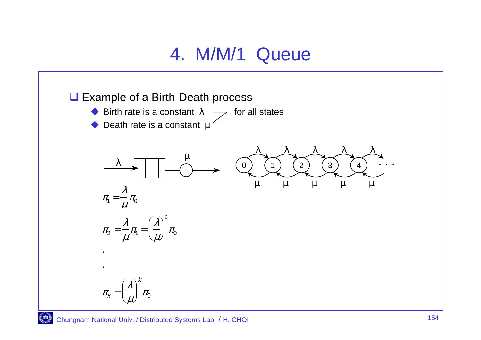### 4. M/M/1 Queue





Chungnam National Univ. / Distributed Systems Lab. / H. CHOI 154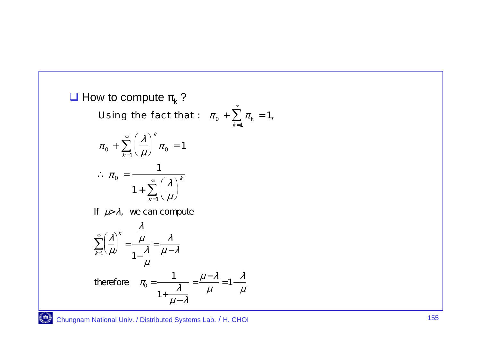**How to compute**  $\pi_k$  **?** Using the fact that :  $\pi_{\rm o}$  +  $\sum\pi_{\rm k}$  =  $\pi_0 + \sum |\cdot| \cdot \pi_0$  $\pi_0 = \frac{1}{\sqrt{2\pi\left(\lambda\right)^2}}$ λ  $\mu$  $+$  )  $\pi$  $\mu$  $\sum_{n=1}^{\infty} \left(\frac{\lambda}{\mu}\right)^k \pi_0 =$  $\therefore$   $\pi_{\circ}$  = +  $\sum_{n=1}^{\infty} \left( \frac{\lambda}{\mu} \right)$  $\sum^{\infty}$  $\sum\limits_{i=1}^{\infty}% \frac{1}{i}$  $\sum\limits_{i=1}^{\infty}% 1_{\left\{ x\right\} =\sum\limits_{i=1}^{\infty}% 1_{\left\{ x\right\} =\left\{ x\right\} =i\left\{ x\right\} }$  $k=1$ k  $k=1$ k  $k=1$ 1 , 1 1 1 If  $\mu > \lambda$ , we can compute therefore  $\pi_0 = \frac{1}{\lambda}$ λ  $\mu$ λ  $\mu$ λ  $\mu$ λ  $\mu - \lambda$  $\mu - \lambda$  $\mu - \lambda$  $\mu$ λ  $\mu$  $\left(\frac{\lambda}{\mu}\right)^{k} = \frac{\overline{\mu}}{1-\overline{\mu}}$  $\sum_{-1}$ ( $\overline{\mu}$ ) =  $\overline{\lambda}$  =  $\overline{\mu}$ =  $+\frac{1}{\mu-}$ =  $\frac{-\lambda}{-} = 1 \sum\limits_{i=1}^{\infty}% \frac{1}{i}$ k  $k=1$   $\mu$  1 1 1 1



Chungnam National Univ. / Distributed Systems Lab. / H. CHOI 155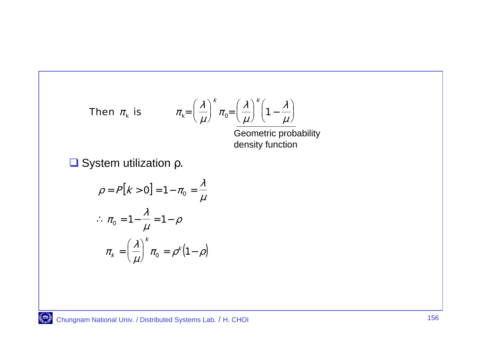Then  $\pi_{k}$  is

k is 
$$
\pi_k = \left(\frac{\lambda}{\mu}\right)^k \pi_0 = \left(\frac{\lambda}{\mu}\right)^k \left(1 - \frac{\lambda}{\mu}\right)
$$

Geometric probability density function

**Δ** System utilization *p*.

$$
\rho = P[k > 0] = 1 - \pi_0 = \frac{\lambda}{\mu}
$$
  

$$
\therefore \pi_0 = 1 - \frac{\lambda}{\mu} = 1 - \rho
$$
  

$$
\pi_k = \left(\frac{\lambda}{\mu}\right)^k \pi_0 = \rho^k (1 - \rho)
$$

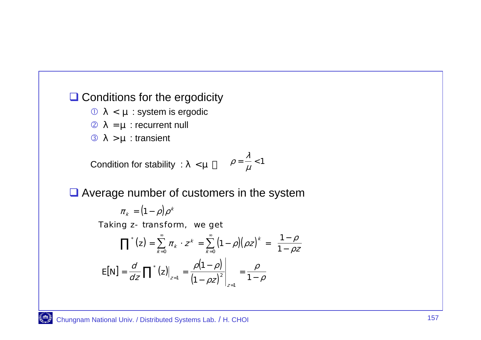#### **□ Conditions for the ergodicity**

- $\mathbb{O}$   $\lambda < \mu$ : system is ergodic
- $\oslash$   $\lambda = \mu$  : recurrent null
- $\mathcal{D} \lambda > \mu$ : transient

Condition for stability :  $\lambda < \mu$ 

$$
\rho=\frac{\lambda}{\mu}<1
$$

**Q** Average number of customers in the system

$$
\pi_{k} = (1 - \rho)\rho^{k}
$$
  
\nTaking z- transform, we get  
\n
$$
\Pi^{*}(z) = \sum_{k=0}^{\infty} \pi_{k} \cdot z^{k} = \sum_{k=0}^{\infty} (1 - \rho)(\rho z)^{k} = \frac{1 - \rho}{1 - \rho z}
$$
  
\n
$$
E[N] = \frac{d}{dz} \Pi^{*}(z)|_{z=1} = \frac{\rho(1 - \rho)}{(1 - \rho z)^{2}}|_{z=1} = \frac{\rho}{1 - \rho}
$$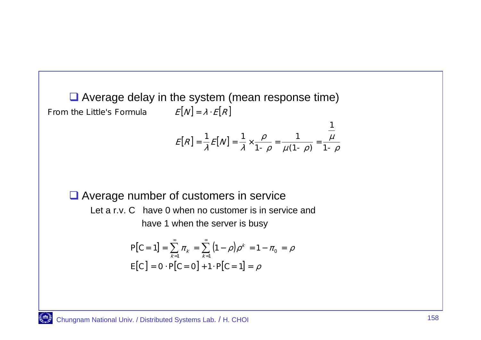**Q** Average delay in the system (mean response time)  $E[N] = \lambda \cdot E[R]$ From the Little's Formula

$$
E[R] = \frac{1}{\lambda}E[N] = \frac{1}{\lambda} \times \frac{\rho}{1-\rho} = \frac{1}{\mu(1-\rho)} = \frac{\frac{1}{\mu}}{1-\rho}
$$

**Q** Average number of customers in service Let a r.v. C have 0 when no customer is in service and have 1 when the server is busy

$$
P[C = 1] = \sum_{k=1}^{\infty} \pi_k = \sum_{k=1}^{\infty} (1 - \rho)\rho^k = 1 - \pi_0 = \rho
$$
  
E[C] = O · P[C = O] + 1 · P[C = 1] =  $\rho$ 



Chungnam National Univ. / Distributed Systems Lab. / H. CHOI 158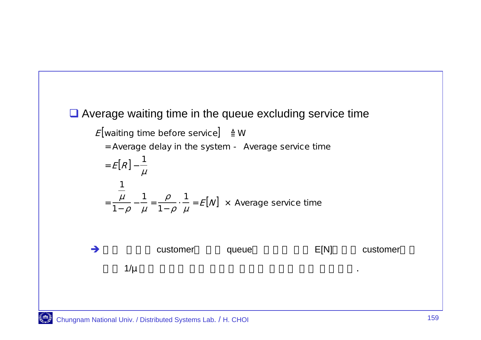#### **Q** Average waiting time in the queue excluding service time

E [waiting time before service]  $\triangleq$  W  $= E[R] =\frac{\mu}{1-\rho}-\frac{1}{\mu}=\frac{\rho}{1-\rho}\cdot\frac{1}{\mu}=E[N]\times$  Average service time Average delay in the system - Average service time =  $-\frac{1}{\mu} = \frac{1}{1-\mu}$  $\cdot$   $=$   $\pm$   $|N|$   $\times$ 1 1 1 1 1 1 µ  $\mu$ ρ µ ρ ρ µ



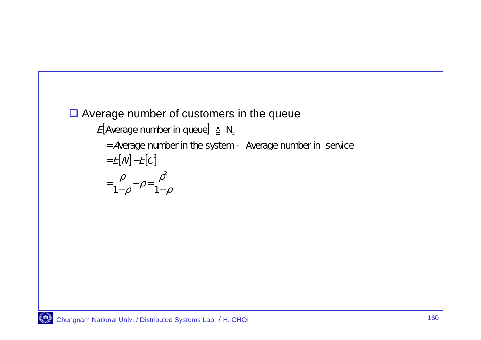### **Q** Average number of customers in the queue

 $E[A$ verage number in queue]  $\triangleq N_q$ 

= Average number in the system - Average number in service

$$
= E[N] - E[C]
$$

$$
= \frac{\rho}{1 - \rho} - \rho = \frac{\rho^2}{1 - \rho}
$$

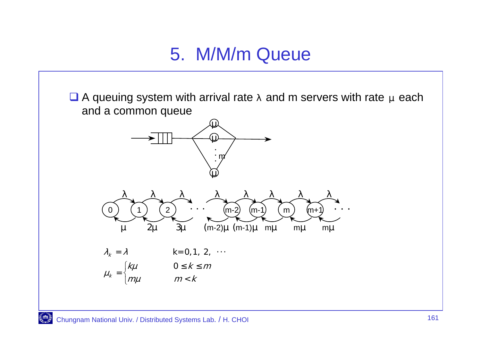## 5. M/M/m Queue

 $\Box$  A queuing system with arrival rate  $\lambda$  and m servers with rate  $\mu$  each and a common queue µ µ  $\mathbf{H}$ •••m $\Omega$ λ $\mu$ 1λ $2\mu$ 2λ $3\mu$ • (m-2) (m-1 λ(m-2)µ (m-1)µ <sup>m</sup>µ λ•••λm λ<sup>m</sup>µ m+1λ<sup>m</sup>µ ••• $\lambda_k = \lambda$  k= 0, 1, 2, ...  $\mu_{_{\textstyle\prime}}$  $\mu$  $\kappa$  –  $\lfloor m\mu \rfloor$  $k\mu$  0  $\leq$  k  $\leq$  m  $=$   $\begin{cases} m\mu & m < k \end{cases}$  $\leq$   $\kappa$   $\leq$  $\,<$  $\int$ 0

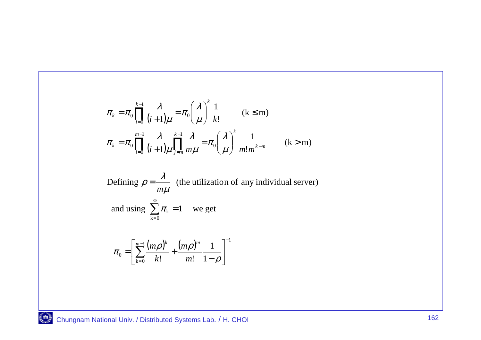$$
\pi_{k} = \pi_{0} \prod_{i=0}^{k-1} \frac{\lambda}{(i+1)\mu} = \pi_{0} \left(\frac{\lambda}{\mu}\right)^{k} \frac{1}{k!} \qquad (k \leq m)
$$

$$
\pi_{k} = \pi_{0} \prod_{i=0}^{m-1} \frac{\lambda}{(i+1)\mu} \prod_{j=m}^{k-1} \frac{\lambda}{m\mu} = \pi_{0} \left(\frac{\lambda}{\mu}\right)^{k} \frac{1}{m! m^{k-m}} \qquad (k > m)
$$

Defining 
$$
\rho = \frac{\lambda}{m\mu}
$$
 (the utilization of any individual server)  
and using  $\sum_{k=0}^{\infty} \pi_k = 1$  we get

$$
\pi_0 = \left[ \sum_{k=0}^{m-1} \frac{(m\rho)^k}{k!} + \frac{(m\rho)^m}{m!} \frac{1}{1-\rho} \right]^{-1}
$$



Chungnam National Univ. / Distributed Systems Lab. / H. CHOI 162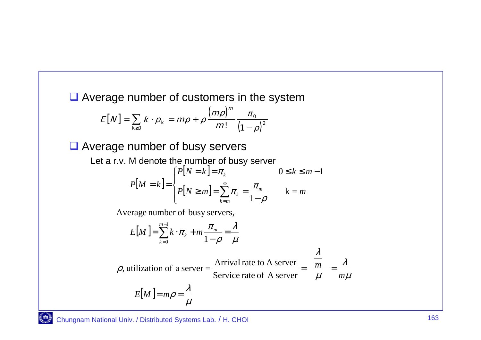**Q** Average number of customers in the system

$$
E[N] = \sum_{k\geq 0} k \cdot \rho_k = m\rho + \rho \frac{(m\rho)^m}{m!} \frac{\pi_0}{(1-\rho)^2}
$$

**Q** Average number of busy servers

Let a r.v. M denote the number of busy server  $\left[ M=k\right]$  $[N = k]$  $[N \geq m]$ ρ  $\pi_{\scriptscriptstyle{k}} = \frac{\pi}{\sqrt{\pi}}$ π  $\overline{\mathcal{L}}$  $\int$ −  $\geq m \mid = \sum \pi_{n}$  $= k \mid = \pi$ , 0  $\le k \le m = k = \binom{m}{k}$   $P[N \ge m] = \sum_{k=1}^{\infty}$ =  $P(N \ge m) = \sum_{k=1}^{\infty} \pi_k = \frac{m}{m}$   $k = m$  $P|N = k | = \pi$ ,  $0 \le k \le m$  $P[M = k] = \left\{ \frac{1}{P^{N}} \sum_{i=1}^{k} \mathcal{F}^{m}_{i} \mathcal{F}^{m}_{i} \mathcal{F}^{m}_{i} \mathcal{F}^{m}_{i} \mathcal{F}^{m}_{i} \mathcal{F}^{m}_{i} \mathcal{F}^{m}_{i} \mathcal{F}^{m}_{i} \mathcal{F}^{m}_{i} \mathcal{F}^{m}_{i} \mathcal{F}^{m}_{i} \mathcal{F}^{m}_{i} \mathcal{F}^{m}_{i} \mathcal{F}^{m}_{i} \mathcal{F}^{m}_{i} \mathcal{F}^{m}_{i} \mathcal{F}^{m}_{i} \mathcal{$ *k m k k*  $\frac{n_m}{1-\rho}$  k =  $0 \leq k \leq m-1$ 

Average number of busy servers,

$$
E[M] = \sum_{k=0}^{m-1} k \cdot \pi_k + m \frac{\pi_m}{1 - \rho} = \frac{\lambda}{\mu}
$$
  

$$
\rho, \text{ utilization of a server} = \frac{\text{Arrival rate to A server}}{\text{Service rate of A server}} = \frac{\frac{\lambda}{m}}{\mu} = \frac{\lambda}{m\mu}
$$

$$
E[M] = m\rho = \frac{\lambda}{\mu}
$$

$$
\mathbb{R}^{m\frac{1}{2}}
$$

Chungnam National Univ. / Distributed Systems Lab. / H. CHOI 163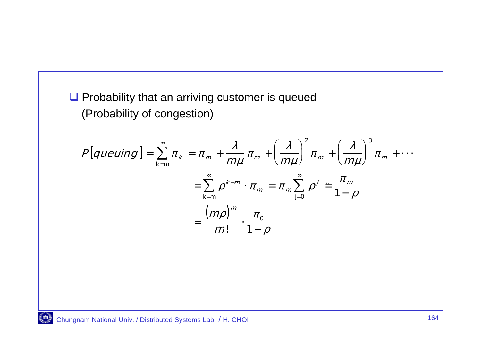$\Box$  Probability that an arriving customer is queued (Probability of congestion)

$$
P[queuing] = \sum_{k=m}^{\infty} \pi_k = \pi_m + \frac{\lambda}{m\mu} \pi_m + \left(\frac{\lambda}{m\mu}\right)^2 \pi_m + \left(\frac{\lambda}{m\mu}\right)^3 \pi_m + \cdots
$$

$$
= \sum_{k=m}^{\infty} \rho^{k-m} \cdot \pi_m = \pi_m \sum_{j=0}^{\infty} \rho^j \equiv \frac{\pi_m}{1-\rho}
$$

$$
= \frac{(m\rho)^m}{m!} \cdot \frac{\pi_0}{1-\rho}
$$

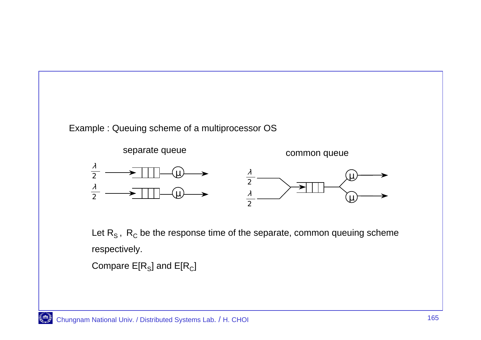

Let  $\mathsf{R}_\mathsf{S}$  ,  $\mathsf{R}_\mathsf{C}$  be the response time of the separate, common queuing scheme respectively.

Compare  $E[R_S]$  and  $E[R_C]$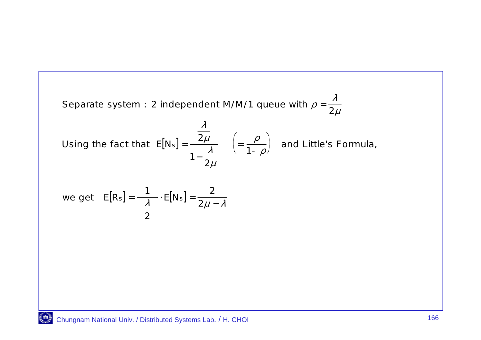Separate system : 2 independent M/M/1 queue with  $\rho$  =  $\frac{1}{2}$ ρ λ  $\mu$ =

Using the fact that 
$$
E[N_s] = \frac{\frac{\lambda}{2\mu}}{1 - \frac{\lambda}{2\mu}} \left( = \frac{\rho}{1 - \rho} \right)
$$
 and Little's Formula,

we get 
$$
E[R_s] = \frac{1}{\frac{\lambda}{2}} \cdot E[N_s] = \frac{2}{2\mu - \lambda}
$$

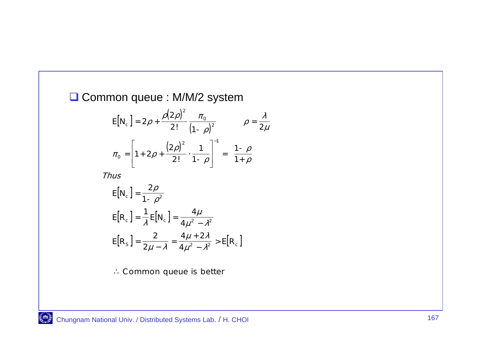#### **□ Common queue : M/M/2 system**

$$
E[N_c] = 2\rho + \frac{\rho(2\rho)^2}{2!} \frac{\pi_0}{(1-\rho)^2} \qquad \rho = \frac{\lambda}{2\mu}
$$

$$
\pi_0 = \left[1 + 2\rho + \frac{(2\rho)^2}{2!} \cdot \frac{1}{1-\rho}\right]^{-1} = \frac{1-\rho}{1+\rho}
$$

Thus

$$
E[N_c] = \frac{2\rho}{1 - \rho^2}
$$
  
\n
$$
E[R_c] = \frac{1}{\lambda} E[N_c] = \frac{4\mu}{4\mu^2 - \lambda^2}
$$
  
\n
$$
E[R_s] = \frac{2}{2\mu - \lambda} = \frac{4\mu + 2\lambda}{4\mu^2 - \lambda^2} > E[R_c]
$$

∴ Common queue is better

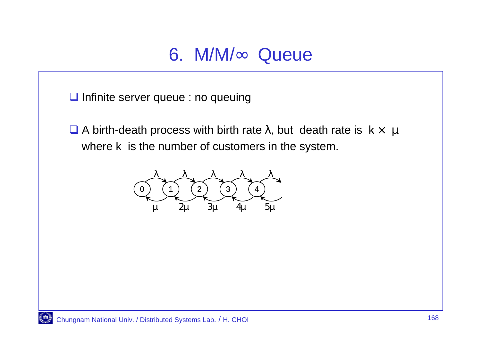### 6. M/M/∞ Queue

**Q** Infinite server queue : no queuing

 $\Box$  A birth-death process with birth rate  $\lambda$ , but death rate is  $k \times \mu$ where k is the number of customers in the system.



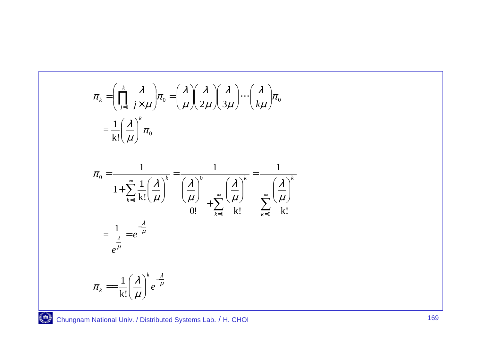$$
\pi_{k} = \left(\prod_{j=1}^{k} \frac{\lambda}{j \times \mu}\right) \pi_{0} = \left(\frac{\lambda}{\mu}\right) \left(\frac{\lambda}{2\mu}\right) \left(\frac{\lambda}{3\mu}\right) \cdots \left(\frac{\lambda}{k\mu}\right) \pi_{0}
$$
\n
$$
= \frac{1}{k!} \left(\frac{\lambda}{\mu}\right)^{k} \pi_{0}
$$

$$
\pi_0 = \frac{1}{1 + \sum_{k=1}^{\infty} \frac{1}{k!} \left(\frac{\lambda}{\mu}\right)^k} = \frac{1}{\left(\frac{\lambda}{\mu}\right)^0} \frac{1}{\left(\frac{\lambda}{\mu}\right)^k} = \frac{1}{\left(\frac{\lambda}{\mu}\right)^k}
$$

$$
= \frac{1}{e^{\frac{\lambda}{\mu}}} = e^{-\frac{\lambda}{\mu}}
$$

$$
e^{\frac{\lambda}{\mu}} = \frac{1}{e^{\frac{\lambda}{\mu}}}
$$

$$
\pi_{k} = \frac{1}{k!} \left(\frac{\lambda}{\mu}\right)^{k} e^{-\frac{\lambda}{\mu}}
$$

Chungnam National Univ. / Distributed Systems Lab. / H. CHOI 169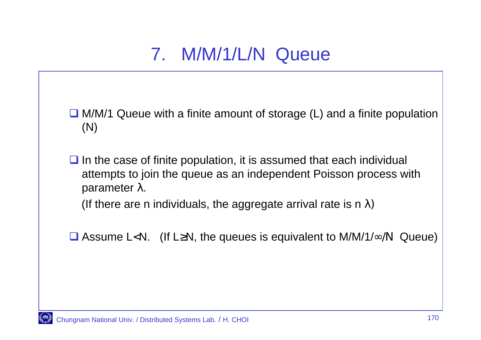- M/M/1 Queue with a finite amount of storage (L) and a finite population (N)
- $\Box$  In the case of finite population, it is assumed that each individual attempts to join the queue as an independent Poisson process with parameter λ.

(If there are n individuals, the aggregate arrival rate is n  $\lambda$ )

Assume L<N. (If L≥N, the queues is equivalent to M/M/1/∞/Ν Queue)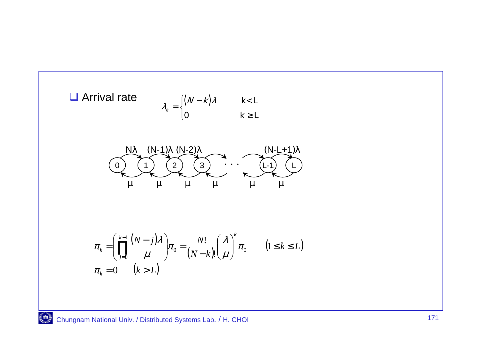

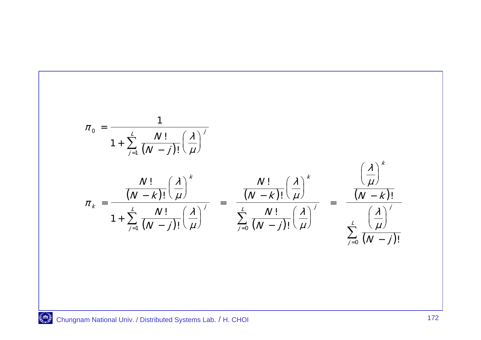$$
\pi_{0} = \frac{1}{1 + \sum_{j=1}^{L} \frac{N!}{(N-j)!} \left(\frac{\lambda}{\mu}\right)^{j}}
$$
\n
$$
\pi_{k} = \frac{\frac{N!}{(N-k)!} \left(\frac{\lambda}{\mu}\right)^{k}}{1 + \sum_{j=1}^{L} \frac{N!}{(N-j)!} \left(\frac{\lambda}{\mu}\right)^{j}} = \frac{\frac{N!}{(N-k)!} \left(\frac{\lambda}{\mu}\right)^{k}}{\sum_{j=0}^{L} \frac{N!}{(N-j)!} \left(\frac{\lambda}{\mu}\right)^{j}} = \frac{\left(\frac{\lambda}{\mu}\right)^{k}}{\sum_{j=0}^{L} \frac{\left(\frac{\lambda}{\mu}\right)^{j}}{(N-j)!}}
$$

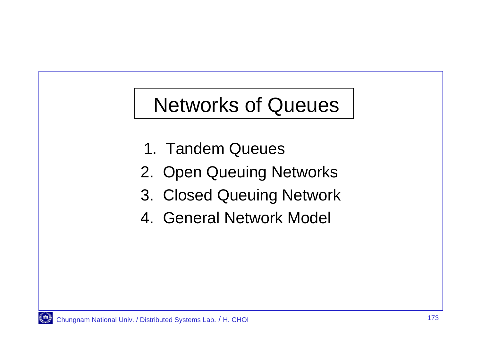# Networks of Queues

- 1. Tandem Queues
- 2. Open Queuing Networks
- 3. Closed Queuing Network
- 4. General Network Model

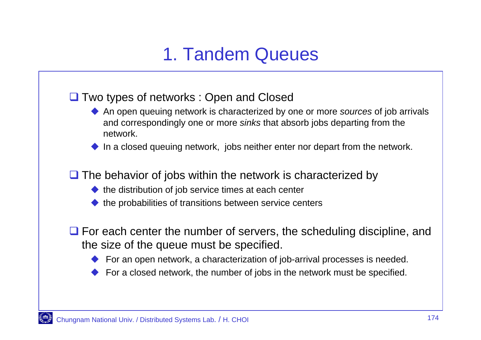## 1. Tandem Queues

- **T** Two types of networks: Open and Closed
	- An open queuing network is characterized by one or more *sources* of job arrivals and correspondingly one or more *sinks* that absorb jobs departing from the network.

♦ In a closed queuing network, jobs neither enter nor depart from the network.

 $\Box$  The behavior of jobs within the network is characterized by

- $\blacklozenge$  the distribution of job service times at each center
- $\blacklozenge$  the probabilities of transitions between service centers
- **T** For each center the number of servers, the scheduling discipline, and the size of the queue must be specified.
	- ♦ For an open network, a characterization of job-arrival processes is needed.
	- ♦ For a closed network, the number of jobs in the network must be specified.

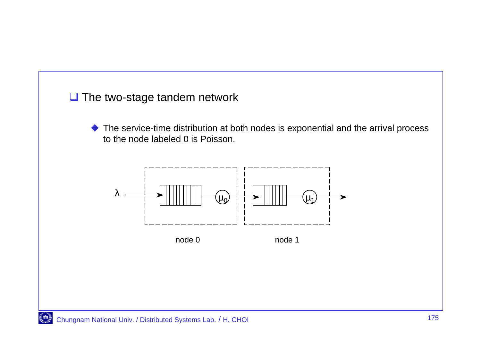

node 0 node 1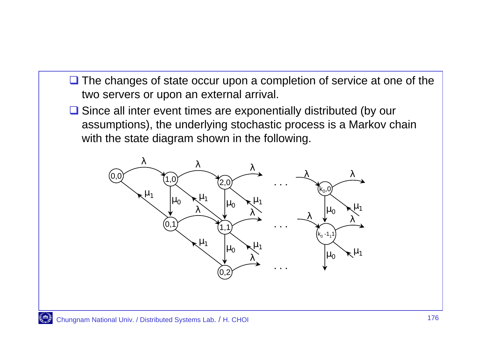- **The changes of state occur upon a completion of service at one of the** two servers or upon an external arrival.
- **□** Since all inter event times are exponentially distributed (by our assumptions), the underlying stochastic process is a Markov chain with the state diagram shown in the following.

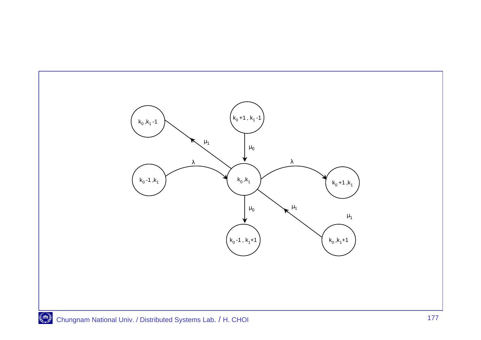

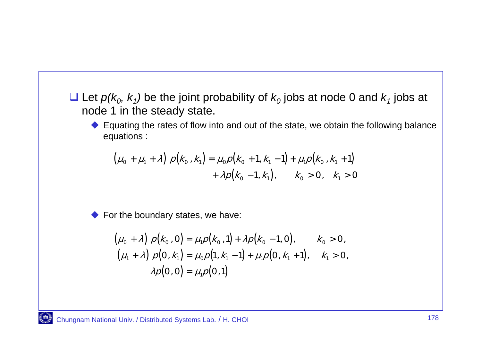- $\Box$  Let  $p(k_0, k_1)$  be the joint probability of  $k_0$  jobs at node 0 and  $k_1$  jobs at node 1 in the steady state.
	- ◆ Equating the rates of flow into and out of the state, we obtain the following balance equations :

$$
\begin{aligned} \left(\mu_0 + \mu_1 + \lambda\right) \, p\!\left(k_0, k_1\right) &= \mu_0 p\!\left(k_0 + 1, k_1 - 1\right) + \mu_1 p\!\left(k_0, k_1 + 1\right) \\ &+ \lambda p\!\left(k_0 - 1, k_1\right), \qquad k_0 > 0, \quad k_1 > 0 \end{aligned}
$$

**The boundary states, we have:** 

$$
(\mu_0 + \lambda) \rho(k_0, 0) = \mu_1 \rho(k_0, 1) + \lambda \rho(k_0 - 1, 0), \qquad k_0 > 0,
$$
  

$$
(\mu_1 + \lambda) \rho(0, k_1) = \mu_0 \rho(1, k_1 - 1) + \mu_1 \rho(0, k_1 + 1), \qquad k_1 > 0,
$$
  

$$
\lambda \rho(0, 0) = \mu_1 \rho(0, 1)
$$

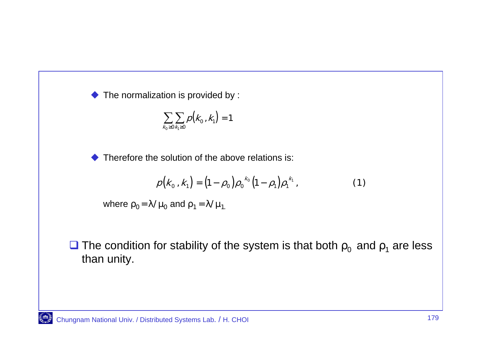$\bullet$ The normalization is provided by :

$$
\sum_{k_0 \ge 0} \sum_{k_1 \ge 0} p(k_0, k_1) = 1
$$

♦ Therefore the solution of the above relations is:

$$
\rho\big(k_{0},k_{1}\big) = (1-\rho_{0})\rho_{0}^{k_{0}}(1-\rho_{1})\rho_{1}^{k_{1}}.
$$
 (1)

where  $\rho_0^{}$  =  $\lambda\!/$   $\mu_0^{}$  and  $\rho_1^{}$  =  $\lambda\!/$   $\mu_1^{}$ 

**The condition for stability of the system is that both**  $p_0$  **and**  $p_1$  **are less** than unity.

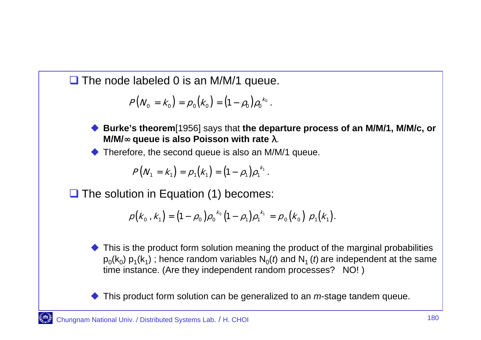$\Box$  The node labeled 0 is an M/M/1 queue.

$$
P(N_{o} = k_{o}) = p_{o}(k_{o}) = (1 - \rho_{o})\rho_{o}^{k_{o}}.
$$

♦ **Burke's theorem**[1956] says that **the departure process of an M/M/1, M/M/c, or M/M/**∞ **queue is also Poisson with rate** λ.

♦ Therefore, the second queue is also an M/M/1 queue.

$$
P(N_1 = k_1) = p_1(k_1) = (1 - p_1)p_1^{k_1}.
$$

 $\Box$  The solution in Equation (1) becomes:

$$
\rho(k_{0},k_{1}) = (1 - \rho_{0})\rho_{0}^{k_{0}}(1 - \rho_{1})\rho_{1}^{k_{1}} = \rho_{0}(k_{0}) \rho_{1}(k_{1}).
$$

- This is the product form solution meaning the product of the marginal probabilities  $p_0(k_0)$   $p_1(k_1)$ ; hence random variables  $N_0(t)$  and  $N_1(t)$  are independent at the same time instance. (Are they independent random processes? NO! )
- ♦ This product form solution can be generalized to an *m*-stage tandem queue.

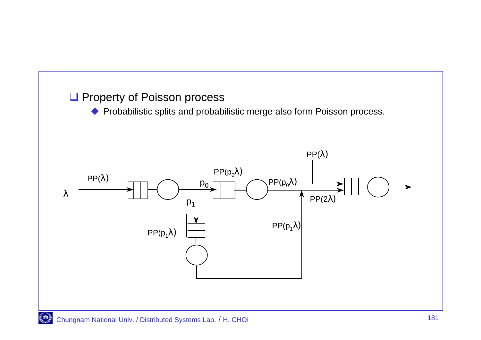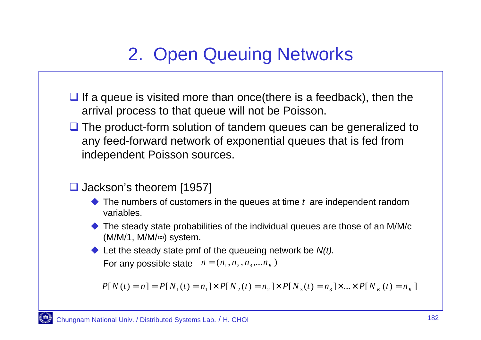# 2. Open Queuing Networks

- $\Box$  If a queue is visited more than once(there is a feedback), then the arrival process to that queue will not be Poisson.
- **The product-form solution of tandem queues can be generalized to** any feed-forward network of exponential queues that is fed from independent Poisson sources.
- **Jackson's theorem [1957]** 
	- ◆ The numbers of customers in the queues at time *t* are independent random variables.
	- The steady state probabilities of the individual queues are those of an M/M/c (M/M/1, M/M/∞) system.

◆ Let the steady state pmf of the queueing network be *N(t)*.

For any possible state  $n = (n_1, n_2, n_3, ... n_K)$ 

 $P[N(t) = n] = P[N_1(t) = n_1] \times P[N_2(t) = n_2] \times P[N_3(t) = n_3] \times ... \times P[N_K(t) = n_K]$ 

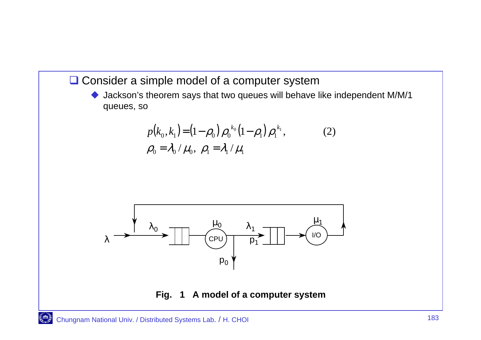**□ Consider a simple model of a computer system** 

♦ Jackson's theorem says that two queues will behave like independent M/M/1 queues, so

$$
p(k_0, k_1) = (1 - \rho_0) \rho_0^{k_0} (1 - \rho_1) \rho_1^{k_1},
$$
  
\n
$$
\rho_0 = \lambda_0 / \mu_0, \ \rho_1 = \lambda_1 / \mu_1
$$
\n(2)



**Fig. 1 A model of a computer system**

**Simp**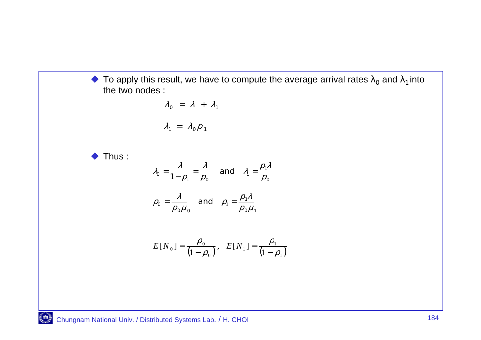$\blacklozenge$  To apply this result, we have to compute the average arrival rates  $\lambda_0$  and  $\lambda_1$  into the two nodes :

$$
\lambda_0 = \lambda + \lambda_1
$$

$$
\lambda_1 = \lambda_0 p_1
$$

 $\blacklozenge$  Thus :

$$
\lambda_0 = \frac{\lambda}{1 - \rho_1} = \frac{\lambda}{\rho_0}
$$
 and  $\lambda_1 = \frac{\rho_1 \lambda}{\rho_0}$ 

$$
\rho_{\text{o}} = \frac{\lambda}{\rho_{\text{o}}\mu_{\text{o}}} \quad \text{and} \quad \rho_{\text{l}} = \frac{\rho_{\text{l}}\lambda}{\rho_{\text{o}}\mu_{\text{l}}}
$$

$$
E[N_0] = \frac{\rho_0}{(1 - \rho_0)}, \quad E[N_1] = \frac{\rho_1}{(1 - \rho_1)}
$$

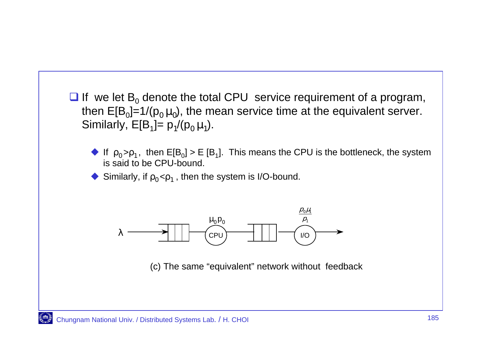- **If** we let  $B_0$  denote the total CPU service requirement of a program, then E[B $_{0}$ ]=1/(p $_{0}$   $\mu_{0}$ ), the mean service time at the equivalent server. Similarly,  $\mathsf{E}[ \mathsf{B}_1 ] = \mathsf{p}_1 / ( \mathsf{p}_0 \, \mu_1 ).$ 
	- If  $\rho_0 > \rho_1$ , then E[B<sub>0</sub>] > E [B<sub>1</sub>]. This means the CPU is the bottleneck, the system is said to be CPU-bound.

♦ Similarly, if  $p_0 < p_1$ , then the system is I/O-bound.



(c) The same "equivalent" network without feedback

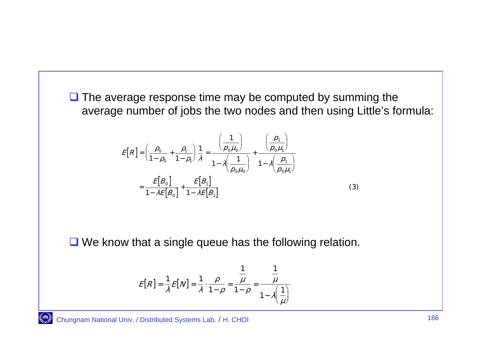$\Box$  The average response time may be computed by summing the average number of jobs the two nodes and then using Little's formula:

$$
E[R] = \left(\frac{\rho_0}{1-\rho_0} + \frac{\rho_1}{1-\rho_1}\right) \frac{1}{\lambda} = \frac{\left(\frac{1}{\rho_0\mu_0}\right)}{1-\lambda\left(\frac{1}{\rho_0\mu_0}\right)} + \frac{\left(\frac{\rho_1}{\rho_0\mu_1}\right)}{1-\lambda\left(\frac{\rho_1}{\rho_0\mu_1}\right)}
$$

$$
= \frac{E[B_0]}{1-\lambda E[B_0]} + \frac{E[B_1]}{1-\lambda E[B_1]} \tag{3}
$$

**■ We know that a single queue has the following relation.** 

$$
E[R] = \frac{1}{\lambda} E[N] = \frac{1}{\lambda} \cdot \frac{\rho}{1 - \rho} = \frac{\frac{1}{\mu}}{1 - \rho} = \frac{\frac{1}{\mu}}{1 - \lambda \left(\frac{1}{\mu}\right)}
$$



Chungnam National Univ. / Distributed Systems Lab. / H. CHOI 186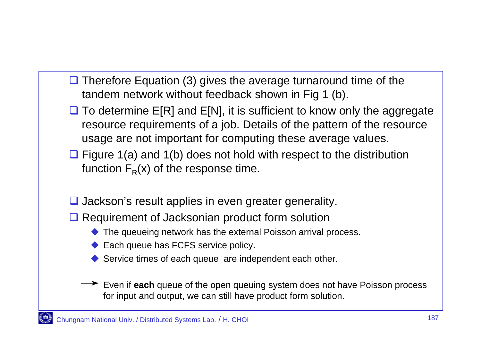- $\Box$  Therefore Equation (3) gives the average turnaround time of the tandem network without feedback shown in Fig 1 (b).
- $\Box$  To determine E[R] and E[N], it is sufficient to know only the aggregate resource requirements of a job. Details of the pattern of the resource usage are not important for computing these average values.
- $\Box$  Figure 1(a) and 1(b) does not hold with respect to the distribution function  $F_R(x)$  of the response time.
- **□** Jackson's result applies in even greater generality.
- **Q** Requirement of Jacksonian product form solution
	- ◆ The queueing network has the external Poisson arrival process.
	- ◆ Each queue has FCFS service policy.
	- Service times of each queue are independent each other.
	- Even if **each** queue of the open queuing system does not have Poisson process for input and output, we can still have product form solution.

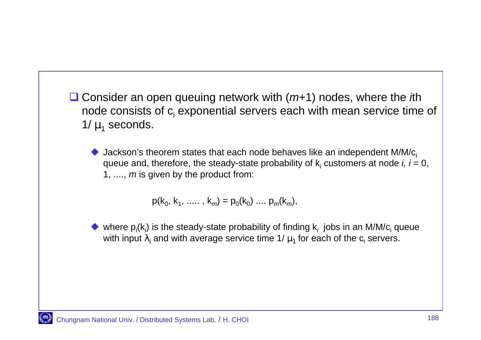- Consider an open queuing network with (*m*+1) nodes, where the *i*th node consists of c<sub>i</sub> exponential servers each with mean service time of 1/  $\mu_{1}$  seconds.
	- ♦ Jackson's theorem states that each node behaves like an independent M/M/ciqueue and, therefore, the steady-state probability of k<sub>i</sub> customers at node *i, i* = 0, 1, ...., *<sup>m</sup>* is given by the product from:

 $p(k_0, k_1, \ldots, k_m) = p_0(k_0) \ldots p_m(k_m),$ 

where  $p_i(k_i)$  is the steady-state probability of finding  $k_i$  jobs in an M/M/c<sub>i</sub> queue with input  $\lambda_{\mathsf{i}}$  and with average service time 1/  $\mu_1$  for each of the  $\mathsf{c}_{\mathsf{i}}$  servers.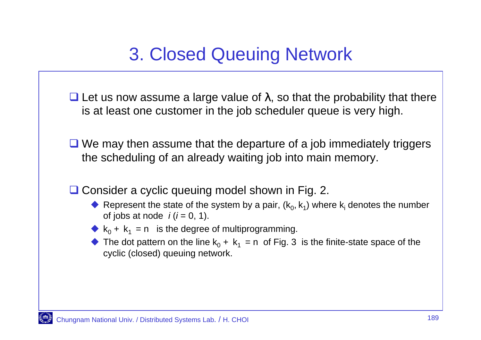## 3. Closed Queuing Network

 $\Box$  Let us now assume a large value of λ, so that the probability that there is at least one customer in the job scheduler queue is very high.

**■ We may then assume that the departure of a job immediately triggers** the scheduling of an already waiting job into main memory.

**□ Consider a cyclic queuing model shown in Fig. 2.** 

- Represent the state of the system by a pair,  $(k_0, k_1)$  where  $k_i$  denotes the number of jobs at node  $i(i = 0, 1)$ .
- $\bullet$  k<sub>0</sub> + k<sub>1</sub> = n is the degree of multiprogramming.
- The dot pattern on the line  $k_0 + k_1 = n$  of Fig. 3 is the finite-state space of the cyclic (closed) queuing network.

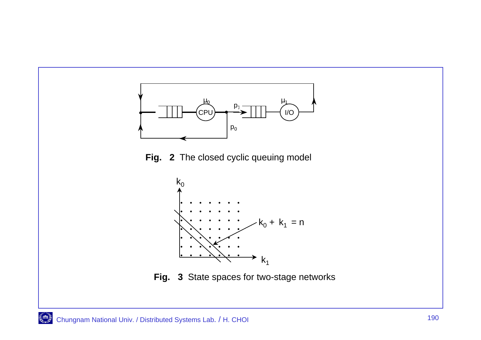

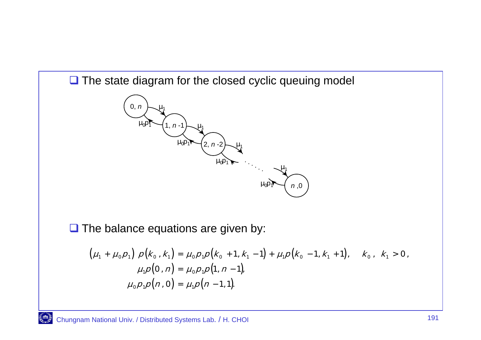

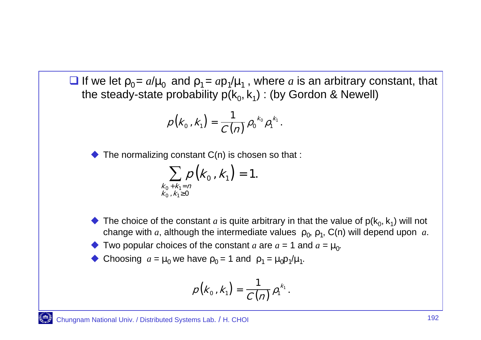**If** we let  $p_0 = a/\mu_0$  and  $p_1 = ap_1/\mu_1$ , where *a* is an arbitrary constant, that the steady-state probability  $p(k_0, k_1)$ : (by Gordon & Newell)

$$
\rho(k_{0},k_{1})=\frac{1}{C(n)}\rho_{0}^{k_{0}}\rho_{1}^{k_{1}}.
$$

♦ The normalizing constant C(n) is chosen so that :

$$
\sum_{\substack{k_0 + k_1 = n \\ k_0, k_1 \ge 0}} p(k_0, k_1) = 1.
$$

 $\blacklozenge$  The choice of the constant *a* is quite arbitrary in that the value of  $p(k_0, k_1)$  will not change with *a*, although the intermediate values  $\rho_0$ ,  $\rho_1$ , C(n) will depend upon *a*.

- ♦ Two popular choices of the constant *a* are  $a = 1$  and  $a = \mu_0$ .
- ♦ Choosing  $a = \mu_0$  we have  $p_0 = 1$  and  $p_1 = \mu_0 p_1/\mu_1$ .

$$
\rho\big(k_{\text{o}}\,,k_{\text{1}}\big)=\frac{1}{C\left(n\right)}\,\rho_{\text{1}}^{k_{\text{1}}}.
$$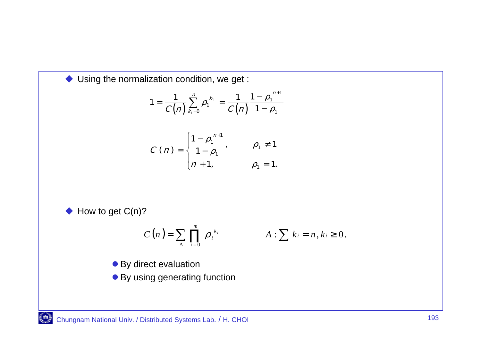Using the normalization condition, we get :

$$
1 = \frac{1}{C(n)} \sum_{k_1=0}^n \rho_1^{k_1} = \frac{1}{C(n)} \frac{1 - {\rho_1}^{n+1}}{1 - \rho_1}
$$

$$
C(n) = \begin{cases} \frac{1 - {\rho_1}^{n+1}}{1 - {\rho_1}}, & \rho_1 \neq 1 \\ n+1, & \rho_1 = 1. \end{cases}
$$

How to get C(n)?

$$
C(n) = \sum_{\mathbf{A}} \prod_{i=0}^{m} \rho_i^{k_i} \qquad A: \sum k_i = n, k_i \geq 0.
$$

- By direct evaluation
- By using generating function



Chungnam National Univ. / Distributed Systems Lab. / H. CHOI 193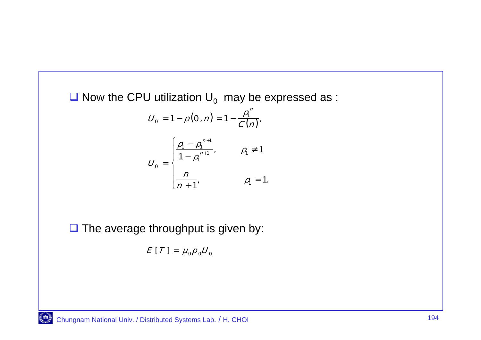**Q** Now the CPU utilization  $U_0$  may be expressed as :

$$
U_0 = 1 - p(0, n) = 1 - \frac{p_1^n}{C(n)}
$$

$$
U_{0} = \begin{cases} \frac{\rho_{1} - \rho_{1}^{n+1}}{1 - \rho_{1}^{n+1}}, & \rho_{1} \neq 1 \\ \frac{n}{n+1}, & \rho_{1} = 1. \end{cases}
$$

 $\Box$  The average throughput is given by:

$$
E[T] = \mu_0 \rho_0 U_0
$$



Chungnam National Univ. / Distributed Systems Lab. / H. CHOI 194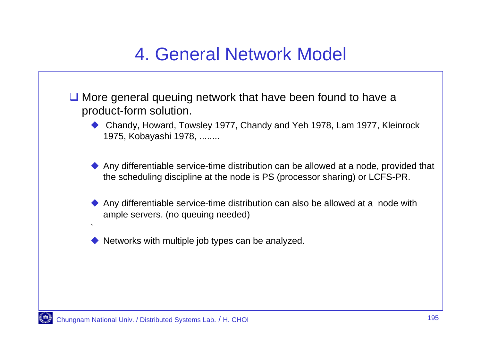## 4. General Network Model

**Q** More general queuing network that have been found to have a product-form solution.

♦ Chandy, Howard, Towsley 1977, Chandy and Yeh 1978, Lam 1977, Kleinrock 1975, Kobayashi 1978, ........

 Any differentiable service-time distribution can be allowed at a node, provided that the scheduling discipline at the node is PS (processor sharing) or LCFS-PR.

- Any differentiable service-time distribution can also be allowed at a node with ample servers. (no queuing needed)
- ♦ Networks with multiple job types can be analyzed.



`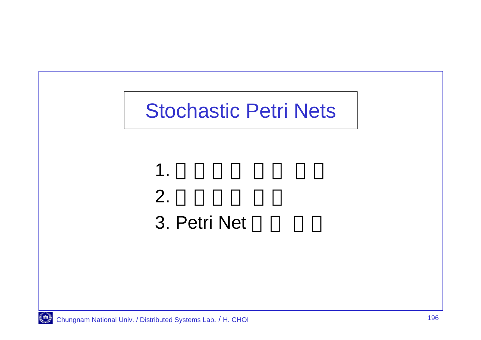# Stochastic Petri Nets

1. 2. 3. Petri Net

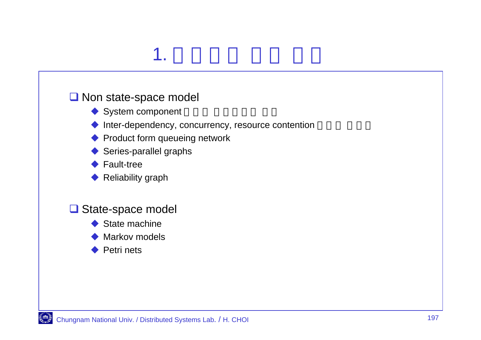## 1.

### **Non state-space model**

- ◆ System component
- ♦ Inter-dependency, concurrency, resource contention
- ◆ Product form queueing network
- ◆ Series-parallel graphs
- ◆ Fault-tree
- ◆ Reliability graph

### **□** State-space model

- ◆ State machine
- ◆ Markov models
- ◆ Petri nets

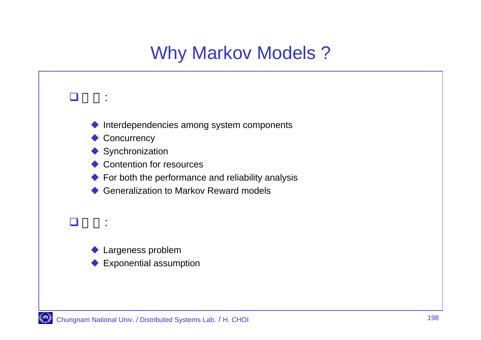## Why Markov Models ?



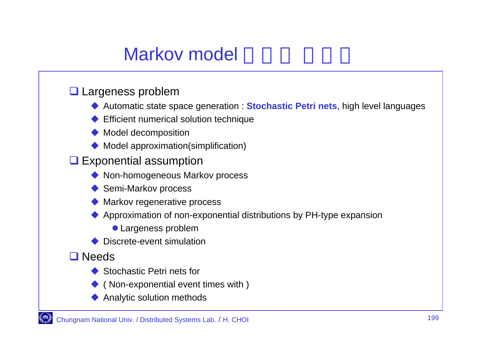## Markov model

## **Q** Largeness problem

- Automatic state space generation : **Stochastic Petri nets**, high level languages
- ♦ Efficient numerical solution technique
- ♦ Model decomposition
- ♦ Model approximation(simplification)
- **Q** Exponential assumption
	- ◆ Non-homogeneous Markov process
	- ◆ Semi-Markov process
	- ♦ Markov regenerative process
	- ♦ Approximation of non-exponential distributions by PH-type expansion
		- Largeness problem
	- ♦ Discrete-event simulation
- **□** Needs
	- ◆ Stochastic Petri nets for
	- ( Non-exponential event times with )
	- ♦ Analytic solution methods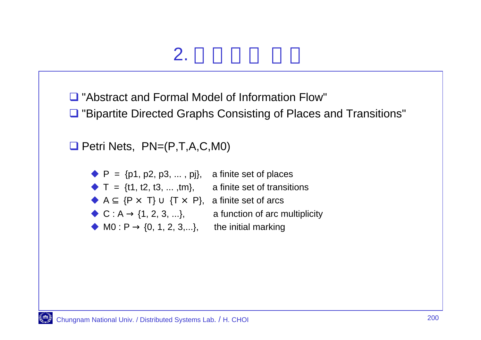"Abstract and Formal Model of Information Flow"

**□** "Bipartite Directed Graphs Consisting of Places and Transitions"

**□ Petri Nets, PN=(P,T,A,C,M0)** 

| $\blacktriangleright$ P = {p1, p2, p3, , pj}, a finite set of places |                                |
|----------------------------------------------------------------------|--------------------------------|
| $\blacktriangleright$ T = {t1, t2, t3, , tm},                        | a finite set of transitions    |
| A $\{P \times T\}$ $\{T \times P\}$ , a finite set of arcs           |                                |
| • $C : A$ {1, 2, 3, },                                               | a function of arc multiplicity |
| • MO : P {0, 1, 2, 3,},                                              | the initial marking            |

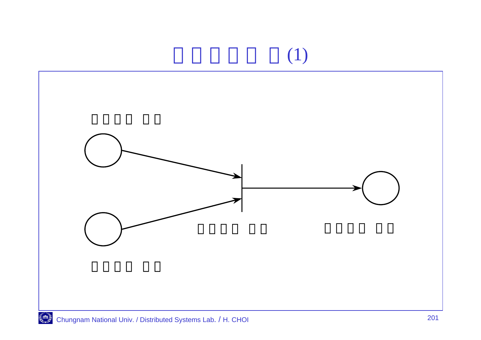(1)

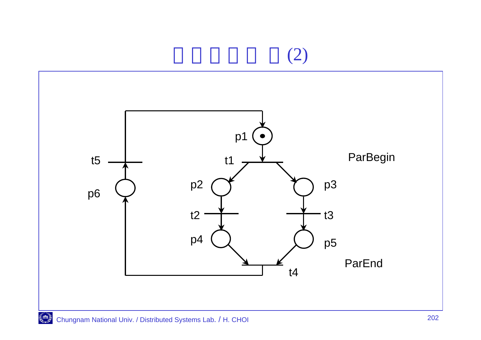(2) t4 t5 p6 p1 t1 p2 t2 p4 p3 t3 p5 ParBegin ParEnd

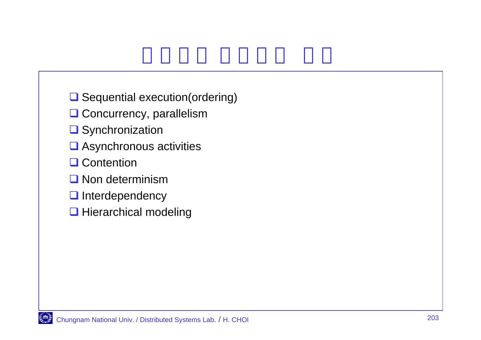- **□** Sequential execution(ordering)
- **Q** Concurrency, parallelism
- **Q** Synchronization
- **Q** Asynchronous activities
- **Q** Contention
- **Q** Non determinism
- $\Box$  Interdependency
- **Q** Hierarchical modeling

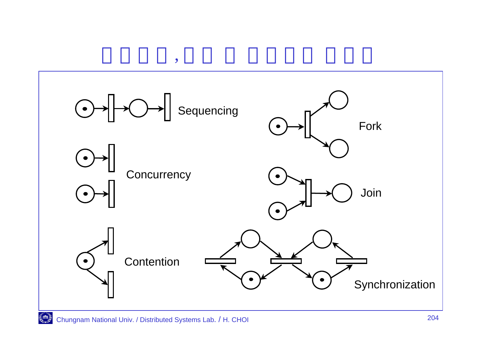

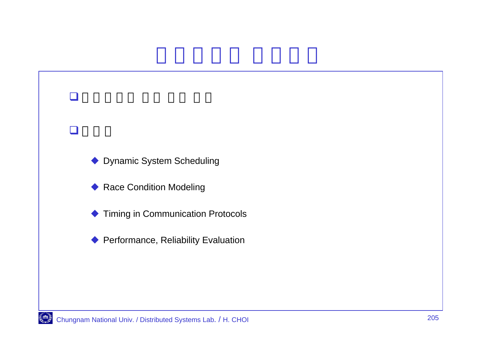

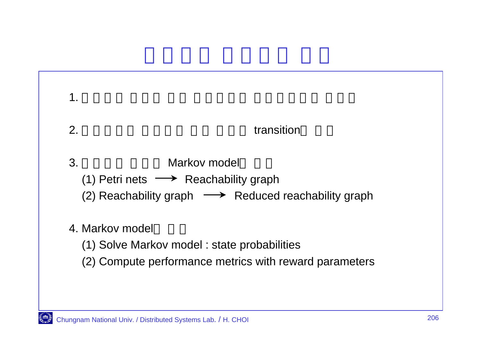# 1. 2. transition 3. Markov model (1) Petri nets  $\longrightarrow$  Reachability graph (2) Reachability graph  $\longrightarrow$  Reduced reachability graph

## 4. Markov model

- (1) Solve Markov model : state probabilities
- (2) Compute performance metrics with reward parameters

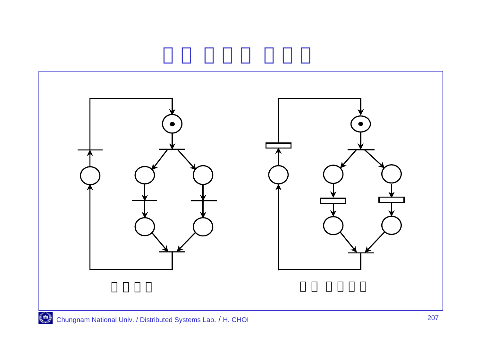

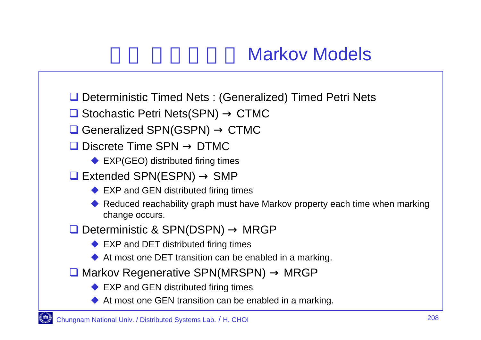## Markov Models

- **□ Deterministic Timed Nets: (Generalized) Timed Petri Nets**
- **□ Stochastic Petri Nets(SPN) CTMC**
- **□ Generalized SPN(GSPN) CTMC**
- **Q** Discrete Time SPN DTMC
	- ◆ EXP(GEO) distributed firing times
- **Extended SPN(ESPN) SMP** 
	- ◆ EXP and GEN distributed firing times
	- ◆ Reduced reachability graph must have Markov property each time when marking change occurs.
- **□** Deterministic & SPN(DSPN) MRGP
	- ◆ EXP and DET distributed firing times
	- At most one DET transition can be enabled in a marking.
- **Markov Regenerative SPN(MRSPN) MRGP** 
	- ◆ EXP and GEN distributed firing times
	- ◆ At most one GEN transition can be enabled in a marking.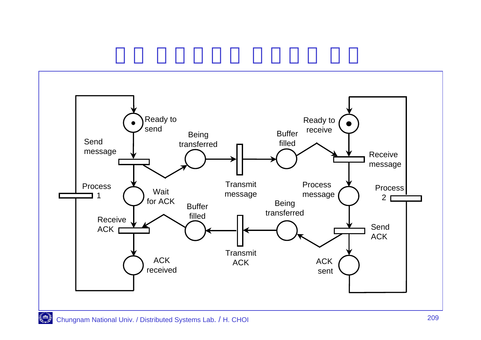

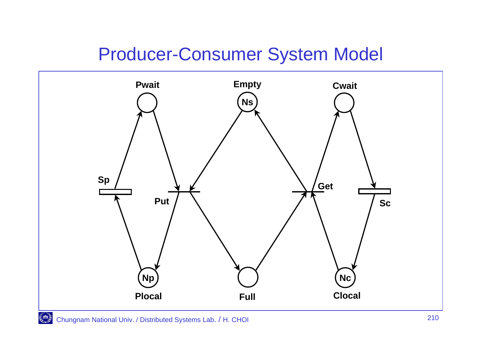## Producer-Consumer System Model





Chungnam National Univ. / Distributed Systems Lab. / H. CHOI 210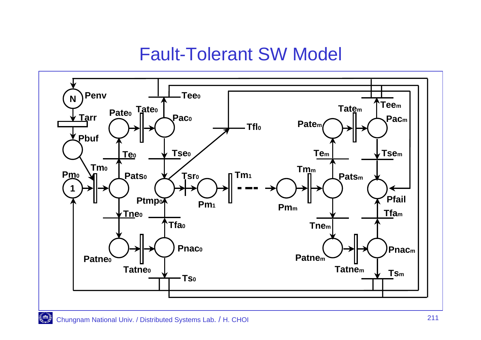## Fault-Tolerant SW Model



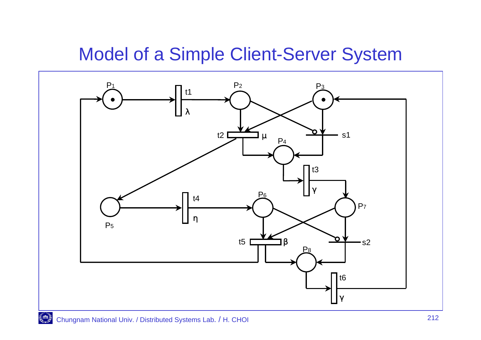## Model of a Simple Client-Server System



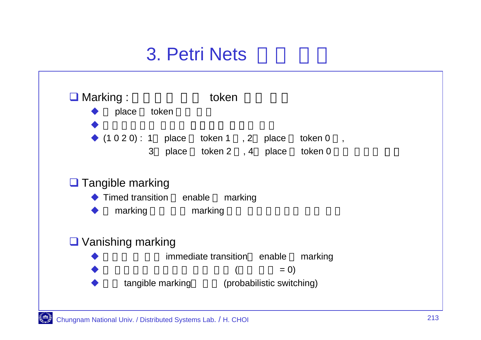## 3. Petri Nets



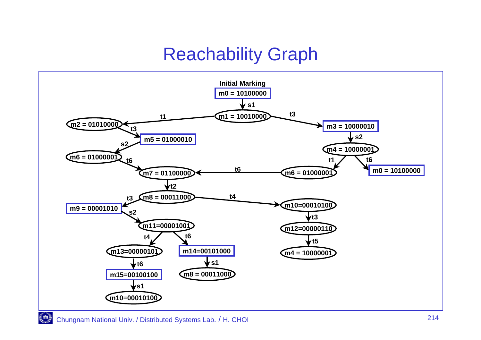## Reachability Graph





Chungnam National Univ. / Distributed Systems Lab. / H. CHOI <sup>214</sup>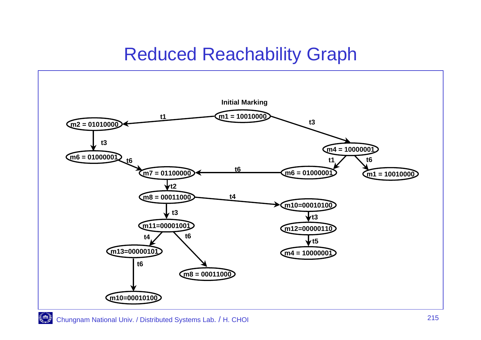## Reduced Reachability Graph



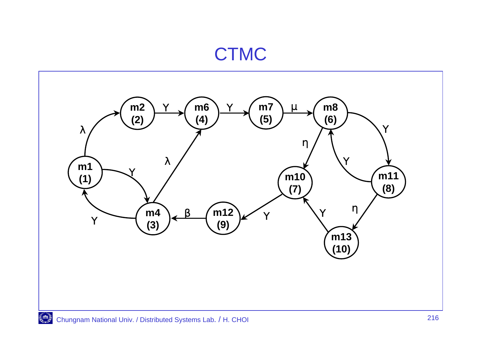## **CTMC**



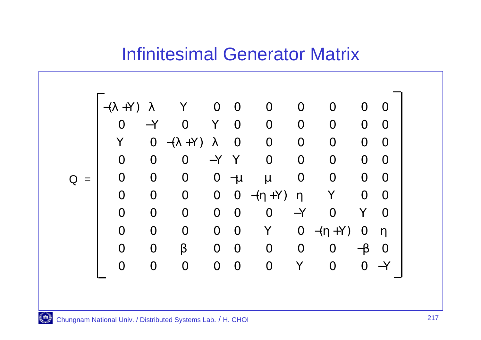### Infinitesimal Generator Matrix



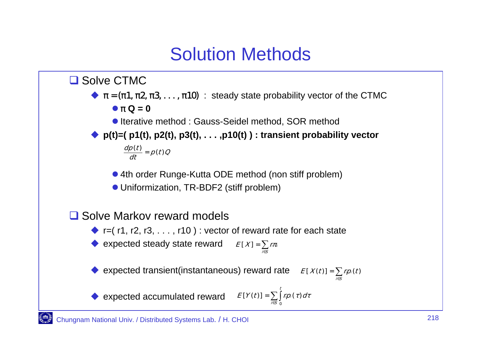### Solution Methods



#### **□ Solve Markov reward models**

- $\blacklozenge$  r=( r1, r2, r3, ..., r10) : vector of reward rate for each state
- ◆ expected steady state reward  $E[X] = \sum n \pi_i$ i∈S ∈

♦ expected transient(instantaneous) reward rate  $E[X(t)] = \sum r_i p_i(t)$  $[X(t)] = \sum r_i p_i(t)$ 

♦  $\bullet$  expected accumulated reward  $E[Y(t)] = \sum \int r p_i(\tau) d\tau$ t  $[Y(t)] = \sum_{i \in S} \int_{\Omega} r p_i(\tau) d\tau$ ∈0

i∈S

∈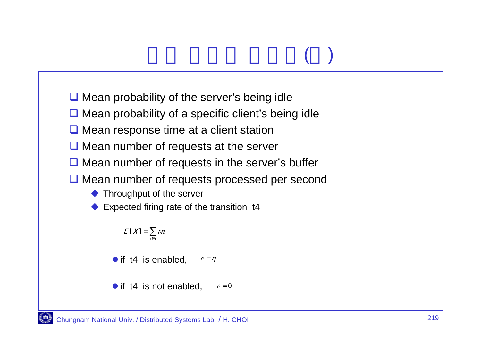# $($   $)$

- **Q** Mean probability of the server's being idle
- **Mean probability of a specific client's being idle**
- **Q** Mean response time at a client station
- **Q** Mean number of requests at the server
- **Q** Mean number of requests in the server's buffer
- **Q** Mean number of requests processed per second
	- ♦ Throughput of the server
	- ♦ Expected firing rate of the transition t4

$$
E[X] = \sum_{i \in S} r_i \pi_i
$$
  
• if t4 is enabled,  $r_i = \eta$ 

 $\bullet$  if t4 is not enabled,  $r_i = 0$ 

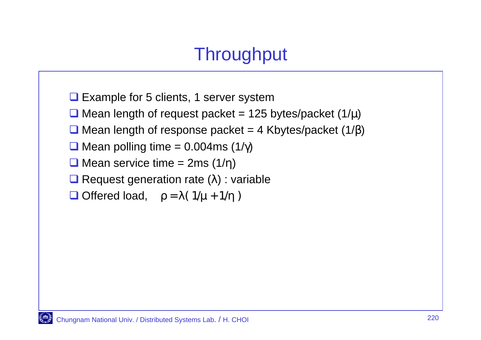### **Throughput**

- **Example for 5 clients, 1 server system**
- $\Box$  Mean length of request packet = 125 bytes/packet (1/ $\mu$ )
- $\Box$  Mean length of response packet = 4 Kbytes/packet (1/β)
- $\Box$  Mean polling time = 0.004ms (1/ $\gamma$ )
- $\Box$  Mean service time = 2ms (1/η)
- **Q** Request generation rate  $(\lambda)$  : variable
- $\Box$  Offered load,  $\rho = \lambda(1/\mu + 1/\eta)$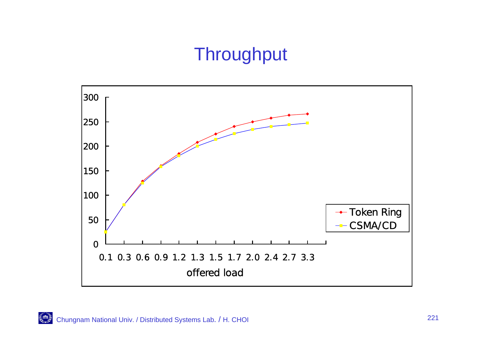### **Throughput**

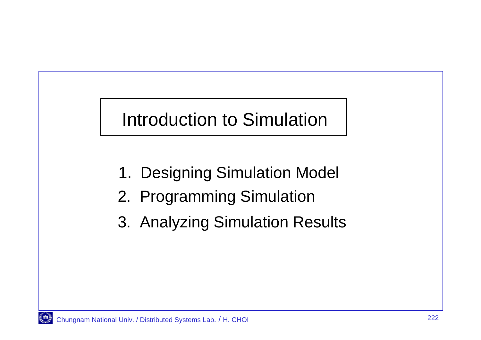## Introduction to Simulation

- 1. Designing Simulation Model
- 2. Programming Simulation
- 3. Analyzing Simulation Results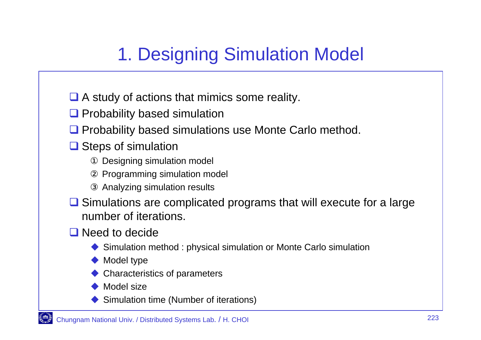# 1. Designing Simulation Model

- **■** A study of actions that mimics some reality.
- **Q** Probability based simulation
- **Q** Probability based simulations use Monte Carlo method.
- **□** Steps of simulation
	- Designing simulation model
	- Programming simulation model
	- Analyzing simulation results
- **□** Simulations are complicated programs that will execute for a large number of iterations.
- **□** Need to decide
	- Simulation method : physical simulation or Monte Carlo simulation
	- ◆ Model type
	- ◆ Characteristics of parameters
	- ♦ Model size
	- ♦ Simulation time (Number of iterations)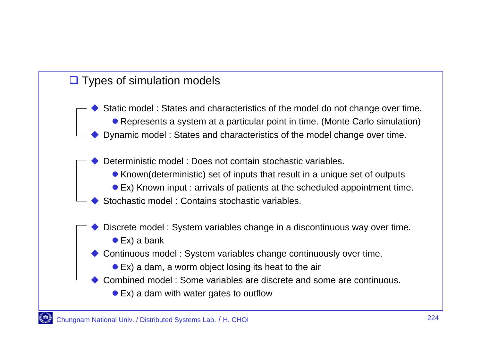#### **Q** Types of simulation models

- ♦ Static model : States and characteristics of the model do not change over time. • Represents a system at a particular point in time. (Monte Carlo simulation) ♦ Dynamic model : States and characteristics of the model change over time.
- ♦ Deterministic model : Does not contain stochastic variables.
	- Known(deterministic) set of inputs that result in a unique set of outputs
	- Ex) Known input : arrivals of patients at the scheduled appointment time.
- ♦ Stochastic model : Contains stochastic variables.
- ♦ Discrete model : System variables change in a discontinuous way over time.  $\bullet$  Ex) a bank
- ♦ Continuous model : System variables change continuously over time.
	- $\bullet$  Ex) a dam, a worm object losing its heat to the air
- ♦ Combined model : Some variables are discrete and some are continuous.
	- $\bullet$  Ex) a dam with water gates to outflow

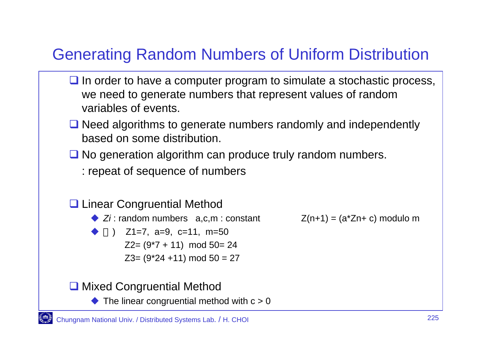### Generating Random Numbers of Uniform Distribution

- $\Box$  In order to have a computer program to simulate a stochastic process, we need to generate numbers that represent values of random variables of events.
- **□** Need algorithms to generate numbers randomly and independently based on some distribution.
- **□ No generation algorithm can produce truly random numbers.** 
	- : repeat of sequence of numbers

**Linear Congruential Method** 

 $\blacktriangleright$  *Zi* : random numbers  $a, c, m$  : constant  $Z(n+1) = (a^*Zn + c)$  modulo m

♦ ) Z1=7, a=9, c=11, m=50  $Z2 = (9*7 + 11) \mod 50 = 24$  $Z3 = (9*24 +11) \text{ mod } 50 = 27$ 

**Q** Mixed Congruential Method

 $\blacklozenge$  The linear congruential method with  $c > 0$ 

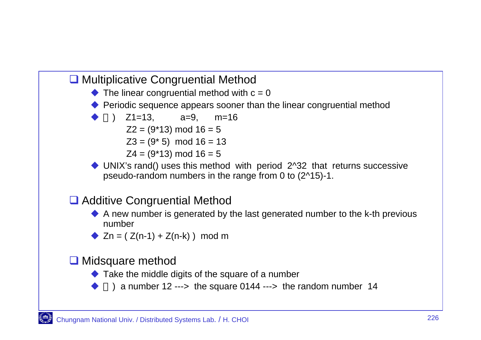#### **Q Multiplicative Congruential Method**

- $\blacklozenge$  The linear congruential method with  $c = 0$
- ◆ Periodic sequence appears sooner than the linear congruential method
- ♦ ) Z1=13, a=9, m=16  $Z2 = (9*13) \text{ mod } 16 = 5$  $Z3 = (9*5) \mod 16 = 13$  $Z4 = (9*13) \text{ mod } 16 = 5$
- ◆ UNIX's rand() uses this method with period 2^32 that returns successive pseudo-random numbers in the range from 0 to (2^15)-1.

#### **Q** Additive Congruential Method

- A new number is generated by the last generated number to the k-th previous number
- $\blacktriangleright$  Zn = ( Z(n-1) + Z(n-k) ) mod m

#### **Q** Midsquare method

- ◆ Take the middle digits of the square of a number
- ♦ ) a number 12 ---> the square 0144 ---> the random number 14

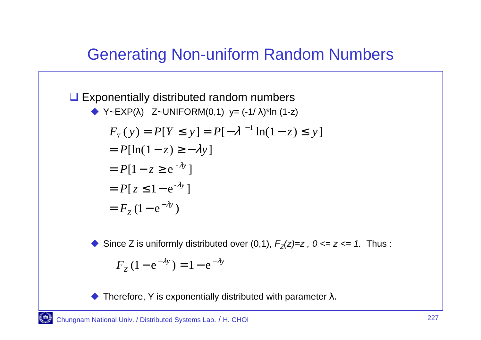### Generating Non-uniform Random Numbers

**Exponentially distributed random numbers**  $\blacklozenge$  Y~EXP( $\lambda$ ) Z~UNIFORM(0,1) y= (-1/ $\lambda$ )\*ln (1-z)  $(1 - e^{-\lambda y})$  $P[z \leq 1 - e^{-\lambda y}]$  $P[1 - z \ge e^{-\lambda y}]$  $P[\ln(1 - z) \geq -\lambda y]$  $F_Y(y) = P[Y \le y] = P[-\lambda^{-1} \ln(1-z) \le y]$  $F_{\overline{Z}}$  $= F_{7} (1 - e^{-\lambda y})$  $= P[z \leq 1 - e^{-\lambda z}]$  $= P[1 - z \ge e^{-\lambda y}]$  $= P[Y \le y] = P[-\lambda^{-1} \ln(1-z)]$ 

♦ Since Z is uniformly distributed over  $(0,1)$ ,  $F_Z(z)=z$ ,  $0 \le z \le 1$ . Thus :

$$
F_Z(1-e^{-\lambda y}) = 1-e^{-\lambda y}
$$

♦ Therefore, Y is exponentially distributed with parameter  $\lambda$ .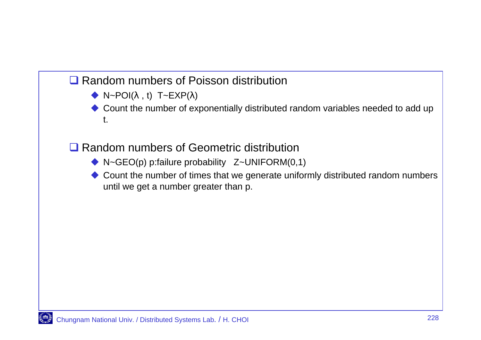#### **■ Random numbers of Poisson distribution**

 $\blacklozenge$  N~POI( $\lambda$ , t) T~EXP( $\lambda$ )

◆ Count the number of exponentially distributed random variables needed to add up t.

#### **■ Random numbers of Geometric distribution**

- ◆ N~GEO(p) p:failure probability Z~UNIFORM(0,1)
- ◆ Count the number of times that we generate uniformly distributed random numbers until we get a number greater than p.

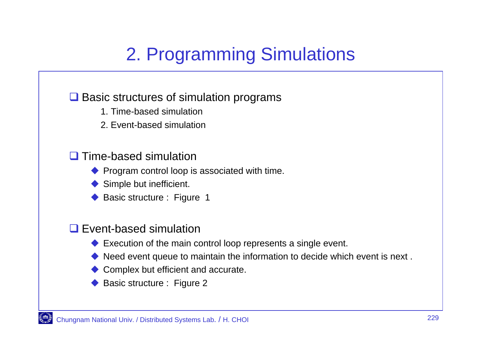### 2. Programming Simulations

#### **■** Basic structures of simulation programs

- 1. Time-based simulation
- 2. Event-based simulation

#### **Time-based simulation**

- **Program control loop is associated with time.**
- ◆ Simple but inefficient.
- ♦ Basic structure : Figure 1

#### **Q** Event-based simulation

- ◆ Execution of the main control loop represents a single event.
- Need event queue to maintain the information to decide which event is next .
- ♦ Complex but efficient and accurate.
- ♦ Basic structure : Figure 2

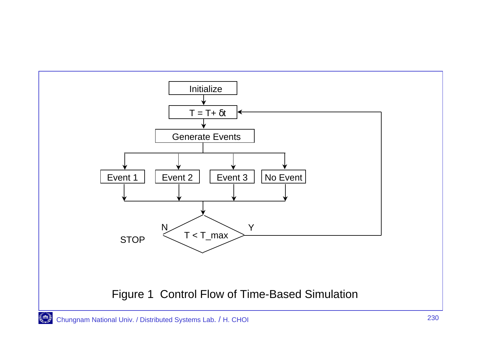

Figure 1 Control Flow of Time-Based Simulation



Chungnam National Univ. / Distributed Systems Lab. / H. CHOI 230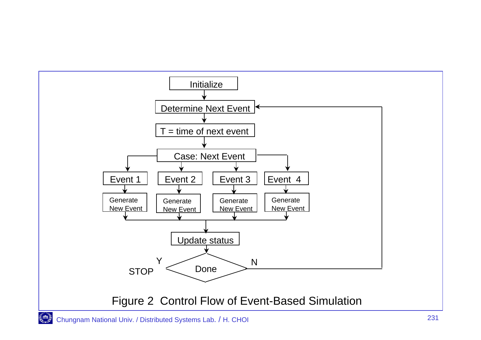

Chungnam National Univ. / Distributed Systems Lab. / H. CHOI <sup>231</sup>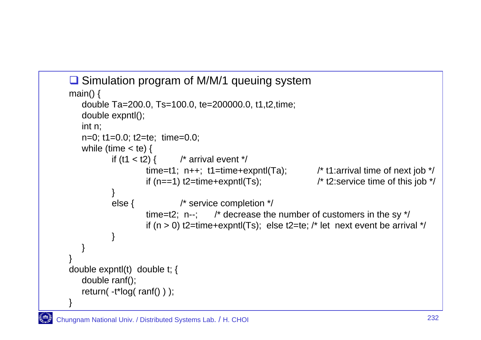```
□ Simulation program of M/M/1 queuing system
main() {
   double Ta=200.0, Ts=100.0, te=200000.0, t1,t2,time;
   double expntl();
   int n;
   n=0; t1=0.0; t2=te; time=0.0;
   while (time < te) {
           if (t1 < t2) { \frac{1}{2} \frac{1}{2} arrival event \frac{1}{2}time=t1; n++; t1=time+expntl(Ta); \frac{1}{1} /* t1:arrival time of next job \frac{1}{1}if (n == 1) t2=time+expntl(Ts); \frac{1}{2} /* t2:service time of this job */
           }
           else { /* service completion */
                    time=t2; n--; /* decrease the number of customers in the sy */
                    if (n > 0) t2=time+expntl(Ts); else t2=te; \prime^* let next event be arrival \prime}
   } 
}
double expntl(t) double t; {
   double ranf();
   return(-t^*log(ranf()));
}
```
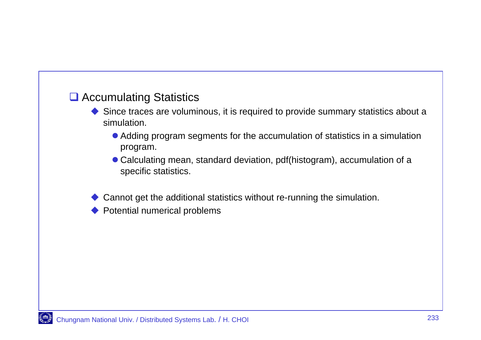#### **Q** Accumulating Statistics

- ◆ Since traces are voluminous, it is required to provide summary statistics about a simulation.
	- Adding program segments for the accumulation of statistics in a simulation program.
	- Calculating mean, standard deviation, pdf(histogram), accumulation of a specific statistics.
- ♦ Cannot get the additional statistics without re-running the simulation.
- ♦ Potential numerical problems

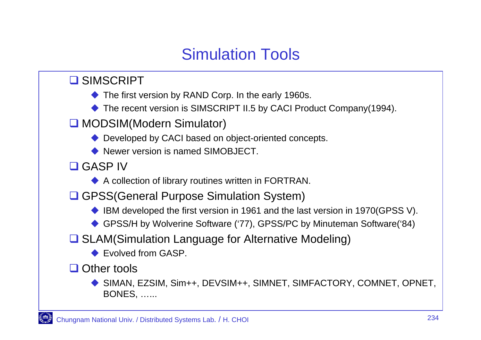### Simulation Tools

**□ SIMSCRIPT** 

- ◆ The first version by RAND Corp. In the early 1960s.
- ♦ The recent version is SIMSCRIPT II.5 by CACI Product Company(1994).
- **MODSIM(Modern Simulator)** 
	- ◆ Developed by CACI based on object-oriented concepts.
	- ◆ Newer version is named SIMOBJECT.
- **□ GASP IV** 
	- ◆ A collection of library routines written in FORTRAN.
- **□ GPSS(General Purpose Simulation System)** 
	- IBM developed the first version in 1961 and the last version in 1970(GPSS V).
	- ◆ GPSS/H by Wolverine Software ('77), GPSS/PC by Minuteman Software('84)
- **□ SLAM(Simulation Language for Alternative Modeling)** 
	- ◆ Evolved from GASP.
- **□ Other tools** 
	- ◆ SIMAN, EZSIM, Sim++, DEVSIM++, SIMNET, SIMFACTORY, COMNET, OPNET, BONES, …...

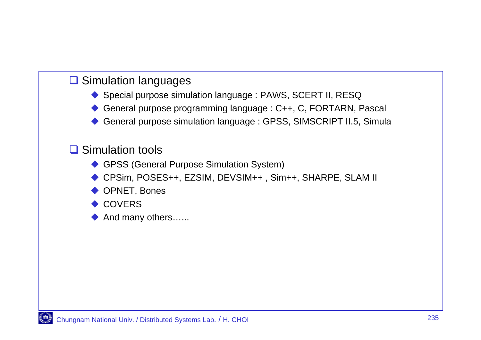#### **Q** Simulation languages

- ◆ Special purpose simulation language : PAWS, SCERT II, RESQ
- ♦ General purpose programming language : C++, C, FORTARN, Pascal
- ♦ General purpose simulation language : GPSS, SIMSCRIPT II.5, Simula

#### **□** Simulation tools

- GPSS (General Purpose Simulation System)
- ◆ CPSim, POSES++, EZSIM, DEVSIM++, Sim++, SHARPE, SLAM II
- ♦ OPNET, Bones
- ◆ COVERS
- ◆ And many others…...

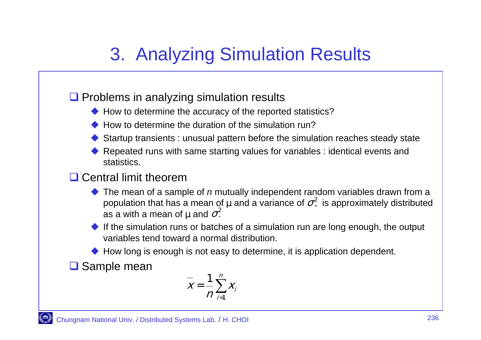# 3. Analyzing Simulation Results

#### **Q** Problems in analyzing simulation results

- ◆ How to determine the accuracy of the reported statistics?
- ♦ How to determine the duration of the simulation run?
- ♦ Startup transients : unusual pattern before the simulation reaches steady state
- ♦ Repeated runs with same starting values for variables : identical events and statistics.

#### **□ Central limit theorem**

- ◆ The mean of a sample of *n* mutually independent random variables drawn from a population that has a mean of μ and a variance of  $\sigma^2$  is approximately distributed as a with a mean of  $\mu$  and  $\sigma^2$
- ♦ If the simulation runs or batches of a simulation run are long enough, the output variables tend toward a normal distribution.
- ◆ How long is enough is not easy to determine, it is application dependent.

**□ Sample mean** 

$$
\overline{X} = \frac{1}{n} \sum_{i=1}^{n} X_i
$$